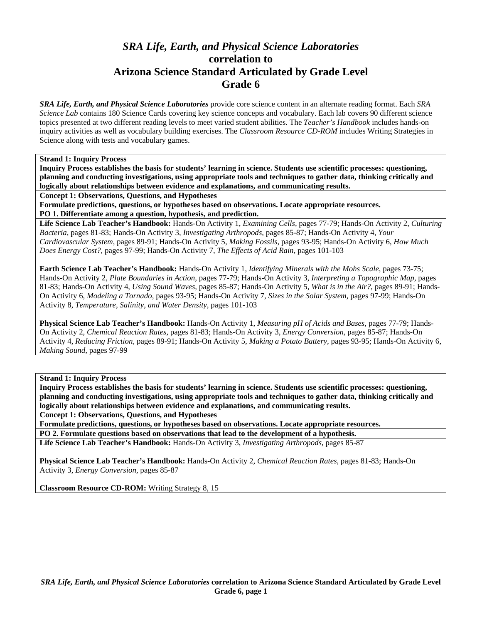# *SRA Life, Earth, and Physical Science Laboratories*  **correlation to Arizona Science Standard Articulated by Grade Level Grade 6**

*SRA Life, Earth, and Physical Science Laboratories* provide core science content in an alternate reading format. Each *SRA Science Lab* contains 180 Science Cards covering key science concepts and vocabulary. Each lab covers 90 different science topics presented at two different reading levels to meet varied student abilities. The *Teacher's Handbook* includes hands-on inquiry activities as well as vocabulary building exercises. The *Classroom Resource CD-ROM* includes Writing Strategies in Science along with tests and vocabulary games.

#### **Strand 1: Inquiry Process**

**Inquiry Process establishes the basis for students' learning in science. Students use scientific processes: questioning, planning and conducting investigations, using appropriate tools and techniques to gather data, thinking critically and logically about relationships between evidence and explanations, and communicating results.** 

**Concept 1: Observations, Questions, and Hypotheses** 

**Formulate predictions, questions, or hypotheses based on observations. Locate appropriate resources.** 

**PO 1. Differentiate among a question, hypothesis, and prediction.** 

**Life Science Lab Teacher's Handbook:** Hands-On Activity 1, *Examining Cells,* pages 77-79; Hands-On Activity 2, *Culturing Bacteria,* pages 81-83; Hands-On Activity 3, *Investigating Arthropods,* pages 85-87; Hands-On Activity 4, *Your Cardiovascular System,* pages 89-91; Hands-On Activity 5, *Making Fossils,* pages 93-95; Hands-On Activity 6, *How Much Does Energy Cost?,* pages 97-99; Hands-On Activity 7, *The Effects of Acid Rain,* pages 101-103

**Earth Science Lab Teacher's Handbook:** Hands-On Activity 1, *Identifying Minerals with the Mohs Scale,* pages 73-75; Hands-On Activity 2, *Plate Boundaries in Action,* pages 77-79; Hands-On Activity 3, *Interpreting a Topographic Map,* pages 81-83; Hands-On Activity 4, *Using Sound Waves,* pages 85-87; Hands-On Activity 5, *What is in the Air?,* pages 89-91; Hands-On Activity 6, *Modeling a Tornado,* pages 93-95; Hands-On Activity 7, *Sizes in the Solar System,* pages 97-99; Hands-On Activity 8, *Temperature, Salinity, and Water Density,* pages 101-103

**Physical Science Lab Teacher's Handbook:** Hands-On Activity 1, *Measuring pH of Acids and Bases,* pages 77-79; Hands-On Activity 2, *Chemical Reaction Rates,* pages 81-83; Hands-On Activity 3, *Energy Conversion,* pages 85-87; Hands-On Activity 4, *Reducing Friction,* pages 89-91; Hands-On Activity 5, *Making a Potato Battery,* pages 93-95; Hands-On Activity 6, *Making Sound,* pages 97-99

**Strand 1: Inquiry Process** 

**Inquiry Process establishes the basis for students' learning in science. Students use scientific processes: questioning, planning and conducting investigations, using appropriate tools and techniques to gather data, thinking critically and logically about relationships between evidence and explanations, and communicating results.** 

**Concept 1: Observations, Questions, and Hypotheses** 

**Formulate predictions, questions, or hypotheses based on observations. Locate appropriate resources. PO 2. Formulate questions based on observations that lead to the development of a hypothesis.** 

**Life Science Lab Teacher's Handbook:** Hands-On Activity 3, *Investigating Arthropods,* pages 85-87

**Physical Science Lab Teacher's Handbook:** Hands-On Activity 2, *Chemical Reaction Rates,* pages 81-83; Hands-On Activity 3, *Energy Conversion,* pages 85-87

**Classroom Resource CD-ROM:** Writing Strategy 8, 15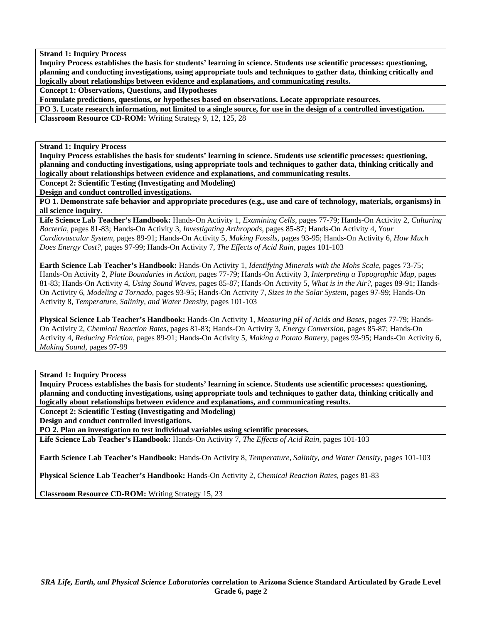**Inquiry Process establishes the basis for students' learning in science. Students use scientific processes: questioning, planning and conducting investigations, using appropriate tools and techniques to gather data, thinking critically and logically about relationships between evidence and explanations, and communicating results.** 

**Concept 1: Observations, Questions, and Hypotheses** 

**Formulate predictions, questions, or hypotheses based on observations. Locate appropriate resources.** 

**PO 3. Locate research information, not limited to a single source, for use in the design of a controlled investigation.** 

**Classroom Resource CD-ROM:** Writing Strategy 9, 12, 125, 28

**Strand 1: Inquiry Process** 

**Inquiry Process establishes the basis for students' learning in science. Students use scientific processes: questioning, planning and conducting investigations, using appropriate tools and techniques to gather data, thinking critically and logically about relationships between evidence and explanations, and communicating results.** 

**Concept 2: Scientific Testing (Investigating and Modeling)** 

**Design and conduct controlled investigations.** 

**PO 1. Demonstrate safe behavior and appropriate procedures (e.g., use and care of technology, materials, organisms) in all science inquiry.** 

**Life Science Lab Teacher's Handbook:** Hands-On Activity 1, *Examining Cells,* pages 77-79; Hands-On Activity 2, *Culturing Bacteria,* pages 81-83; Hands-On Activity 3, *Investigating Arthropods,* pages 85-87; Hands-On Activity 4, *Your Cardiovascular System,* pages 89-91; Hands-On Activity 5, *Making Fossils,* pages 93-95; Hands-On Activity 6, *How Much Does Energy Cost?,* pages 97-99; Hands-On Activity 7, *The Effects of Acid Rain,* pages 101-103

**Earth Science Lab Teacher's Handbook:** Hands-On Activity 1, *Identifying Minerals with the Mohs Scale,* pages 73-75; Hands-On Activity 2, *Plate Boundaries in Action,* pages 77-79; Hands-On Activity 3, *Interpreting a Topographic Map,* pages 81-83; Hands-On Activity 4, *Using Sound Waves,* pages 85-87; Hands-On Activity 5, *What is in the Air?,* pages 89-91; Hands-On Activity 6, *Modeling a Tornado,* pages 93-95; Hands-On Activity 7, *Sizes in the Solar System,* pages 97-99; Hands-On Activity 8, *Temperature, Salinity, and Water Density,* pages 101-103

**Physical Science Lab Teacher's Handbook:** Hands-On Activity 1, *Measuring pH of Acids and Bases,* pages 77-79; Hands-On Activity 2, *Chemical Reaction Rates,* pages 81-83; Hands-On Activity 3, *Energy Conversion,* pages 85-87; Hands-On Activity 4, *Reducing Friction,* pages 89-91; Hands-On Activity 5, *Making a Potato Battery,* pages 93-95; Hands-On Activity 6, *Making Sound,* pages 97-99

**Strand 1: Inquiry Process** 

**Inquiry Process establishes the basis for students' learning in science. Students use scientific processes: questioning, planning and conducting investigations, using appropriate tools and techniques to gather data, thinking critically and logically about relationships between evidence and explanations, and communicating results.** 

**Concept 2: Scientific Testing (Investigating and Modeling)** 

**Design and conduct controlled investigations.** 

**PO 2. Plan an investigation to test individual variables using scientific processes.** 

**Life Science Lab Teacher's Handbook:** Hands-On Activity 7, *The Effects of Acid Rain,* pages 101-103

**Earth Science Lab Teacher's Handbook:** Hands-On Activity 8, *Temperature, Salinity, and Water Density,* pages 101-103

**Physical Science Lab Teacher's Handbook:** Hands-On Activity 2, *Chemical Reaction Rates,* pages 81-83

**Classroom Resource CD-ROM:** Writing Strategy 15, 23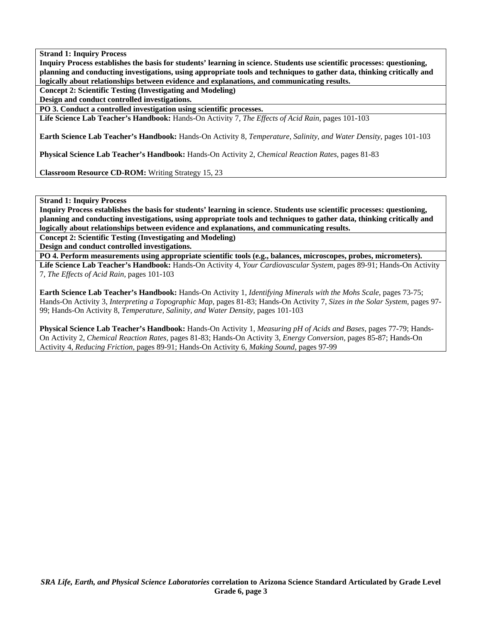**Inquiry Process establishes the basis for students' learning in science. Students use scientific processes: questioning, planning and conducting investigations, using appropriate tools and techniques to gather data, thinking critically and logically about relationships between evidence and explanations, and communicating results.** 

**Concept 2: Scientific Testing (Investigating and Modeling)** 

**Design and conduct controlled investigations.** 

**PO 3. Conduct a controlled investigation using scientific processes.** 

**Life Science Lab Teacher's Handbook:** Hands-On Activity 7, *The Effects of Acid Rain,* pages 101-103

**Earth Science Lab Teacher's Handbook:** Hands-On Activity 8, *Temperature, Salinity, and Water Density,* pages 101-103

**Physical Science Lab Teacher's Handbook:** Hands-On Activity 2, *Chemical Reaction Rates,* pages 81-83

**Classroom Resource CD-ROM:** Writing Strategy 15, 23

**Strand 1: Inquiry Process** 

**Inquiry Process establishes the basis for students' learning in science. Students use scientific processes: questioning, planning and conducting investigations, using appropriate tools and techniques to gather data, thinking critically and logically about relationships between evidence and explanations, and communicating results.** 

**Concept 2: Scientific Testing (Investigating and Modeling)** 

**Design and conduct controlled investigations.** 

**PO 4. Perform measurements using appropriate scientific tools (e.g., balances, microscopes, probes, micrometers). Life Science Lab Teacher's Handbook:** Hands-On Activity 4, *Your Cardiovascular System,* pages 89-91; Hands-On Activity 7, *The Effects of Acid Rain,* pages 101-103

**Earth Science Lab Teacher's Handbook:** Hands-On Activity 1, *Identifying Minerals with the Mohs Scale,* pages 73-75; Hands-On Activity 3, *Interpreting a Topographic Map,* pages 81-83; Hands-On Activity 7, *Sizes in the Solar System,* pages 97- 99; Hands-On Activity 8, *Temperature, Salinity, and Water Density,* pages 101-103

**Physical Science Lab Teacher's Handbook:** Hands-On Activity 1, *Measuring pH of Acids and Bases,* pages 77-79; Hands-On Activity 2, *Chemical Reaction Rates,* pages 81-83; Hands-On Activity 3, *Energy Conversion,* pages 85-87; Hands-On Activity 4, *Reducing Friction,* pages 89-91; Hands-On Activity 6, *Making Sound,* pages 97-99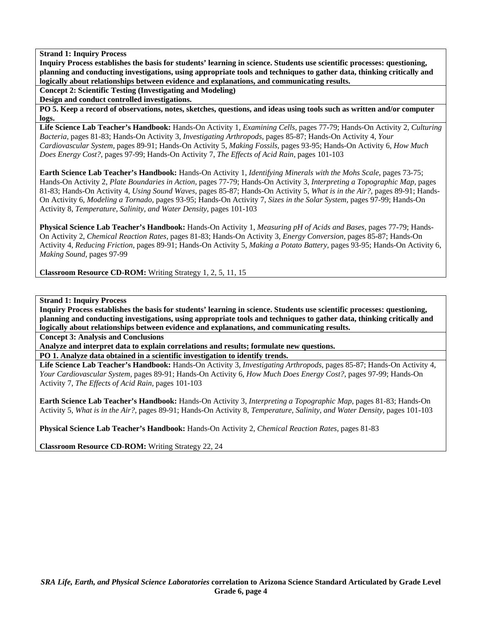**Inquiry Process establishes the basis for students' learning in science. Students use scientific processes: questioning, planning and conducting investigations, using appropriate tools and techniques to gather data, thinking critically and logically about relationships between evidence and explanations, and communicating results.** 

**Concept 2: Scientific Testing (Investigating and Modeling)** 

**Design and conduct controlled investigations.** 

**PO 5. Keep a record of observations, notes, sketches, questions, and ideas using tools such as written and/or computer logs.** 

**Life Science Lab Teacher's Handbook:** Hands-On Activity 1, *Examining Cells,* pages 77-79; Hands-On Activity 2, *Culturing Bacteria,* pages 81-83; Hands-On Activity 3, *Investigating Arthropods,* pages 85-87; Hands-On Activity 4, *Your Cardiovascular System,* pages 89-91; Hands-On Activity 5, *Making Fossils,* pages 93-95; Hands-On Activity 6, *How Much Does Energy Cost?,* pages 97-99; Hands-On Activity 7, *The Effects of Acid Rain,* pages 101-103

**Earth Science Lab Teacher's Handbook:** Hands-On Activity 1, *Identifying Minerals with the Mohs Scale,* pages 73-75; Hands-On Activity 2, *Plate Boundaries in Action,* pages 77-79; Hands-On Activity 3, *Interpreting a Topographic Map,* pages 81-83; Hands-On Activity 4, *Using Sound Waves,* pages 85-87; Hands-On Activity 5, *What is in the Air?,* pages 89-91; Hands-On Activity 6, *Modeling a Tornado,* pages 93-95; Hands-On Activity 7, *Sizes in the Solar System,* pages 97-99; Hands-On Activity 8, *Temperature, Salinity, and Water Density,* pages 101-103

**Physical Science Lab Teacher's Handbook:** Hands-On Activity 1, *Measuring pH of Acids and Bases,* pages 77-79; Hands-On Activity 2, *Chemical Reaction Rates,* pages 81-83; Hands-On Activity 3, *Energy Conversion,* pages 85-87; Hands-On Activity 4, *Reducing Friction,* pages 89-91; Hands-On Activity 5, *Making a Potato Battery,* pages 93-95; Hands-On Activity 6, *Making Sound,* pages 97-99

**Classroom Resource CD-ROM:** Writing Strategy 1, 2, 5, 11, 15

**Strand 1: Inquiry Process** 

**Inquiry Process establishes the basis for students' learning in science. Students use scientific processes: questioning, planning and conducting investigations, using appropriate tools and techniques to gather data, thinking critically and logically about relationships between evidence and explanations, and communicating results.** 

**Concept 3: Analysis and Conclusions** 

**Analyze and interpret data to explain correlations and results; formulate new questions.** 

**PO 1. Analyze data obtained in a scientific investigation to identify trends.** 

**Life Science Lab Teacher's Handbook:** Hands-On Activity 3, *Investigating Arthropods,* pages 85-87; Hands-On Activity 4, *Your Cardiovascular System,* pages 89-91; Hands-On Activity 6, *How Much Does Energy Cost?,* pages 97-99; Hands-On Activity 7, *The Effects of Acid Rain,* pages 101-103

**Earth Science Lab Teacher's Handbook:** Hands-On Activity 3, *Interpreting a Topographic Map,* pages 81-83; Hands-On Activity 5, *What is in the Air?,* pages 89-91; Hands-On Activity 8, *Temperature, Salinity, and Water Density,* pages 101-103

**Physical Science Lab Teacher's Handbook:** Hands-On Activity 2, *Chemical Reaction Rates,* pages 81-83

**Classroom Resource CD-ROM:** Writing Strategy 22, 24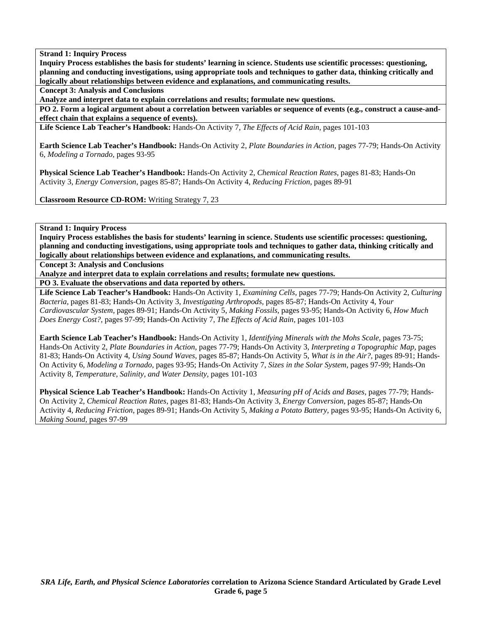**Inquiry Process establishes the basis for students' learning in science. Students use scientific processes: questioning, planning and conducting investigations, using appropriate tools and techniques to gather data, thinking critically and logically about relationships between evidence and explanations, and communicating results.** 

**Concept 3: Analysis and Conclusions** 

**Analyze and interpret data to explain correlations and results; formulate new questions.** 

**PO 2. Form a logical argument about a correlation between variables or sequence of events (e.g., construct a cause-andeffect chain that explains a sequence of events).** 

**Life Science Lab Teacher's Handbook:** Hands-On Activity 7, *The Effects of Acid Rain,* pages 101-103

**Earth Science Lab Teacher's Handbook:** Hands-On Activity 2, *Plate Boundaries in Action,* pages 77-79; Hands-On Activity 6, *Modeling a Tornado,* pages 93-95

**Physical Science Lab Teacher's Handbook:** Hands-On Activity 2, *Chemical Reaction Rates,* pages 81-83; Hands-On Activity 3, *Energy Conversion,* pages 85-87; Hands-On Activity 4, *Reducing Friction,* pages 89-91

**Classroom Resource CD-ROM:** Writing Strategy 7, 23

**Strand 1: Inquiry Process** 

**Inquiry Process establishes the basis for students' learning in science. Students use scientific processes: questioning, planning and conducting investigations, using appropriate tools and techniques to gather data, thinking critically and logically about relationships between evidence and explanations, and communicating results.** 

**Concept 3: Analysis and Conclusions** 

**Analyze and interpret data to explain correlations and results; formulate new questions.** 

**PO 3. Evaluate the observations and data reported by others.** 

**Life Science Lab Teacher's Handbook:** Hands-On Activity 1, *Examining Cells,* pages 77-79; Hands-On Activity 2, *Culturing Bacteria,* pages 81-83; Hands-On Activity 3, *Investigating Arthropods,* pages 85-87; Hands-On Activity 4, *Your Cardiovascular System,* pages 89-91; Hands-On Activity 5, *Making Fossils,* pages 93-95; Hands-On Activity 6, *How Much Does Energy Cost?,* pages 97-99; Hands-On Activity 7, *The Effects of Acid Rain,* pages 101-103

**Earth Science Lab Teacher's Handbook:** Hands-On Activity 1, *Identifying Minerals with the Mohs Scale,* pages 73-75; Hands-On Activity 2, *Plate Boundaries in Action,* pages 77-79; Hands-On Activity 3, *Interpreting a Topographic Map,* pages 81-83; Hands-On Activity 4, *Using Sound Waves,* pages 85-87; Hands-On Activity 5, *What is in the Air?,* pages 89-91; Hands-On Activity 6, *Modeling a Tornado,* pages 93-95; Hands-On Activity 7, *Sizes in the Solar System,* pages 97-99; Hands-On Activity 8, *Temperature, Salinity, and Water Density,* pages 101-103

**Physical Science Lab Teacher's Handbook:** Hands-On Activity 1, *Measuring pH of Acids and Bases,* pages 77-79; Hands-On Activity 2, *Chemical Reaction Rates,* pages 81-83; Hands-On Activity 3, *Energy Conversion,* pages 85-87; Hands-On Activity 4, *Reducing Friction,* pages 89-91; Hands-On Activity 5, *Making a Potato Battery,* pages 93-95; Hands-On Activity 6, *Making Sound,* pages 97-99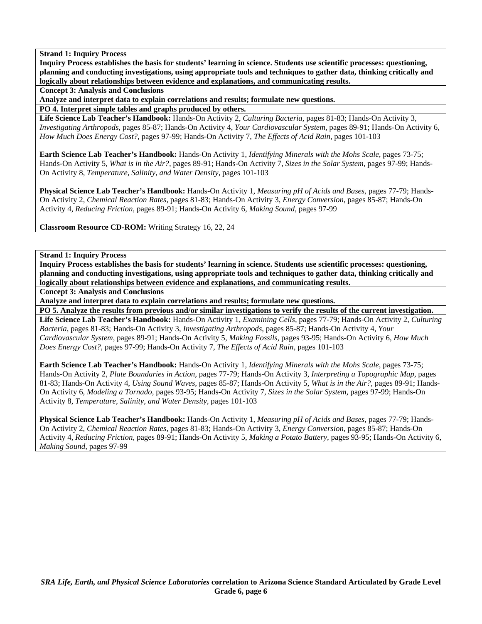**Inquiry Process establishes the basis for students' learning in science. Students use scientific processes: questioning, planning and conducting investigations, using appropriate tools and techniques to gather data, thinking critically and logically about relationships between evidence and explanations, and communicating results.** 

**Concept 3: Analysis and Conclusions** 

**Analyze and interpret data to explain correlations and results; formulate new questions.** 

**PO 4. Interpret simple tables and graphs produced by others.** 

**Life Science Lab Teacher's Handbook:** Hands-On Activity 2, *Culturing Bacteria,* pages 81-83; Hands-On Activity 3, *Investigating Arthropods,* pages 85-87; Hands-On Activity 4, *Your Cardiovascular System,* pages 89-91; Hands-On Activity 6, *How Much Does Energy Cost?,* pages 97-99; Hands-On Activity 7, *The Effects of Acid Rain,* pages 101-103

**Earth Science Lab Teacher's Handbook:** Hands-On Activity 1, *Identifying Minerals with the Mohs Scale,* pages 73-75; Hands-On Activity 5, *What is in the Air?,* pages 89-91; Hands-On Activity 7, *Sizes in the Solar System,* pages 97-99; Hands-On Activity 8, *Temperature, Salinity, and Water Density,* pages 101-103

**Physical Science Lab Teacher's Handbook:** Hands-On Activity 1, *Measuring pH of Acids and Bases,* pages 77-79; Hands-On Activity 2, *Chemical Reaction Rates,* pages 81-83; Hands-On Activity 3, *Energy Conversion,* pages 85-87; Hands-On Activity 4, *Reducing Friction,* pages 89-91; Hands-On Activity 6, *Making Sound,* pages 97-99

**Classroom Resource CD-ROM:** Writing Strategy 16, 22, 24

**Strand 1: Inquiry Process** 

**Inquiry Process establishes the basis for students' learning in science. Students use scientific processes: questioning, planning and conducting investigations, using appropriate tools and techniques to gather data, thinking critically and logically about relationships between evidence and explanations, and communicating results.** 

**Concept 3: Analysis and Conclusions** 

**Analyze and interpret data to explain correlations and results; formulate new questions.** 

**PO 5. Analyze the results from previous and/or similar investigations to verify the results of the current investigation.** 

**Life Science Lab Teacher's Handbook:** Hands-On Activity 1, *Examining Cells,* pages 77-79; Hands-On Activity 2, *Culturing Bacteria,* pages 81-83; Hands-On Activity 3, *Investigating Arthropods,* pages 85-87; Hands-On Activity 4, *Your Cardiovascular System,* pages 89-91; Hands-On Activity 5, *Making Fossils,* pages 93-95; Hands-On Activity 6, *How Much Does Energy Cost?,* pages 97-99; Hands-On Activity 7, *The Effects of Acid Rain,* pages 101-103

**Earth Science Lab Teacher's Handbook:** Hands-On Activity 1, *Identifying Minerals with the Mohs Scale,* pages 73-75; Hands-On Activity 2, *Plate Boundaries in Action,* pages 77-79; Hands-On Activity 3, *Interpreting a Topographic Map,* pages 81-83; Hands-On Activity 4, *Using Sound Waves,* pages 85-87; Hands-On Activity 5, *What is in the Air?,* pages 89-91; Hands-On Activity 6, *Modeling a Tornado,* pages 93-95; Hands-On Activity 7, *Sizes in the Solar System,* pages 97-99; Hands-On Activity 8, *Temperature, Salinity, and Water Density,* pages 101-103

**Physical Science Lab Teacher's Handbook:** Hands-On Activity 1, *Measuring pH of Acids and Bases,* pages 77-79; Hands-On Activity 2, *Chemical Reaction Rates,* pages 81-83; Hands-On Activity 3, *Energy Conversion,* pages 85-87; Hands-On Activity 4, *Reducing Friction,* pages 89-91; Hands-On Activity 5, *Making a Potato Battery,* pages 93-95; Hands-On Activity 6, *Making Sound,* pages 97-99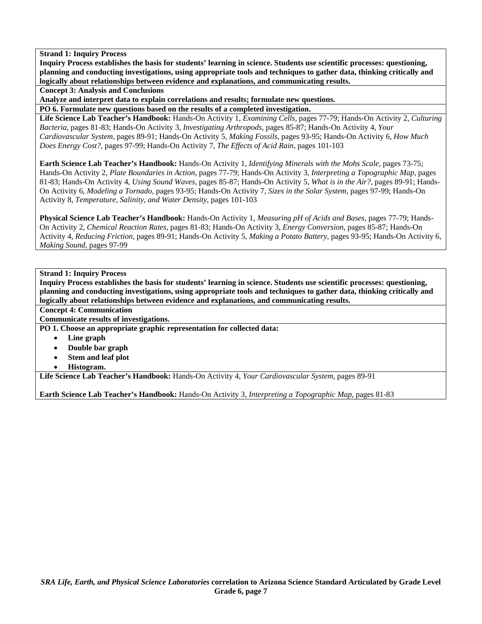**Inquiry Process establishes the basis for students' learning in science. Students use scientific processes: questioning, planning and conducting investigations, using appropriate tools and techniques to gather data, thinking critically and logically about relationships between evidence and explanations, and communicating results.** 

**Concept 3: Analysis and Conclusions** 

**Analyze and interpret data to explain correlations and results; formulate new questions.** 

**PO 6. Formulate new questions based on the results of a completed investigation.** 

**Life Science Lab Teacher's Handbook:** Hands-On Activity 1, *Examining Cells,* pages 77-79; Hands-On Activity 2, *Culturing Bacteria,* pages 81-83; Hands-On Activity 3, *Investigating Arthropods,* pages 85-87; Hands-On Activity 4, *Your Cardiovascular System,* pages 89-91; Hands-On Activity 5, *Making Fossils,* pages 93-95; Hands-On Activity 6, *How Much Does Energy Cost?,* pages 97-99; Hands-On Activity 7, *The Effects of Acid Rain,* pages 101-103

**Earth Science Lab Teacher's Handbook:** Hands-On Activity 1, *Identifying Minerals with the Mohs Scale,* pages 73-75; Hands-On Activity 2, *Plate Boundaries in Action,* pages 77-79; Hands-On Activity 3, *Interpreting a Topographic Map,* pages 81-83; Hands-On Activity 4, *Using Sound Waves,* pages 85-87; Hands-On Activity 5, *What is in the Air?,* pages 89-91; Hands-On Activity 6, *Modeling a Tornado,* pages 93-95; Hands-On Activity 7, *Sizes in the Solar System,* pages 97-99; Hands-On Activity 8, *Temperature, Salinity, and Water Density,* pages 101-103

**Physical Science Lab Teacher's Handbook:** Hands-On Activity 1, *Measuring pH of Acids and Bases,* pages 77-79; Hands-On Activity 2, *Chemical Reaction Rates,* pages 81-83; Hands-On Activity 3, *Energy Conversion,* pages 85-87; Hands-On Activity 4, *Reducing Friction,* pages 89-91; Hands-On Activity 5, *Making a Potato Battery,* pages 93-95; Hands-On Activity 6, *Making Sound,* pages 97-99

## **Strand 1: Inquiry Process**

**Inquiry Process establishes the basis for students' learning in science. Students use scientific processes: questioning, planning and conducting investigations, using appropriate tools and techniques to gather data, thinking critically and logically about relationships between evidence and explanations, and communicating results.** 

**Concept 4: Communication** 

**Communicate results of investigations.** 

**PO 1. Choose an appropriate graphic representation for collected data:** 

- **Line graph**
- **Double bar graph**
- **Stem and leaf plot**
- **Histogram.**

**Life Science Lab Teacher's Handbook:** Hands-On Activity 4, *Your Cardiovascular System,* pages 89-91

**Earth Science Lab Teacher's Handbook:** Hands-On Activity 3, *Interpreting a Topographic Map,* pages 81-83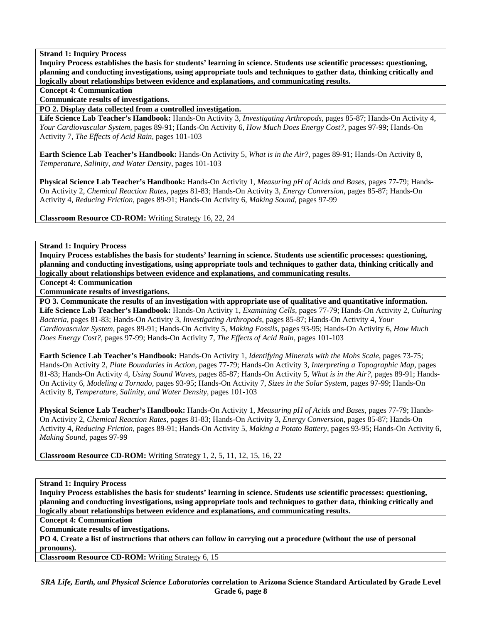**Inquiry Process establishes the basis for students' learning in science. Students use scientific processes: questioning, planning and conducting investigations, using appropriate tools and techniques to gather data, thinking critically and logically about relationships between evidence and explanations, and communicating results.** 

### **Concept 4: Communication**

**Communicate results of investigations.** 

**PO 2. Display data collected from a controlled investigation.** 

**Life Science Lab Teacher's Handbook:** Hands-On Activity 3, *Investigating Arthropods,* pages 85-87; Hands-On Activity 4, *Your Cardiovascular System,* pages 89-91; Hands-On Activity 6, *How Much Does Energy Cost?,* pages 97-99; Hands-On Activity 7, *The Effects of Acid Rain,* pages 101-103

**Earth Science Lab Teacher's Handbook:** Hands-On Activity 5, *What is in the Air?,* pages 89-91; Hands-On Activity 8, *Temperature, Salinity, and Water Density,* pages 101-103

**Physical Science Lab Teacher's Handbook:** Hands-On Activity 1, *Measuring pH of Acids and Bases,* pages 77-79; Hands-On Activity 2, *Chemical Reaction Rates,* pages 81-83; Hands-On Activity 3, *Energy Conversion,* pages 85-87; Hands-On Activity 4, *Reducing Friction,* pages 89-91; Hands-On Activity 6, *Making Sound,* pages 97-99

**Classroom Resource CD-ROM:** Writing Strategy 16, 22, 24

**Strand 1: Inquiry Process** 

**Inquiry Process establishes the basis for students' learning in science. Students use scientific processes: questioning, planning and conducting investigations, using appropriate tools and techniques to gather data, thinking critically and logically about relationships between evidence and explanations, and communicating results.** 

**Concept 4: Communication** 

**Communicate results of investigations.** 

**PO 3. Communicate the results of an investigation with appropriate use of qualitative and quantitative information.** 

**Life Science Lab Teacher's Handbook:** Hands-On Activity 1, *Examining Cells,* pages 77-79; Hands-On Activity 2, *Culturing Bacteria,* pages 81-83; Hands-On Activity 3, *Investigating Arthropods,* pages 85-87; Hands-On Activity 4, *Your Cardiovascular System,* pages 89-91; Hands-On Activity 5, *Making Fossils,* pages 93-95; Hands-On Activity 6, *How Much Does Energy Cost?,* pages 97-99; Hands-On Activity 7, *The Effects of Acid Rain,* pages 101-103

**Earth Science Lab Teacher's Handbook:** Hands-On Activity 1, *Identifying Minerals with the Mohs Scale,* pages 73-75; Hands-On Activity 2, *Plate Boundaries in Action,* pages 77-79; Hands-On Activity 3, *Interpreting a Topographic Map,* pages 81-83; Hands-On Activity 4, *Using Sound Waves,* pages 85-87; Hands-On Activity 5, *What is in the Air?,* pages 89-91; Hands-On Activity 6, *Modeling a Tornado,* pages 93-95; Hands-On Activity 7, *Sizes in the Solar System,* pages 97-99; Hands-On Activity 8, *Temperature, Salinity, and Water Density,* pages 101-103

**Physical Science Lab Teacher's Handbook:** Hands-On Activity 1, *Measuring pH of Acids and Bases,* pages 77-79; Hands-On Activity 2, *Chemical Reaction Rates,* pages 81-83; Hands-On Activity 3, *Energy Conversion,* pages 85-87; Hands-On Activity 4, *Reducing Friction,* pages 89-91; Hands-On Activity 5, *Making a Potato Battery,* pages 93-95; Hands-On Activity 6, *Making Sound,* pages 97-99

**Classroom Resource CD-ROM:** Writing Strategy 1, 2, 5, 11, 12, 15, 16, 22

**Strand 1: Inquiry Process** 

**Inquiry Process establishes the basis for students' learning in science. Students use scientific processes: questioning, planning and conducting investigations, using appropriate tools and techniques to gather data, thinking critically and logically about relationships between evidence and explanations, and communicating results.** 

**Concept 4: Communication** 

**Communicate results of investigations.** 

**PO 4. Create a list of instructions that others can follow in carrying out a procedure (without the use of personal pronouns).** 

**Classroom Resource CD-ROM:** Writing Strategy 6, 15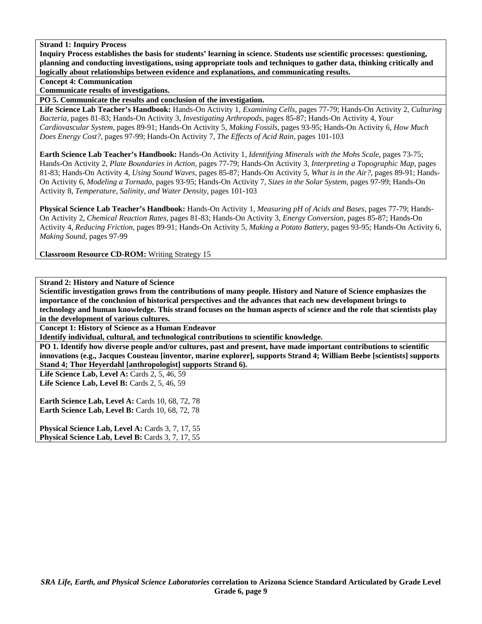**Inquiry Process establishes the basis for students' learning in science. Students use scientific processes: questioning, planning and conducting investigations, using appropriate tools and techniques to gather data, thinking critically and logically about relationships between evidence and explanations, and communicating results.** 

**Concept 4: Communication** 

**Communicate results of investigations.** 

**PO 5. Communicate the results and conclusion of the investigation.** 

**Life Science Lab Teacher's Handbook:** Hands-On Activity 1, *Examining Cells,* pages 77-79; Hands-On Activity 2, *Culturing Bacteria,* pages 81-83; Hands-On Activity 3, *Investigating Arthropods,* pages 85-87; Hands-On Activity 4, *Your Cardiovascular System,* pages 89-91; Hands-On Activity 5, *Making Fossils,* pages 93-95; Hands-On Activity 6, *How Much Does Energy Cost?,* pages 97-99; Hands-On Activity 7, *The Effects of Acid Rain,* pages 101-103

**Earth Science Lab Teacher's Handbook:** Hands-On Activity 1, *Identifying Minerals with the Mohs Scale,* pages 73-75; Hands-On Activity 2, *Plate Boundaries in Action,* pages 77-79; Hands-On Activity 3, *Interpreting a Topographic Map,* pages 81-83; Hands-On Activity 4, *Using Sound Waves,* pages 85-87; Hands-On Activity 5, *What is in the Air?,* pages 89-91; Hands-On Activity 6, *Modeling a Tornado,* pages 93-95; Hands-On Activity 7, *Sizes in the Solar System,* pages 97-99; Hands-On Activity 8, *Temperature, Salinity, and Water Density,* pages 101-103

**Physical Science Lab Teacher's Handbook:** Hands-On Activity 1, *Measuring pH of Acids and Bases,* pages 77-79; Hands-On Activity 2, *Chemical Reaction Rates,* pages 81-83; Hands-On Activity 3, *Energy Conversion,* pages 85-87; Hands-On Activity 4, *Reducing Friction,* pages 89-91; Hands-On Activity 5, *Making a Potato Battery,* pages 93-95; Hands-On Activity 6, *Making Sound,* pages 97-99

**Classroom Resource CD-ROM:** Writing Strategy 15

# **Strand 2: History and Nature of Science**

**Scientific investigation grows from the contributions of many people. History and Nature of Science emphasizes the importance of the conclusion of historical perspectives and the advances that each new development brings to technology and human knowledge. This strand focuses on the human aspects of science and the role that scientists play in the development of various cultures.** 

**Concept 1: History of Science as a Human Endeavor** 

**Identify individual, cultural, and technological contributions to scientific knowledge.** 

**PO 1. Identify how diverse people and/or cultures, past and present, have made important contributions to scientific innovations (e.g., Jacques Cousteau [inventor, marine explorer], supports Strand 4; William Beebe [scientists] supports Stand 4; Thor Heyerdahl [anthropologist] supports Strand 6).** 

**Life Science Lab, Level A:** Cards 2, 5, 46, 59

**Life Science Lab, Level B:** Cards 2, 5, 46, 59

**Earth Science Lab, Level A: Cards 10, 68, 72, 78 Earth Science Lab, Level B: Cards 10, 68, 72, 78** 

Physical Science Lab, Level A: Cards 3, 7, 17, 55 Physical Science Lab, Level B: Cards 3, 7, 17, 55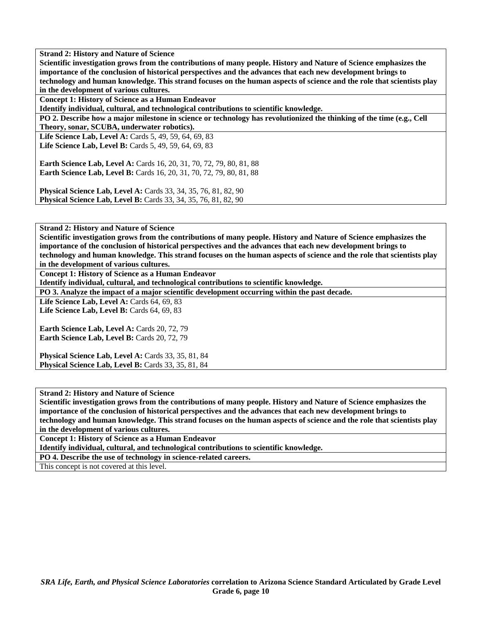**Scientific investigation grows from the contributions of many people. History and Nature of Science emphasizes the importance of the conclusion of historical perspectives and the advances that each new development brings to technology and human knowledge. This strand focuses on the human aspects of science and the role that scientists play in the development of various cultures.** 

**Concept 1: History of Science as a Human Endeavor** 

**Identify individual, cultural, and technological contributions to scientific knowledge.** 

**PO 2. Describe how a major milestone in science or technology has revolutionized the thinking of the time (e.g., Cell Theory, sonar, SCUBA, underwater robotics).** 

Life Science Lab, Level A: Cards 5, 49, 59, 64, 69, 83 **Life Science Lab, Level B:** Cards 5, 49, 59, 64, 69, 83

**Earth Science Lab, Level A: Cards 16, 20, 31, 70, 72, 79, 80, 81, 88 Earth Science Lab, Level B:** Cards 16, 20, 31, 70, 72, 79, 80, 81, 88

**Physical Science Lab, Level A:** Cards 33, 34, 35, 76, 81, 82, 90 **Physical Science Lab, Level B:** Cards 33, 34, 35, 76, 81, 82, 90

**Strand 2: History and Nature of Science** 

**Scientific investigation grows from the contributions of many people. History and Nature of Science emphasizes the importance of the conclusion of historical perspectives and the advances that each new development brings to technology and human knowledge. This strand focuses on the human aspects of science and the role that scientists play** 

**in the development of various cultures.** 

**Concept 1: History of Science as a Human Endeavor** 

**Identify individual, cultural, and technological contributions to scientific knowledge.** 

**PO 3. Analyze the impact of a major scientific development occurring within the past decade.** 

**Life Science Lab, Level A: Cards 64, 69, 83** Life Science Lab, Level B: Cards 64, 69, 83

Earth Science Lab, Level A: Cards 20, 72, 79 Earth Science Lab, Level B: Cards 20, 72, 79

**Physical Science Lab, Level A:** Cards 33, 35, 81, 84 **Physical Science Lab, Level B:** Cards 33, 35, 81, 84

**Strand 2: History and Nature of Science** 

**Scientific investigation grows from the contributions of many people. History and Nature of Science emphasizes the importance of the conclusion of historical perspectives and the advances that each new development brings to technology and human knowledge. This strand focuses on the human aspects of science and the role that scientists play in the development of various cultures.** 

**Concept 1: History of Science as a Human Endeavor** 

**Identify individual, cultural, and technological contributions to scientific knowledge.** 

**PO 4. Describe the use of technology in science-related careers.** 

This concept is not covered at this level.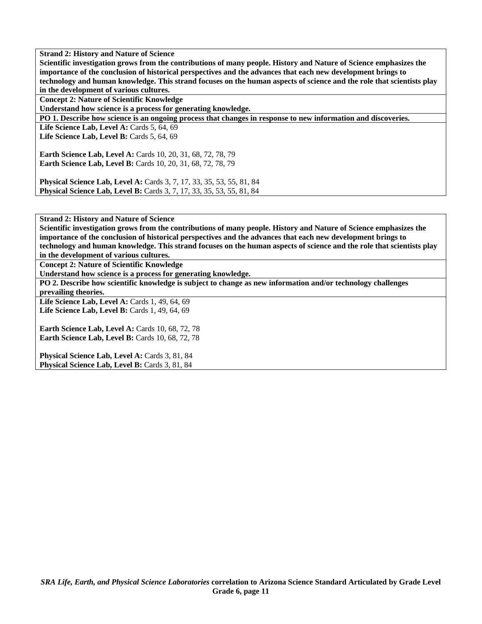**Scientific investigation grows from the contributions of many people. History and Nature of Science emphasizes the importance of the conclusion of historical perspectives and the advances that each new development brings to technology and human knowledge. This strand focuses on the human aspects of science and the role that scientists play in the development of various cultures.** 

**Concept 2: Nature of Scientific Knowledge** 

**Understand how science is a process for generating knowledge.** 

**PO 1. Describe how science is an ongoing process that changes in response to new information and discoveries.** 

**Life Science Lab, Level A: Cards 5, 64, 69 Life Science Lab, Level B: Cards 5, 64, 69** 

**Earth Science Lab, Level A:** Cards 10, 20, 31, 68, 72, 78, 79 **Earth Science Lab, Level B:** Cards 10, 20, 31, 68, 72, 78, 79

**Physical Science Lab, Level A:** Cards 3, 7, 17, 33, 35, 53, 55, 81, 84 **Physical Science Lab, Level B:** Cards 3, 7, 17, 33, 35, 53, 55, 81, 84

**Strand 2: History and Nature of Science** 

**Scientific investigation grows from the contributions of many people. History and Nature of Science emphasizes the importance of the conclusion of historical perspectives and the advances that each new development brings to technology and human knowledge. This strand focuses on the human aspects of science and the role that scientists play in the development of various cultures.** 

**Concept 2: Nature of Scientific Knowledge** 

**Understand how science is a process for generating knowledge.** 

**PO 2. Describe how scientific knowledge is subject to change as new information and/or technology challenges prevailing theories.** 

**Life Science Lab, Level A: Cards 1, 49, 64, 69** Life Science Lab, Level B: Cards 1, 49, 64, 69

**Earth Science Lab, Level A: Cards 10, 68, 72, 78 Earth Science Lab, Level B: Cards 10, 68, 72, 78** 

Physical Science Lab, Level A: Cards 3, 81, 84 Physical Science Lab, Level B: Cards 3, 81, 84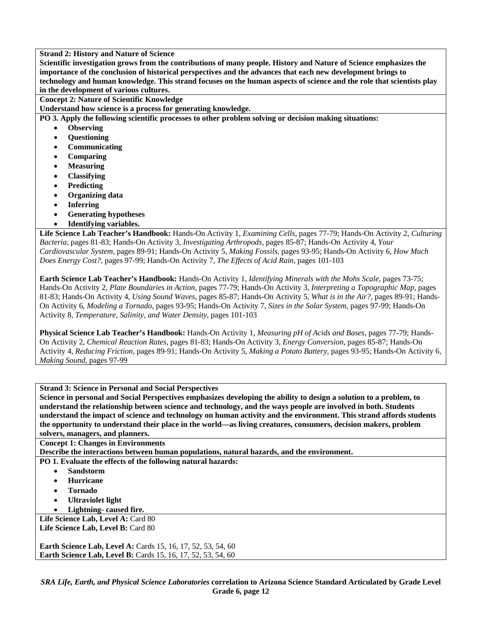**Scientific investigation grows from the contributions of many people. History and Nature of Science emphasizes the importance of the conclusion of historical perspectives and the advances that each new development brings to technology and human knowledge. This strand focuses on the human aspects of science and the role that scientists play in the development of various cultures.** 

**Concept 2: Nature of Scientific Knowledge** 

**Understand how science is a process for generating knowledge.** 

**PO 3. Apply the following scientific processes to other problem solving or decision making situations:** 

- **Observing**
- **Questioning**
- **Communicating**
- **Comparing**
- **Measuring**
- **Classifying**
- **Predicting**
- **Organizing data**
- **Inferring**
- **Generating hypotheses**
- **Identifying variables.**

**Life Science Lab Teacher's Handbook:** Hands-On Activity 1, *Examining Cells,* pages 77-79; Hands-On Activity 2, *Culturing Bacteria,* pages 81-83; Hands-On Activity 3, *Investigating Arthropods,* pages 85-87; Hands-On Activity 4, *Your Cardiovascular System,* pages 89-91; Hands-On Activity 5, *Making Fossils,* pages 93-95; Hands-On Activity 6, *How Much Does Energy Cost?,* pages 97-99; Hands-On Activity 7, *The Effects of Acid Rain,* pages 101-103

**Earth Science Lab Teacher's Handbook:** Hands-On Activity 1, *Identifying Minerals with the Mohs Scale,* pages 73-75; Hands-On Activity 2, *Plate Boundaries in Action,* pages 77-79; Hands-On Activity 3, *Interpreting a Topographic Map,* pages 81-83; Hands-On Activity 4, *Using Sound Waves,* pages 85-87; Hands-On Activity 5, *What is in the Air?,* pages 89-91; Hands-On Activity 6, *Modeling a Tornado,* pages 93-95; Hands-On Activity 7, *Sizes in the Solar System,* pages 97-99; Hands-On Activity 8, *Temperature, Salinity, and Water Density,* pages 101-103

**Physical Science Lab Teacher's Handbook:** Hands-On Activity 1, *Measuring pH of Acids and Bases,* pages 77-79; Hands-On Activity 2, *Chemical Reaction Rates,* pages 81-83; Hands-On Activity 3, *Energy Conversion,* pages 85-87; Hands-On Activity 4, *Reducing Friction,* pages 89-91; Hands-On Activity 5, *Making a Potato Battery,* pages 93-95; Hands-On Activity 6, *Making Sound,* pages 97-99

**Strand 3: Science in Personal and Social Perspectives** 

**Science in personal and Social Perspectives emphasizes developing the ability to design a solution to a problem, to understand the relationship between science and technology, and the ways people are involved in both. Students understand the impact of science and technology on human activity and the environment. This strand affords students the opportunity to understand their place in the world—as living creatures, consumers, decision makers, problem solvers, managers, and planners.** 

**Concept 1: Changes in Environments** 

**Describe the interactions between human populations, natural hazards, and the environment.** 

**PO 1. Evaluate the effects of the following natural hazards:** 

- **Sandstorm**
- **Hurricane**
- **Tornado**
- **Ultraviolet light**
- **Lightning- caused fire.**

Life Science Lab, Level A: Card 80 Life Science Lab, Level B: Card 80

**Earth Science Lab, Level A: Cards 15, 16, 17, 52, 53, 54, 60 Earth Science Lab, Level B:** Cards 15, 16, 17, 52, 53, 54, 60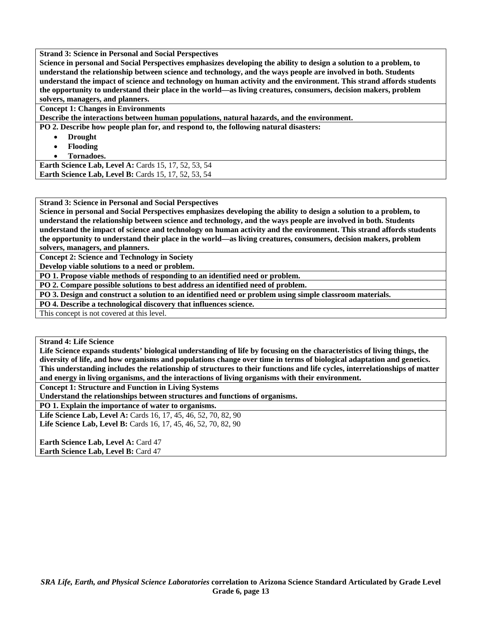**Strand 3: Science in Personal and Social Perspectives** 

**Science in personal and Social Perspectives emphasizes developing the ability to design a solution to a problem, to understand the relationship between science and technology, and the ways people are involved in both. Students understand the impact of science and technology on human activity and the environment. This strand affords students the opportunity to understand their place in the world—as living creatures, consumers, decision makers, problem solvers, managers, and planners.** 

**Concept 1: Changes in Environments** 

**Describe the interactions between human populations, natural hazards, and the environment.** 

**PO 2. Describe how people plan for, and respond to, the following natural disasters:** 

- **Drought**
- **Flooding**
- **Tornadoes.**

**Earth Science Lab, Level A:** Cards 15, 17, 52, 53, 54 **Earth Science Lab, Level B: Cards 15, 17, 52, 53, 54** 

**Strand 3: Science in Personal and Social Perspectives** 

**Science in personal and Social Perspectives emphasizes developing the ability to design a solution to a problem, to understand the relationship between science and technology, and the ways people are involved in both. Students understand the impact of science and technology on human activity and the environment. This strand affords students the opportunity to understand their place in the world—as living creatures, consumers, decision makers, problem solvers, managers, and planners.** 

**Concept 2: Science and Technology in Society** 

**Develop viable solutions to a need or problem.** 

**PO 1. Propose viable methods of responding to an identified need or problem.** 

**PO 2. Compare possible solutions to best address an identified need of problem.** 

**PO 3. Design and construct a solution to an identified need or problem using simple classroom materials.** 

**PO 4. Describe a technological discovery that influences science.** 

This concept is not covered at this level.

**Strand 4: Life Science** 

**Life Science expands students' biological understanding of life by focusing on the characteristics of living things, the diversity of life, and how organisms and populations change over time in terms of biological adaptation and genetics. This understanding includes the relationship of structures to their functions and life cycles, interrelationships of matter and energy in living organisms, and the interactions of living organisms with their environment.** 

**Concept 1: Structure and Function in Living Systems** 

**Understand the relationships between structures and functions of organisms.** 

**PO 1. Explain the importance of water to organisms.** 

**Life Science Lab, Level A:** Cards 16, 17, 45, 46, 52, 70, 82, 90 **Life Science Lab, Level B:** Cards 16, 17, 45, 46, 52, 70, 82, 90

**Earth Science Lab, Level A: Card 47 Earth Science Lab, Level B: Card 47**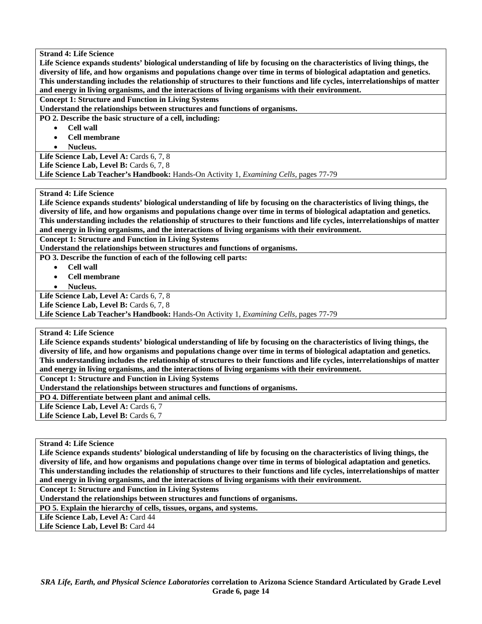**Life Science expands students' biological understanding of life by focusing on the characteristics of living things, the diversity of life, and how organisms and populations change over time in terms of biological adaptation and genetics. This understanding includes the relationship of structures to their functions and life cycles, interrelationships of matter and energy in living organisms, and the interactions of living organisms with their environment.** 

**Concept 1: Structure and Function in Living Systems** 

**Understand the relationships between structures and functions of organisms.** 

**PO 2. Describe the basic structure of a cell, including:** 

- **Cell wall**
- **Cell membrane**
- **Nucleus.**

Life Science Lab, Level A: Cards 6, 7, 8

Life Science Lab, Level B: Cards 6, 7, 8

**Life Science Lab Teacher's Handbook:** Hands-On Activity 1, *Examining Cells,* pages 77-79

# **Strand 4: Life Science**

**Life Science expands students' biological understanding of life by focusing on the characteristics of living things, the diversity of life, and how organisms and populations change over time in terms of biological adaptation and genetics. This understanding includes the relationship of structures to their functions and life cycles, interrelationships of matter and energy in living organisms, and the interactions of living organisms with their environment.** 

**Concept 1: Structure and Function in Living Systems** 

**Understand the relationships between structures and functions of organisms.** 

**PO 3. Describe the function of each of the following cell parts:** 

- **Cell wall**
- **Cell membrane**
- **Nucleus.**

Life Science Lab, Level A: Cards 6, 7, 8

Life Science Lab, Level B: Cards 6, 7, 8

**Life Science Lab Teacher's Handbook:** Hands-On Activity 1, *Examining Cells,* pages 77-79

**Strand 4: Life Science** 

**Life Science expands students' biological understanding of life by focusing on the characteristics of living things, the diversity of life, and how organisms and populations change over time in terms of biological adaptation and genetics. This understanding includes the relationship of structures to their functions and life cycles, interrelationships of matter and energy in living organisms, and the interactions of living organisms with their environment.** 

**Concept 1: Structure and Function in Living Systems** 

**Understand the relationships between structures and functions of organisms.** 

**PO 4. Differentiate between plant and animal cells.** 

Life Science Lab, Level A: Cards 6, 7

Life Science Lab, Level B: Cards 6, 7

**Strand 4: Life Science** 

**Life Science expands students' biological understanding of life by focusing on the characteristics of living things, the diversity of life, and how organisms and populations change over time in terms of biological adaptation and genetics. This understanding includes the relationship of structures to their functions and life cycles, interrelationships of matter and energy in living organisms, and the interactions of living organisms with their environment.** 

**Concept 1: Structure and Function in Living Systems** 

**Understand the relationships between structures and functions of organisms.** 

**PO 5. Explain the hierarchy of cells, tissues, organs, and systems.** 

Life Science Lab, Level A: Card 44

Life Science Lab, Level B: Card 44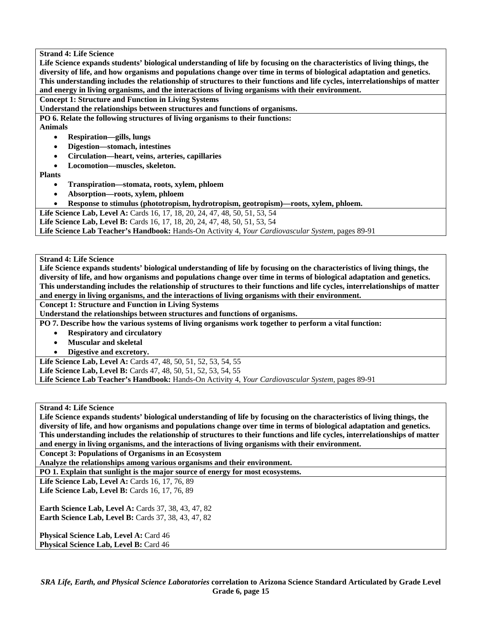**Life Science expands students' biological understanding of life by focusing on the characteristics of living things, the diversity of life, and how organisms and populations change over time in terms of biological adaptation and genetics. This understanding includes the relationship of structures to their functions and life cycles, interrelationships of matter and energy in living organisms, and the interactions of living organisms with their environment.** 

**Concept 1: Structure and Function in Living Systems** 

**Understand the relationships between structures and functions of organisms.** 

**PO 6. Relate the following structures of living organisms to their functions:** 

**Animals** 

- **Respiration—gills, lungs**
- **Digestion—stomach, intestines**
- **Circulation—heart, veins, arteries, capillaries**
- **Locomotion—muscles, skeleton.**

**Plants** 

- **Transpiration—stomata, roots, xylem, phloem**
- **Absorption—roots, xylem, phloem**
- **Response to stimulus (phototropism, hydrotropism, geotropism)—roots, xylem, phloem.**

Life Science Lab, Level A: Cards 16, 17, 18, 20, 24, 47, 48, 50, 51, 53, 54

Life Science Lab, Level B: Cards 16, 17, 18, 20, 24, 47, 48, 50, 51, 53, 54

**Life Science Lab Teacher's Handbook:** Hands-On Activity 4, *Your Cardiovascular System,* pages 89-91

**Strand 4: Life Science** 

**Life Science expands students' biological understanding of life by focusing on the characteristics of living things, the diversity of life, and how organisms and populations change over time in terms of biological adaptation and genetics. This understanding includes the relationship of structures to their functions and life cycles, interrelationships of matter and energy in living organisms, and the interactions of living organisms with their environment.** 

**Concept 1: Structure and Function in Living Systems** 

**Understand the relationships between structures and functions of organisms.** 

**PO 7. Describe how the various systems of living organisms work together to perform a vital function:** 

- **Respiratory and circulatory**
- **Muscular and skeletal**
- **Digestive and excretory.**

**Life Science Lab, Level A:** Cards 47, 48, 50, 51, 52, 53, 54, 55 **Life Science Lab, Level B:** Cards 47, 48, 50, 51, 52, 53, 54, 55 **Life Science Lab Teacher's Handbook:** Hands-On Activity 4, *Your Cardiovascular System,* pages 89-91

**Strand 4: Life Science** 

**Life Science expands students' biological understanding of life by focusing on the characteristics of living things, the diversity of life, and how organisms and populations change over time in terms of biological adaptation and genetics. This understanding includes the relationship of structures to their functions and life cycles, interrelationships of matter and energy in living organisms, and the interactions of living organisms with their environment.** 

**Concept 3: Populations of Organisms in an Ecosystem** 

**Analyze the relationships among various organisms and their environment.** 

**PO 1. Explain that sunlight is the major source of energy for most ecosystems.** 

Life Science Lab, Level A: Cards 16, 17, 76, 89 Life Science Lab, Level B: Cards 16, 17, 76, 89

**Earth Science Lab, Level A: Cards 37, 38, 43, 47, 82 Earth Science Lab, Level B: Cards 37, 38, 43, 47, 82** 

Physical Science Lab, Level A: Card 46 **Physical Science Lab, Level B: Card 46**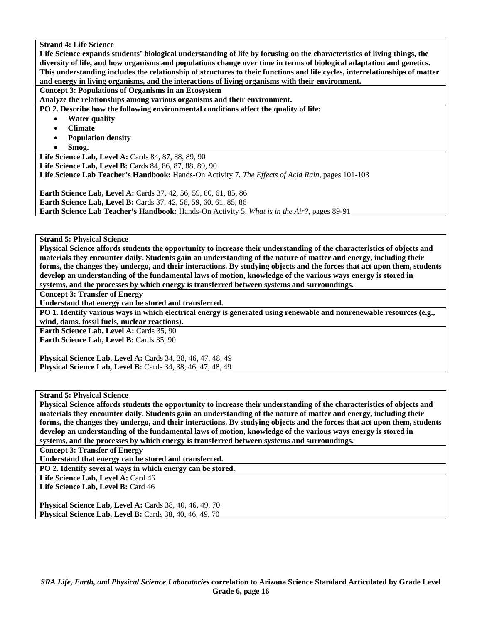**Life Science expands students' biological understanding of life by focusing on the characteristics of living things, the diversity of life, and how organisms and populations change over time in terms of biological adaptation and genetics. This understanding includes the relationship of structures to their functions and life cycles, interrelationships of matter and energy in living organisms, and the interactions of living organisms with their environment.** 

**Concept 3: Populations of Organisms in an Ecosystem** 

**Analyze the relationships among various organisms and their environment.** 

**PO 2. Describe how the following environmental conditions affect the quality of life:** 

- **Water quality**
- **Climate**
- **Population density**
- **Smog.**

Life Science Lab, Level A: Cards 84, 87, 88, 89, 90 **Life Science Lab, Level B:** Cards 84, 86, 87, 88, 89, 90 **Life Science Lab Teacher's Handbook:** Hands-On Activity 7, *The Effects of Acid Rain,* pages 101-103

**Earth Science Lab, Level A:** Cards 37, 42, 56, 59, 60, 61, 85, 86 **Earth Science Lab, Level B:** Cards 37, 42, 56, 59, 60, 61, 85, 86 **Earth Science Lab Teacher's Handbook:** Hands-On Activity 5, *What is in the Air?,* pages 89-91

**Strand 5: Physical Science** 

**Physical Science affords students the opportunity to increase their understanding of the characteristics of objects and materials they encounter daily. Students gain an understanding of the nature of matter and energy, including their forms, the changes they undergo, and their interactions. By studying objects and the forces that act upon them, students develop an understanding of the fundamental laws of motion, knowledge of the various ways energy is stored in systems, and the processes by which energy is transferred between systems and surroundings.** 

**Concept 3: Transfer of Energy** 

**Understand that energy can be stored and transferred.** 

**PO 1. Identify various ways in which electrical energy is generated using renewable and nonrenewable resources (e.g.,** 

**wind, dams, fossil fuels, nuclear reactions).** 

**Earth Science Lab, Level A: Cards 35, 90** Earth Science Lab, Level B: Cards 35, 90

**Physical Science Lab, Level A: Cards 34, 38, 46, 47, 48, 49 Physical Science Lab, Level B:** Cards 34, 38, 46, 47, 48, 49

# **Strand 5: Physical Science**

**Physical Science affords students the opportunity to increase their understanding of the characteristics of objects and materials they encounter daily. Students gain an understanding of the nature of matter and energy, including their forms, the changes they undergo, and their interactions. By studying objects and the forces that act upon them, students develop an understanding of the fundamental laws of motion, knowledge of the various ways energy is stored in systems, and the processes by which energy is transferred between systems and surroundings.** 

**Concept 3: Transfer of Energy** 

**Understand that energy can be stored and transferred.** 

**PO 2. Identify several ways in which energy can be stored.** 

Life Science Lab, Level A: Card 46

Life Science Lab, Level B: Card 46

**Physical Science Lab, Level A: Cards 38, 40, 46, 49, 70 Physical Science Lab, Level B: Cards 38, 40, 46, 49, 70**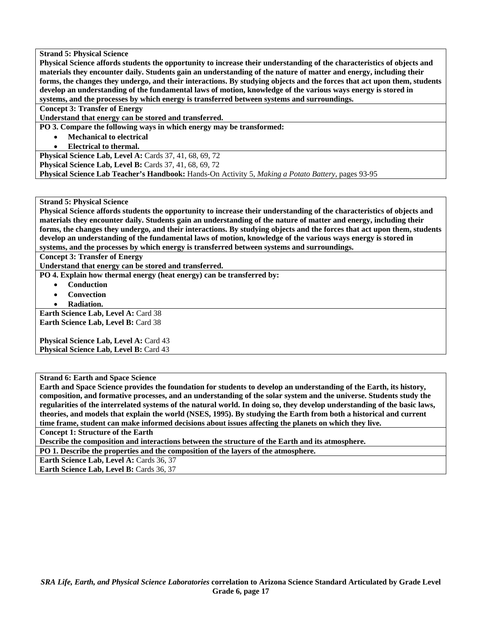**Physical Science affords students the opportunity to increase their understanding of the characteristics of objects and materials they encounter daily. Students gain an understanding of the nature of matter and energy, including their forms, the changes they undergo, and their interactions. By studying objects and the forces that act upon them, students develop an understanding of the fundamental laws of motion, knowledge of the various ways energy is stored in systems, and the processes by which energy is transferred between systems and surroundings.** 

#### **Concept 3: Transfer of Energy**

**Understand that energy can be stored and transferred.** 

**PO 3. Compare the following ways in which energy may be transformed:** 

- **Mechanical to electrical**
- **Electrical to thermal.**

**Physical Science Lab, Level A: Cards 37, 41, 68, 69, 72 Physical Science Lab, Level B: Cards 37, 41, 68, 69, 72 Physical Science Lab Teacher's Handbook:** Hands-On Activity 5, *Making a Potato Battery,* pages 93-95

# **Strand 5: Physical Science**

**Physical Science affords students the opportunity to increase their understanding of the characteristics of objects and materials they encounter daily. Students gain an understanding of the nature of matter and energy, including their forms, the changes they undergo, and their interactions. By studying objects and the forces that act upon them, students develop an understanding of the fundamental laws of motion, knowledge of the various ways energy is stored in systems, and the processes by which energy is transferred between systems and surroundings.** 

**Concept 3: Transfer of Energy** 

**Understand that energy can be stored and transferred.** 

**PO 4. Explain how thermal energy (heat energy) can be transferred by:** 

- **Conduction**
- **Convection**
- **Radiation.**

**Earth Science Lab, Level A: Card 38 Earth Science Lab, Level B: Card 38** 

**Physical Science Lab, Level A: Card 43 Physical Science Lab, Level B: Card 43** 

**Strand 6: Earth and Space Science** 

**Earth and Space Science provides the foundation for students to develop an understanding of the Earth, its history, composition, and formative processes, and an understanding of the solar system and the universe. Students study the regularities of the interrelated systems of the natural world. In doing so, they develop understanding of the basic laws, theories, and models that explain the world (NSES, 1995). By studying the Earth from both a historical and current time frame, student can make informed decisions about issues affecting the planets on which they live.** 

**Concept 1: Structure of the Earth** 

**Describe the composition and interactions between the structure of the Earth and its atmosphere.** 

**PO 1. Describe the properties and the composition of the layers of the atmosphere.** 

**Earth Science Lab, Level A: Cards 36, 37** 

**Earth Science Lab, Level B: Cards 36, 37**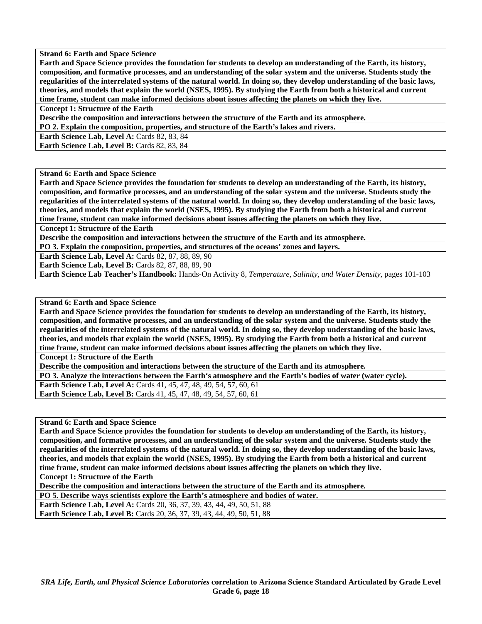**Earth and Space Science provides the foundation for students to develop an understanding of the Earth, its history, composition, and formative processes, and an understanding of the solar system and the universe. Students study the regularities of the interrelated systems of the natural world. In doing so, they develop understanding of the basic laws, theories, and models that explain the world (NSES, 1995). By studying the Earth from both a historical and current time frame, student can make informed decisions about issues affecting the planets on which they live.** 

**Concept 1: Structure of the Earth** 

**Describe the composition and interactions between the structure of the Earth and its atmosphere.** 

**PO 2. Explain the composition, properties, and structure of the Earth's lakes and rivers.** 

Earth Science Lab, Level A: Cards 82, 83, 84

**Earth Science Lab, Level B: Cards 82, 83, 84** 

**Strand 6: Earth and Space Science** 

**Earth and Space Science provides the foundation for students to develop an understanding of the Earth, its history, composition, and formative processes, and an understanding of the solar system and the universe. Students study the regularities of the interrelated systems of the natural world. In doing so, they develop understanding of the basic laws, theories, and models that explain the world (NSES, 1995). By studying the Earth from both a historical and current time frame, student can make informed decisions about issues affecting the planets on which they live.** 

**Concept 1: Structure of the Earth** 

**Describe the composition and interactions between the structure of the Earth and its atmosphere.** 

**PO 3. Explain the composition, properties, and structures of the oceans' zones and layers.** 

**Earth Science Lab, Level A: Cards 82, 87, 88, 89, 90** 

**Earth Science Lab, Level B: Cards 82, 87, 88, 89, 90** 

**Earth Science Lab Teacher's Handbook:** Hands-On Activity 8, *Temperature, Salinity, and Water Density,* pages 101-103

**Strand 6: Earth and Space Science** 

**Earth and Space Science provides the foundation for students to develop an understanding of the Earth, its history, composition, and formative processes, and an understanding of the solar system and the universe. Students study the regularities of the interrelated systems of the natural world. In doing so, they develop understanding of the basic laws, theories, and models that explain the world (NSES, 1995). By studying the Earth from both a historical and current time frame, student can make informed decisions about issues affecting the planets on which they live.** 

**Concept 1: Structure of the Earth** 

**Describe the composition and interactions between the structure of the Earth and its atmosphere.** 

**PO 3. Analyze the interactions between the Earth's atmosphere and the Earth's bodies of water (water cycle).** 

**Earth Science Lab, Level A: Cards 41, 45, 47, 48, 49, 54, 57, 60, 61** 

**Earth Science Lab, Level B:** Cards 41, 45, 47, 48, 49, 54, 57, 60, 61

**Strand 6: Earth and Space Science** 

**Earth and Space Science provides the foundation for students to develop an understanding of the Earth, its history, composition, and formative processes, and an understanding of the solar system and the universe. Students study the regularities of the interrelated systems of the natural world. In doing so, they develop understanding of the basic laws, theories, and models that explain the world (NSES, 1995). By studying the Earth from both a historical and current time frame, student can make informed decisions about issues affecting the planets on which they live.** 

**Concept 1: Structure of the Earth** 

**Describe the composition and interactions between the structure of the Earth and its atmosphere.** 

**PO 5. Describe ways scientists explore the Earth's atmosphere and bodies of water.** 

**Earth Science Lab, Level A:** Cards 20, 36, 37, 39, 43, 44, 49, 50, 51, 88 **Earth Science Lab, Level B:** Cards 20, 36, 37, 39, 43, 44, 49, 50, 51, 88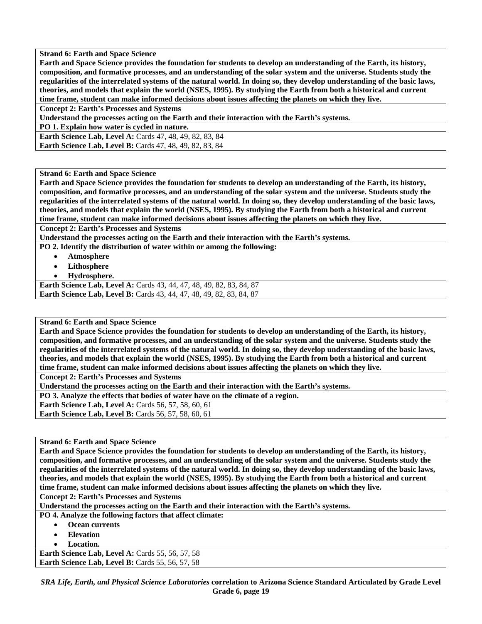**Earth and Space Science provides the foundation for students to develop an understanding of the Earth, its history, composition, and formative processes, and an understanding of the solar system and the universe. Students study the regularities of the interrelated systems of the natural world. In doing so, they develop understanding of the basic laws, theories, and models that explain the world (NSES, 1995). By studying the Earth from both a historical and current time frame, student can make informed decisions about issues affecting the planets on which they live.** 

**Concept 2: Earth's Processes and Systems** 

**Understand the processes acting on the Earth and their interaction with the Earth's systems.** 

**PO 1. Explain how water is cycled in nature.** 

**Earth Science Lab, Level A:** Cards 47, 48, 49, 82, 83, 84 **Earth Science Lab, Level B:** Cards 47, 48, 49, 82, 83, 84

**Strand 6: Earth and Space Science** 

**Earth and Space Science provides the foundation for students to develop an understanding of the Earth, its history, composition, and formative processes, and an understanding of the solar system and the universe. Students study the regularities of the interrelated systems of the natural world. In doing so, they develop understanding of the basic laws, theories, and models that explain the world (NSES, 1995). By studying the Earth from both a historical and current time frame, student can make informed decisions about issues affecting the planets on which they live.** 

**Concept 2: Earth's Processes and Systems** 

**Understand the processes acting on the Earth and their interaction with the Earth's systems.** 

**PO 2. Identify the distribution of water within or among the following:** 

- **Atmosphere**
- **Lithosphere**
- **Hydrosphere.**

**Earth Science Lab, Level A:** Cards 43, 44, 47, 48, 49, 82, 83, 84, 87 Earth Science Lab, Level B: Cards 43, 44, 47, 48, 49, 82, 83, 84, 87

**Strand 6: Earth and Space Science** 

**Earth and Space Science provides the foundation for students to develop an understanding of the Earth, its history, composition, and formative processes, and an understanding of the solar system and the universe. Students study the regularities of the interrelated systems of the natural world. In doing so, they develop understanding of the basic laws, theories, and models that explain the world (NSES, 1995). By studying the Earth from both a historical and current time frame, student can make informed decisions about issues affecting the planets on which they live.** 

**Concept 2: Earth's Processes and Systems** 

**Understand the processes acting on the Earth and their interaction with the Earth's systems.** 

**PO 3. Analyze the effects that bodies of water have on the climate of a region.** 

**Earth Science Lab, Level A: Cards 56, 57, 58, 60, 61** 

**Earth Science Lab, Level B: Cards 56, 57, 58, 60, 61** 

**Strand 6: Earth and Space Science** 

**Earth and Space Science provides the foundation for students to develop an understanding of the Earth, its history, composition, and formative processes, and an understanding of the solar system and the universe. Students study the regularities of the interrelated systems of the natural world. In doing so, they develop understanding of the basic laws, theories, and models that explain the world (NSES, 1995). By studying the Earth from both a historical and current time frame, student can make informed decisions about issues affecting the planets on which they live.** 

**Concept 2: Earth's Processes and Systems** 

**Understand the processes acting on the Earth and their interaction with the Earth's systems.** 

**PO 4. Analyze the following factors that affect climate:** 

- **Ocean currents**
- **Elevation**
- **Location.**

Earth Science Lab, Level A: Cards 55, 56, 57, 58 **Earth Science Lab, Level B: Cards 55, 56, 57, 58**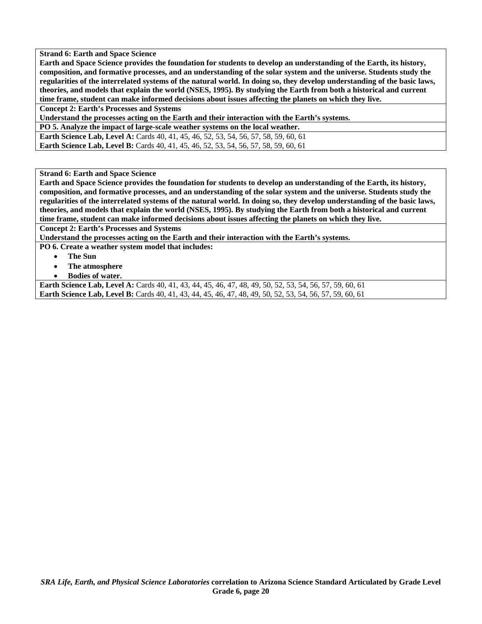**Earth and Space Science provides the foundation for students to develop an understanding of the Earth, its history, composition, and formative processes, and an understanding of the solar system and the universe. Students study the regularities of the interrelated systems of the natural world. In doing so, they develop understanding of the basic laws, theories, and models that explain the world (NSES, 1995). By studying the Earth from both a historical and current time frame, student can make informed decisions about issues affecting the planets on which they live.** 

**Concept 2: Earth's Processes and Systems** 

**Understand the processes acting on the Earth and their interaction with the Earth's systems.** 

**PO 5. Analyze the impact of large-scale weather systems on the local weather. Earth Science Lab, Level A:** Cards 40, 41, 45, 46, 52, 53, 54, 56, 57, 58, 59, 60, 61 **Earth Science Lab, Level B:** Cards 40, 41, 45, 46, 52, 53, 54, 56, 57, 58, 59, 60, 61

**Strand 6: Earth and Space Science** 

**Earth and Space Science provides the foundation for students to develop an understanding of the Earth, its history, composition, and formative processes, and an understanding of the solar system and the universe. Students study the regularities of the interrelated systems of the natural world. In doing so, they develop understanding of the basic laws, theories, and models that explain the world (NSES, 1995). By studying the Earth from both a historical and current time frame, student can make informed decisions about issues affecting the planets on which they live.** 

**Concept 2: Earth's Processes and Systems** 

**Understand the processes acting on the Earth and their interaction with the Earth's systems.** 

**PO 6. Create a weather system model that includes:** 

- **The Sun** 
	- **The atmosphere**
- **Bodies of water.**

**Earth Science Lab, Level A:** Cards 40, 41, 43, 44, 45, 46, 47, 48, 49, 50, 52, 53, 54, 56, 57, 59, 60, 61 **Earth Science Lab, Level B:** Cards 40, 41, 43, 44, 45, 46, 47, 48, 49, 50, 52, 53, 54, 56, 57, 59, 60, 61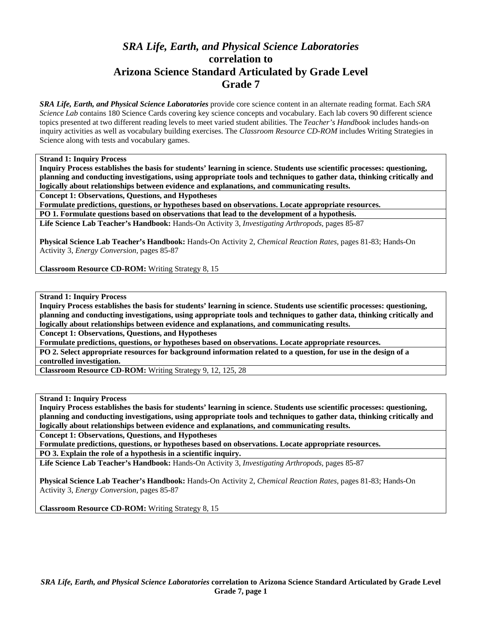# *SRA Life, Earth, and Physical Science Laboratories*  **correlation to Arizona Science Standard Articulated by Grade Level Grade 7**

*SRA Life, Earth, and Physical Science Laboratories* provide core science content in an alternate reading format. Each *SRA Science Lab* contains 180 Science Cards covering key science concepts and vocabulary. Each lab covers 90 different science topics presented at two different reading levels to meet varied student abilities. The *Teacher's Handbook* includes hands-on inquiry activities as well as vocabulary building exercises. The *Classroom Resource CD-ROM* includes Writing Strategies in Science along with tests and vocabulary games.

**Strand 1: Inquiry Process** 

**Inquiry Process establishes the basis for students' learning in science. Students use scientific processes: questioning, planning and conducting investigations, using appropriate tools and techniques to gather data, thinking critically and logically about relationships between evidence and explanations, and communicating results.** 

**Concept 1: Observations, Questions, and Hypotheses** 

**Formulate predictions, questions, or hypotheses based on observations. Locate appropriate resources.** 

**PO 1. Formulate questions based on observations that lead to the development of a hypothesis.** 

**Life Science Lab Teacher's Handbook:** Hands-On Activity 3, *Investigating Arthropods,* pages 85-87

**Physical Science Lab Teacher's Handbook:** Hands-On Activity 2, *Chemical Reaction Rates,* pages 81-83; Hands-On Activity 3, *Energy Conversion,* pages 85-87

**Classroom Resource CD-ROM:** Writing Strategy 8, 15

**Strand 1: Inquiry Process** 

**Inquiry Process establishes the basis for students' learning in science. Students use scientific processes: questioning, planning and conducting investigations, using appropriate tools and techniques to gather data, thinking critically and logically about relationships between evidence and explanations, and communicating results.** 

**Concept 1: Observations, Questions, and Hypotheses** 

**Formulate predictions, questions, or hypotheses based on observations. Locate appropriate resources.** 

**PO 2. Select appropriate resources for background information related to a question, for use in the design of a controlled investigation.** 

**Classroom Resource CD-ROM:** Writing Strategy 9, 12, 125, 28

**Strand 1: Inquiry Process** 

**Inquiry Process establishes the basis for students' learning in science. Students use scientific processes: questioning, planning and conducting investigations, using appropriate tools and techniques to gather data, thinking critically and logically about relationships between evidence and explanations, and communicating results.** 

**Concept 1: Observations, Questions, and Hypotheses** 

**Formulate predictions, questions, or hypotheses based on observations. Locate appropriate resources. PO 3. Explain the role of a hypothesis in a scientific inquiry.** 

**Life Science Lab Teacher's Handbook:** Hands-On Activity 3, *Investigating Arthropods,* pages 85-87

**Physical Science Lab Teacher's Handbook:** Hands-On Activity 2, *Chemical Reaction Rates,* pages 81-83; Hands-On Activity 3, *Energy Conversion,* pages 85-87

**Classroom Resource CD-ROM:** Writing Strategy 8, 15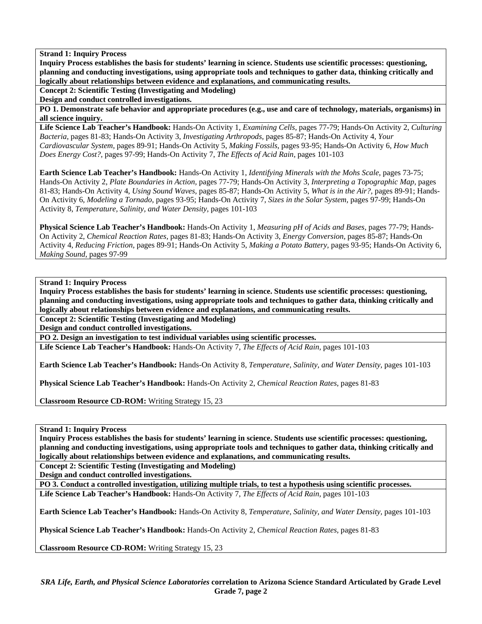**Inquiry Process establishes the basis for students' learning in science. Students use scientific processes: questioning, planning and conducting investigations, using appropriate tools and techniques to gather data, thinking critically and logically about relationships between evidence and explanations, and communicating results.** 

**Concept 2: Scientific Testing (Investigating and Modeling)** 

**Design and conduct controlled investigations.** 

**PO 1. Demonstrate safe behavior and appropriate procedures (e.g., use and care of technology, materials, organisms) in all science inquiry.** 

**Life Science Lab Teacher's Handbook:** Hands-On Activity 1, *Examining Cells,* pages 77-79; Hands-On Activity 2, *Culturing Bacteria,* pages 81-83; Hands-On Activity 3, *Investigating Arthropods,* pages 85-87; Hands-On Activity 4, *Your Cardiovascular System,* pages 89-91; Hands-On Activity 5, *Making Fossils,* pages 93-95; Hands-On Activity 6, *How Much Does Energy Cost?,* pages 97-99; Hands-On Activity 7, *The Effects of Acid Rain,* pages 101-103

**Earth Science Lab Teacher's Handbook:** Hands-On Activity 1, *Identifying Minerals with the Mohs Scale,* pages 73-75; Hands-On Activity 2, *Plate Boundaries in Action,* pages 77-79; Hands-On Activity 3, *Interpreting a Topographic Map,* pages 81-83; Hands-On Activity 4, *Using Sound Waves,* pages 85-87; Hands-On Activity 5, *What is in the Air?,* pages 89-91; Hands-On Activity 6, *Modeling a Tornado,* pages 93-95; Hands-On Activity 7, *Sizes in the Solar System,* pages 97-99; Hands-On Activity 8, *Temperature, Salinity, and Water Density,* pages 101-103

**Physical Science Lab Teacher's Handbook:** Hands-On Activity 1, *Measuring pH of Acids and Bases,* pages 77-79; Hands-On Activity 2, *Chemical Reaction Rates,* pages 81-83; Hands-On Activity 3, *Energy Conversion,* pages 85-87; Hands-On Activity 4, *Reducing Friction,* pages 89-91; Hands-On Activity 5, *Making a Potato Battery,* pages 93-95; Hands-On Activity 6, *Making Sound,* pages 97-99

## **Strand 1: Inquiry Process**

**Inquiry Process establishes the basis for students' learning in science. Students use scientific processes: questioning, planning and conducting investigations, using appropriate tools and techniques to gather data, thinking critically and logically about relationships between evidence and explanations, and communicating results.** 

**Concept 2: Scientific Testing (Investigating and Modeling)** 

**Design and conduct controlled investigations.** 

**PO 2. Design an investigation to test individual variables using scientific processes.** 

**Life Science Lab Teacher's Handbook:** Hands-On Activity 7, *The Effects of Acid Rain,* pages 101-103

**Earth Science Lab Teacher's Handbook:** Hands-On Activity 8, *Temperature, Salinity, and Water Density,* pages 101-103

**Physical Science Lab Teacher's Handbook:** Hands-On Activity 2, *Chemical Reaction Rates,* pages 81-83

**Classroom Resource CD-ROM:** Writing Strategy 15, 23

**Strand 1: Inquiry Process** 

**Inquiry Process establishes the basis for students' learning in science. Students use scientific processes: questioning, planning and conducting investigations, using appropriate tools and techniques to gather data, thinking critically and logically about relationships between evidence and explanations, and communicating results.** 

**Concept 2: Scientific Testing (Investigating and Modeling)** 

**Design and conduct controlled investigations.** 

**PO 3. Conduct a controlled investigation, utilizing multiple trials, to test a hypothesis using scientific processes. Life Science Lab Teacher's Handbook:** Hands-On Activity 7, *The Effects of Acid Rain,* pages 101-103

**Earth Science Lab Teacher's Handbook:** Hands-On Activity 8, *Temperature, Salinity, and Water Density,* pages 101-103

**Physical Science Lab Teacher's Handbook:** Hands-On Activity 2, *Chemical Reaction Rates,* pages 81-83

**Classroom Resource CD-ROM:** Writing Strategy 15, 23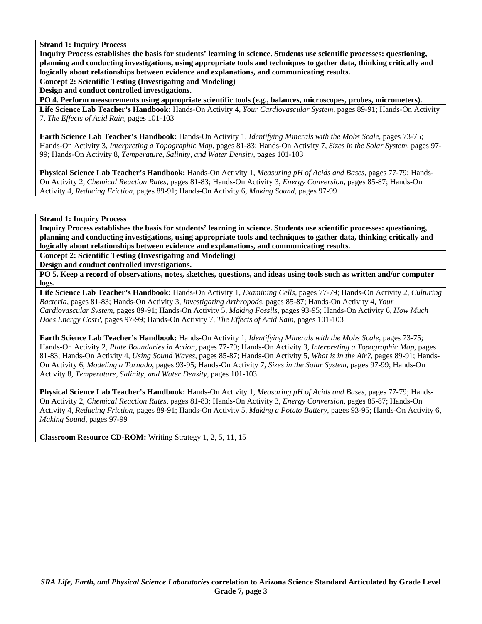**Inquiry Process establishes the basis for students' learning in science. Students use scientific processes: questioning, planning and conducting investigations, using appropriate tools and techniques to gather data, thinking critically and logically about relationships between evidence and explanations, and communicating results.** 

**Concept 2: Scientific Testing (Investigating and Modeling)** 

**Design and conduct controlled investigations.** 

**PO 4. Perform measurements using appropriate scientific tools (e.g., balances, microscopes, probes, micrometers).** 

**Life Science Lab Teacher's Handbook:** Hands-On Activity 4, *Your Cardiovascular System,* pages 89-91; Hands-On Activity 7, *The Effects of Acid Rain,* pages 101-103

**Earth Science Lab Teacher's Handbook:** Hands-On Activity 1, *Identifying Minerals with the Mohs Scale,* pages 73-75; Hands-On Activity 3, *Interpreting a Topographic Map,* pages 81-83; Hands-On Activity 7, *Sizes in the Solar System,* pages 97- 99; Hands-On Activity 8, *Temperature, Salinity, and Water Density,* pages 101-103

**Physical Science Lab Teacher's Handbook:** Hands-On Activity 1, *Measuring pH of Acids and Bases,* pages 77-79; Hands-On Activity 2, *Chemical Reaction Rates,* pages 81-83; Hands-On Activity 3, *Energy Conversion,* pages 85-87; Hands-On Activity 4, *Reducing Friction,* pages 89-91; Hands-On Activity 6, *Making Sound,* pages 97-99

# **Strand 1: Inquiry Process**

**Inquiry Process establishes the basis for students' learning in science. Students use scientific processes: questioning, planning and conducting investigations, using appropriate tools and techniques to gather data, thinking critically and logically about relationships between evidence and explanations, and communicating results.** 

**Concept 2: Scientific Testing (Investigating and Modeling)** 

**Design and conduct controlled investigations.** 

**PO 5. Keep a record of observations, notes, sketches, questions, and ideas using tools such as written and/or computer logs.** 

**Life Science Lab Teacher's Handbook:** Hands-On Activity 1, *Examining Cells,* pages 77-79; Hands-On Activity 2, *Culturing Bacteria,* pages 81-83; Hands-On Activity 3, *Investigating Arthropods,* pages 85-87; Hands-On Activity 4, *Your Cardiovascular System,* pages 89-91; Hands-On Activity 5, *Making Fossils,* pages 93-95; Hands-On Activity 6, *How Much Does Energy Cost?,* pages 97-99; Hands-On Activity 7, *The Effects of Acid Rain,* pages 101-103

**Earth Science Lab Teacher's Handbook:** Hands-On Activity 1, *Identifying Minerals with the Mohs Scale,* pages 73-75; Hands-On Activity 2, *Plate Boundaries in Action,* pages 77-79; Hands-On Activity 3, *Interpreting a Topographic Map,* pages 81-83; Hands-On Activity 4, *Using Sound Waves,* pages 85-87; Hands-On Activity 5, *What is in the Air?,* pages 89-91; Hands-On Activity 6, *Modeling a Tornado,* pages 93-95; Hands-On Activity 7, *Sizes in the Solar System,* pages 97-99; Hands-On Activity 8, *Temperature, Salinity, and Water Density,* pages 101-103

**Physical Science Lab Teacher's Handbook:** Hands-On Activity 1, *Measuring pH of Acids and Bases,* pages 77-79; Hands-On Activity 2, *Chemical Reaction Rates,* pages 81-83; Hands-On Activity 3, *Energy Conversion,* pages 85-87; Hands-On Activity 4, *Reducing Friction,* pages 89-91; Hands-On Activity 5, *Making a Potato Battery,* pages 93-95; Hands-On Activity 6, *Making Sound,* pages 97-99

**Classroom Resource CD-ROM:** Writing Strategy 1, 2, 5, 11, 15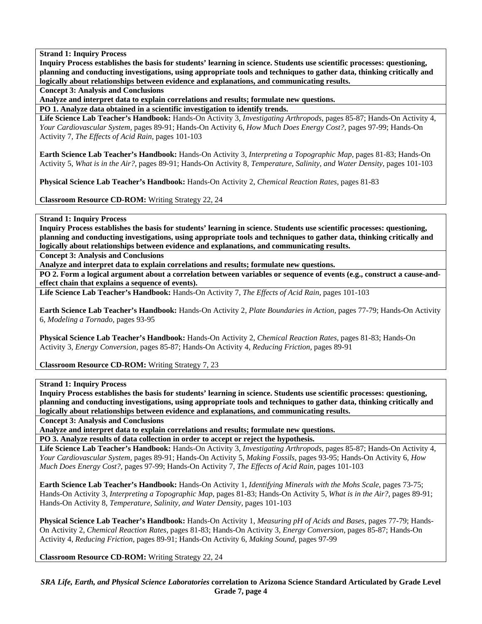**Inquiry Process establishes the basis for students' learning in science. Students use scientific processes: questioning, planning and conducting investigations, using appropriate tools and techniques to gather data, thinking critically and logically about relationships between evidence and explanations, and communicating results.** 

**Concept 3: Analysis and Conclusions** 

**Analyze and interpret data to explain correlations and results; formulate new questions.** 

**PO 1. Analyze data obtained in a scientific investigation to identify trends.** 

**Life Science Lab Teacher's Handbook:** Hands-On Activity 3, *Investigating Arthropods,* pages 85-87; Hands-On Activity 4, *Your Cardiovascular System,* pages 89-91; Hands-On Activity 6, *How Much Does Energy Cost?,* pages 97-99; Hands-On Activity 7, *The Effects of Acid Rain,* pages 101-103

**Earth Science Lab Teacher's Handbook:** Hands-On Activity 3, *Interpreting a Topographic Map,* pages 81-83; Hands-On Activity 5, *What is in the Air?,* pages 89-91; Hands-On Activity 8, *Temperature, Salinity, and Water Density,* pages 101-103

**Physical Science Lab Teacher's Handbook:** Hands-On Activity 2, *Chemical Reaction Rates,* pages 81-83

**Classroom Resource CD-ROM:** Writing Strategy 22, 24

# **Strand 1: Inquiry Process**

**Inquiry Process establishes the basis for students' learning in science. Students use scientific processes: questioning, planning and conducting investigations, using appropriate tools and techniques to gather data, thinking critically and logically about relationships between evidence and explanations, and communicating results.** 

**Concept 3: Analysis and Conclusions** 

**Analyze and interpret data to explain correlations and results; formulate new questions.** 

**PO 2. Form a logical argument about a correlation between variables or sequence of events (e.g., construct a cause-andeffect chain that explains a sequence of events).** 

**Life Science Lab Teacher's Handbook:** Hands-On Activity 7, *The Effects of Acid Rain,* pages 101-103

**Earth Science Lab Teacher's Handbook:** Hands-On Activity 2, *Plate Boundaries in Action,* pages 77-79; Hands-On Activity 6, *Modeling a Tornado,* pages 93-95

**Physical Science Lab Teacher's Handbook:** Hands-On Activity 2, *Chemical Reaction Rates,* pages 81-83; Hands-On Activity 3, *Energy Conversion,* pages 85-87; Hands-On Activity 4, *Reducing Friction,* pages 89-91

**Classroom Resource CD-ROM:** Writing Strategy 7, 23

# **Strand 1: Inquiry Process**

**Inquiry Process establishes the basis for students' learning in science. Students use scientific processes: questioning, planning and conducting investigations, using appropriate tools and techniques to gather data, thinking critically and logically about relationships between evidence and explanations, and communicating results.** 

**Concept 3: Analysis and Conclusions** 

**Analyze and interpret data to explain correlations and results; formulate new questions.** 

**PO 3. Analyze results of data collection in order to accept or reject the hypothesis.** 

**Life Science Lab Teacher's Handbook:** Hands-On Activity 3, *Investigating Arthropods,* pages 85-87; Hands-On Activity 4, *Your Cardiovascular System,* pages 89-91; Hands-On Activity 5, *Making Fossils,* pages 93-95; Hands-On Activity 6, *How Much Does Energy Cost?,* pages 97-99; Hands-On Activity 7, *The Effects of Acid Rain,* pages 101-103

**Earth Science Lab Teacher's Handbook:** Hands-On Activity 1, *Identifying Minerals with the Mohs Scale,* pages 73-75; Hands-On Activity 3, *Interpreting a Topographic Map,* pages 81-83; Hands-On Activity 5, *What is in the Air?,* pages 89-91; Hands-On Activity 8, *Temperature, Salinity, and Water Density,* pages 101-103

**Physical Science Lab Teacher's Handbook:** Hands-On Activity 1, *Measuring pH of Acids and Bases,* pages 77-79; Hands-On Activity 2, *Chemical Reaction Rates,* pages 81-83; Hands-On Activity 3, *Energy Conversion,* pages 85-87; Hands-On Activity 4, *Reducing Friction,* pages 89-91; Hands-On Activity 6, *Making Sound,* pages 97-99

**Classroom Resource CD-ROM:** Writing Strategy 22, 24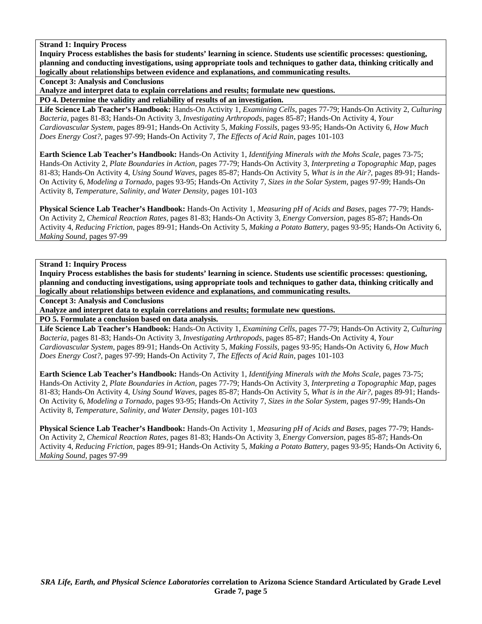**Inquiry Process establishes the basis for students' learning in science. Students use scientific processes: questioning, planning and conducting investigations, using appropriate tools and techniques to gather data, thinking critically and logically about relationships between evidence and explanations, and communicating results.** 

**Concept 3: Analysis and Conclusions** 

**Analyze and interpret data to explain correlations and results; formulate new questions.** 

**PO 4. Determine the validity and reliability of results of an investigation.** 

**Life Science Lab Teacher's Handbook:** Hands-On Activity 1, *Examining Cells,* pages 77-79; Hands-On Activity 2, *Culturing Bacteria,* pages 81-83; Hands-On Activity 3, *Investigating Arthropods,* pages 85-87; Hands-On Activity 4, *Your Cardiovascular System,* pages 89-91; Hands-On Activity 5, *Making Fossils,* pages 93-95; Hands-On Activity 6, *How Much Does Energy Cost?,* pages 97-99; Hands-On Activity 7, *The Effects of Acid Rain,* pages 101-103

**Earth Science Lab Teacher's Handbook:** Hands-On Activity 1, *Identifying Minerals with the Mohs Scale,* pages 73-75; Hands-On Activity 2, *Plate Boundaries in Action,* pages 77-79; Hands-On Activity 3, *Interpreting a Topographic Map,* pages 81-83; Hands-On Activity 4, *Using Sound Waves,* pages 85-87; Hands-On Activity 5, *What is in the Air?,* pages 89-91; Hands-On Activity 6, *Modeling a Tornado,* pages 93-95; Hands-On Activity 7, *Sizes in the Solar System,* pages 97-99; Hands-On Activity 8, *Temperature, Salinity, and Water Density,* pages 101-103

**Physical Science Lab Teacher's Handbook:** Hands-On Activity 1, *Measuring pH of Acids and Bases,* pages 77-79; Hands-On Activity 2, *Chemical Reaction Rates,* pages 81-83; Hands-On Activity 3, *Energy Conversion,* pages 85-87; Hands-On Activity 4, *Reducing Friction,* pages 89-91; Hands-On Activity 5, *Making a Potato Battery,* pages 93-95; Hands-On Activity 6, *Making Sound,* pages 97-99

**Strand 1: Inquiry Process** 

**Inquiry Process establishes the basis for students' learning in science. Students use scientific processes: questioning, planning and conducting investigations, using appropriate tools and techniques to gather data, thinking critically and logically about relationships between evidence and explanations, and communicating results.** 

**Concept 3: Analysis and Conclusions** 

**Analyze and interpret data to explain correlations and results; formulate new questions.** 

**PO 5. Formulate a conclusion based on data analysis.** 

**Life Science Lab Teacher's Handbook:** Hands-On Activity 1, *Examining Cells,* pages 77-79; Hands-On Activity 2, *Culturing Bacteria,* pages 81-83; Hands-On Activity 3, *Investigating Arthropods,* pages 85-87; Hands-On Activity 4, *Your Cardiovascular System,* pages 89-91; Hands-On Activity 5, *Making Fossils,* pages 93-95; Hands-On Activity 6, *How Much Does Energy Cost?,* pages 97-99; Hands-On Activity 7, *The Effects of Acid Rain,* pages 101-103

**Earth Science Lab Teacher's Handbook:** Hands-On Activity 1, *Identifying Minerals with the Mohs Scale,* pages 73-75; Hands-On Activity 2, *Plate Boundaries in Action,* pages 77-79; Hands-On Activity 3, *Interpreting a Topographic Map,* pages 81-83; Hands-On Activity 4, *Using Sound Waves,* pages 85-87; Hands-On Activity 5, *What is in the Air?,* pages 89-91; Hands-On Activity 6, *Modeling a Tornado,* pages 93-95; Hands-On Activity 7, *Sizes in the Solar System,* pages 97-99; Hands-On Activity 8, *Temperature, Salinity, and Water Density,* pages 101-103

**Physical Science Lab Teacher's Handbook:** Hands-On Activity 1, *Measuring pH of Acids and Bases,* pages 77-79; Hands-On Activity 2, *Chemical Reaction Rates,* pages 81-83; Hands-On Activity 3, *Energy Conversion,* pages 85-87; Hands-On Activity 4, *Reducing Friction,* pages 89-91; Hands-On Activity 5, *Making a Potato Battery,* pages 93-95; Hands-On Activity 6, *Making Sound,* pages 97-99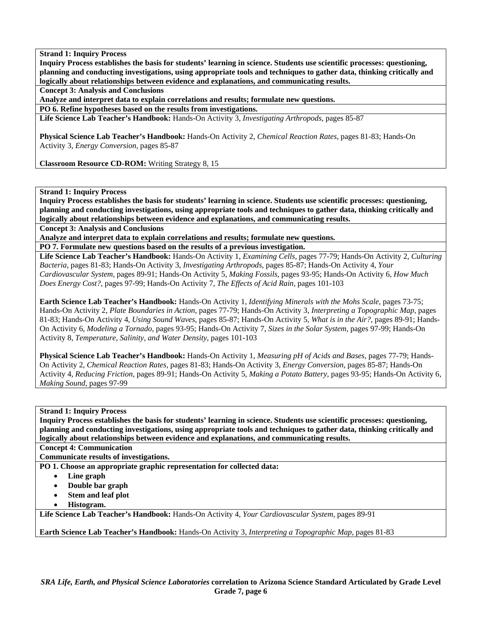**Inquiry Process establishes the basis for students' learning in science. Students use scientific processes: questioning, planning and conducting investigations, using appropriate tools and techniques to gather data, thinking critically and logically about relationships between evidence and explanations, and communicating results.** 

**Concept 3: Analysis and Conclusions** 

**Analyze and interpret data to explain correlations and results; formulate new questions.** 

**PO 6. Refine hypotheses based on the results from investigations.** 

**Life Science Lab Teacher's Handbook:** Hands-On Activity 3, *Investigating Arthropods,* pages 85-87

**Physical Science Lab Teacher's Handbook:** Hands-On Activity 2, *Chemical Reaction Rates,* pages 81-83; Hands-On Activity 3, *Energy Conversion,* pages 85-87

**Classroom Resource CD-ROM:** Writing Strategy 8, 15

# **Strand 1: Inquiry Process**

**Inquiry Process establishes the basis for students' learning in science. Students use scientific processes: questioning, planning and conducting investigations, using appropriate tools and techniques to gather data, thinking critically and logically about relationships between evidence and explanations, and communicating results.** 

**Concept 3: Analysis and Conclusions** 

**Analyze and interpret data to explain correlations and results; formulate new questions.** 

**PO 7. Formulate new questions based on the results of a previous investigation.** 

**Life Science Lab Teacher's Handbook:** Hands-On Activity 1, *Examining Cells,* pages 77-79; Hands-On Activity 2, *Culturing Bacteria,* pages 81-83; Hands-On Activity 3, *Investigating Arthropods,* pages 85-87; Hands-On Activity 4, *Your Cardiovascular System,* pages 89-91; Hands-On Activity 5, *Making Fossils,* pages 93-95; Hands-On Activity 6, *How Much Does Energy Cost?,* pages 97-99; Hands-On Activity 7, *The Effects of Acid Rain,* pages 101-103

**Earth Science Lab Teacher's Handbook:** Hands-On Activity 1, *Identifying Minerals with the Mohs Scale,* pages 73-75; Hands-On Activity 2, *Plate Boundaries in Action,* pages 77-79; Hands-On Activity 3, *Interpreting a Topographic Map,* pages 81-83; Hands-On Activity 4, *Using Sound Waves,* pages 85-87; Hands-On Activity 5, *What is in the Air?,* pages 89-91; Hands-On Activity 6, *Modeling a Tornado,* pages 93-95; Hands-On Activity 7, *Sizes in the Solar System,* pages 97-99; Hands-On Activity 8, *Temperature, Salinity, and Water Density,* pages 101-103

**Physical Science Lab Teacher's Handbook:** Hands-On Activity 1, *Measuring pH of Acids and Bases,* pages 77-79; Hands-On Activity 2, *Chemical Reaction Rates,* pages 81-83; Hands-On Activity 3, *Energy Conversion,* pages 85-87; Hands-On Activity 4, *Reducing Friction,* pages 89-91; Hands-On Activity 5, *Making a Potato Battery,* pages 93-95; Hands-On Activity 6, *Making Sound,* pages 97-99

# **Strand 1: Inquiry Process**

**Inquiry Process establishes the basis for students' learning in science. Students use scientific processes: questioning, planning and conducting investigations, using appropriate tools and techniques to gather data, thinking critically and logically about relationships between evidence and explanations, and communicating results.** 

# **Concept 4: Communication**

**Communicate results of investigations.** 

**PO 1. Choose an appropriate graphic representation for collected data:** 

- **Line graph**
- **Double bar graph**
- **Stem and leaf plot**
- **Histogram.**

**Life Science Lab Teacher's Handbook:** Hands-On Activity 4, *Your Cardiovascular System,* pages 89-91

**Earth Science Lab Teacher's Handbook:** Hands-On Activity 3, *Interpreting a Topographic Map,* pages 81-83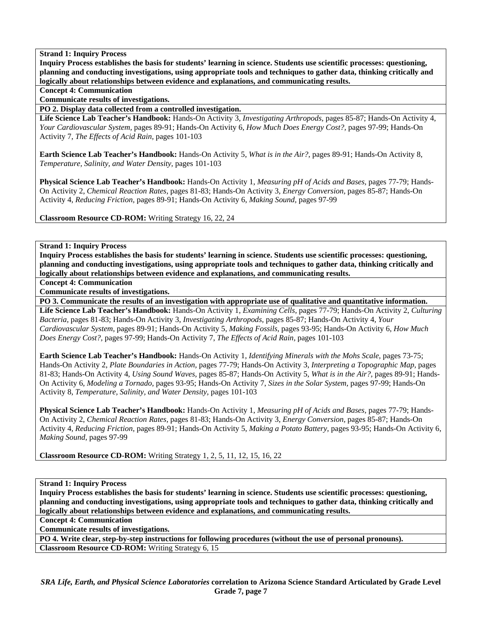**Inquiry Process establishes the basis for students' learning in science. Students use scientific processes: questioning, planning and conducting investigations, using appropriate tools and techniques to gather data, thinking critically and logically about relationships between evidence and explanations, and communicating results.** 

## **Concept 4: Communication**

**Communicate results of investigations.** 

**PO 2. Display data collected from a controlled investigation.** 

**Life Science Lab Teacher's Handbook:** Hands-On Activity 3, *Investigating Arthropods,* pages 85-87; Hands-On Activity 4, *Your Cardiovascular System,* pages 89-91; Hands-On Activity 6, *How Much Does Energy Cost?,* pages 97-99; Hands-On Activity 7, *The Effects of Acid Rain,* pages 101-103

**Earth Science Lab Teacher's Handbook:** Hands-On Activity 5, *What is in the Air?,* pages 89-91; Hands-On Activity 8, *Temperature, Salinity, and Water Density,* pages 101-103

**Physical Science Lab Teacher's Handbook:** Hands-On Activity 1, *Measuring pH of Acids and Bases,* pages 77-79; Hands-On Activity 2, *Chemical Reaction Rates,* pages 81-83; Hands-On Activity 3, *Energy Conversion,* pages 85-87; Hands-On Activity 4, *Reducing Friction,* pages 89-91; Hands-On Activity 6, *Making Sound,* pages 97-99

**Classroom Resource CD-ROM:** Writing Strategy 16, 22, 24

**Strand 1: Inquiry Process** 

**Inquiry Process establishes the basis for students' learning in science. Students use scientific processes: questioning, planning and conducting investigations, using appropriate tools and techniques to gather data, thinking critically and logically about relationships between evidence and explanations, and communicating results.** 

**Concept 4: Communication** 

**Communicate results of investigations.** 

**PO 3. Communicate the results of an investigation with appropriate use of qualitative and quantitative information.** 

**Life Science Lab Teacher's Handbook:** Hands-On Activity 1, *Examining Cells,* pages 77-79; Hands-On Activity 2, *Culturing Bacteria,* pages 81-83; Hands-On Activity 3, *Investigating Arthropods,* pages 85-87; Hands-On Activity 4, *Your Cardiovascular System,* pages 89-91; Hands-On Activity 5, *Making Fossils,* pages 93-95; Hands-On Activity 6, *How Much Does Energy Cost?,* pages 97-99; Hands-On Activity 7, *The Effects of Acid Rain,* pages 101-103

**Earth Science Lab Teacher's Handbook:** Hands-On Activity 1, *Identifying Minerals with the Mohs Scale,* pages 73-75; Hands-On Activity 2, *Plate Boundaries in Action,* pages 77-79; Hands-On Activity 3, *Interpreting a Topographic Map,* pages 81-83; Hands-On Activity 4, *Using Sound Waves,* pages 85-87; Hands-On Activity 5, *What is in the Air?,* pages 89-91; Hands-On Activity 6, *Modeling a Tornado,* pages 93-95; Hands-On Activity 7, *Sizes in the Solar System,* pages 97-99; Hands-On Activity 8, *Temperature, Salinity, and Water Density,* pages 101-103

**Physical Science Lab Teacher's Handbook:** Hands-On Activity 1, *Measuring pH of Acids and Bases,* pages 77-79; Hands-On Activity 2, *Chemical Reaction Rates,* pages 81-83; Hands-On Activity 3, *Energy Conversion,* pages 85-87; Hands-On Activity 4, *Reducing Friction,* pages 89-91; Hands-On Activity 5, *Making a Potato Battery,* pages 93-95; Hands-On Activity 6, *Making Sound,* pages 97-99

**Classroom Resource CD-ROM:** Writing Strategy 1, 2, 5, 11, 12, 15, 16, 22

**Strand 1: Inquiry Process** 

**Inquiry Process establishes the basis for students' learning in science. Students use scientific processes: questioning, planning and conducting investigations, using appropriate tools and techniques to gather data, thinking critically and logically about relationships between evidence and explanations, and communicating results.** 

**Concept 4: Communication** 

**Communicate results of investigations.** 

**PO 4. Write clear, step-by-step instructions for following procedures (without the use of personal pronouns). Classroom Resource CD-ROM:** Writing Strategy 6, 15

*SRA Life, Earth, and Physical Science Laboratories* **correlation to Arizona Science Standard Articulated by Grade Level Grade 7, page 7**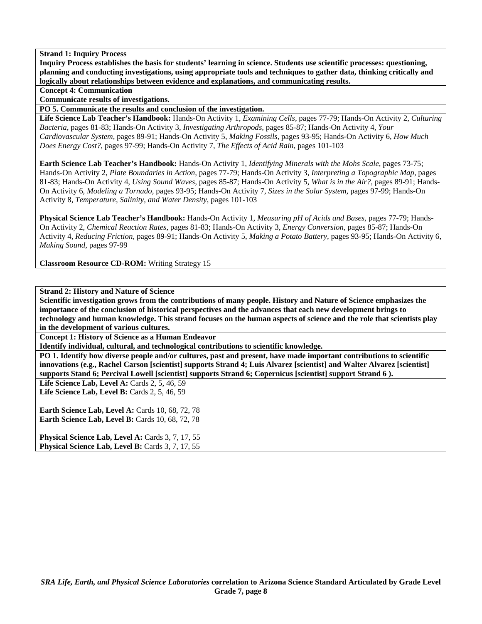**Inquiry Process establishes the basis for students' learning in science. Students use scientific processes: questioning, planning and conducting investigations, using appropriate tools and techniques to gather data, thinking critically and logically about relationships between evidence and explanations, and communicating results.** 

**Concept 4: Communication** 

**Communicate results of investigations.** 

**PO 5. Communicate the results and conclusion of the investigation.** 

**Life Science Lab Teacher's Handbook:** Hands-On Activity 1, *Examining Cells,* pages 77-79; Hands-On Activity 2, *Culturing Bacteria,* pages 81-83; Hands-On Activity 3, *Investigating Arthropods,* pages 85-87; Hands-On Activity 4, *Your Cardiovascular System,* pages 89-91; Hands-On Activity 5, *Making Fossils,* pages 93-95; Hands-On Activity 6, *How Much Does Energy Cost?,* pages 97-99; Hands-On Activity 7, *The Effects of Acid Rain,* pages 101-103

**Earth Science Lab Teacher's Handbook:** Hands-On Activity 1, *Identifying Minerals with the Mohs Scale,* pages 73-75; Hands-On Activity 2, *Plate Boundaries in Action,* pages 77-79; Hands-On Activity 3, *Interpreting a Topographic Map,* pages 81-83; Hands-On Activity 4, *Using Sound Waves,* pages 85-87; Hands-On Activity 5, *What is in the Air?,* pages 89-91; Hands-On Activity 6, *Modeling a Tornado,* pages 93-95; Hands-On Activity 7, *Sizes in the Solar System,* pages 97-99; Hands-On Activity 8, *Temperature, Salinity, and Water Density,* pages 101-103

**Physical Science Lab Teacher's Handbook:** Hands-On Activity 1, *Measuring pH of Acids and Bases,* pages 77-79; Hands-On Activity 2, *Chemical Reaction Rates,* pages 81-83; Hands-On Activity 3, *Energy Conversion,* pages 85-87; Hands-On Activity 4, *Reducing Friction,* pages 89-91; Hands-On Activity 5, *Making a Potato Battery,* pages 93-95; Hands-On Activity 6, *Making Sound,* pages 97-99

**Classroom Resource CD-ROM:** Writing Strategy 15

**Strand 2: History and Nature of Science** 

**Scientific investigation grows from the contributions of many people. History and Nature of Science emphasizes the importance of the conclusion of historical perspectives and the advances that each new development brings to technology and human knowledge. This strand focuses on the human aspects of science and the role that scientists play in the development of various cultures.** 

**Concept 1: History of Science as a Human Endeavor** 

**Identify individual, cultural, and technological contributions to scientific knowledge.** 

**PO 1. Identify how diverse people and/or cultures, past and present, have made important contributions to scientific innovations (e.g., Rachel Carson [scientist] supports Strand 4; Luis Alvarez [scientist] and Walter Alvarez [scientist] supports Stand 6; Percival Lowell [scientist] supports Strand 6; Copernicus [scientist] support Strand 6 ).** 

**Life Science Lab, Level A:** Cards 2, 5, 46, 59 Life Science Lab, Level B: Cards 2, 5, 46, 59

**Earth Science Lab, Level A: Cards 10, 68, 72, 78 Earth Science Lab, Level B: Cards 10, 68, 72, 78** 

Physical Science Lab, Level A: Cards 3, 7, 17, 55 Physical Science Lab, Level B: Cards 3, 7, 17, 55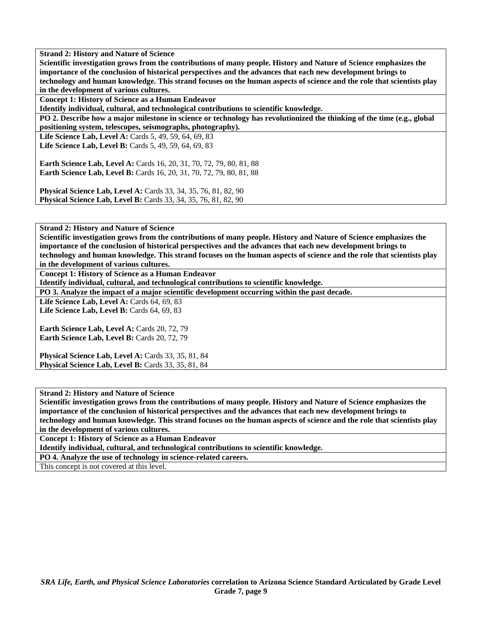**Scientific investigation grows from the contributions of many people. History and Nature of Science emphasizes the importance of the conclusion of historical perspectives and the advances that each new development brings to technology and human knowledge. This strand focuses on the human aspects of science and the role that scientists play in the development of various cultures.** 

**Concept 1: History of Science as a Human Endeavor** 

**Identify individual, cultural, and technological contributions to scientific knowledge.** 

**PO 2. Describe how a major milestone in science or technology has revolutionized the thinking of the time (e.g., global positioning system, telescopes, seismographs, photography).** 

Life Science Lab, Level A: Cards 5, 49, 59, 64, 69, 83

**Life Science Lab, Level B:** Cards 5, 49, 59, 64, 69, 83

**Earth Science Lab, Level A: Cards 16, 20, 31, 70, 72, 79, 80, 81, 88 Earth Science Lab, Level B:** Cards 16, 20, 31, 70, 72, 79, 80, 81, 88

**Physical Science Lab, Level A:** Cards 33, 34, 35, 76, 81, 82, 90 **Physical Science Lab, Level B:** Cards 33, 34, 35, 76, 81, 82, 90

**Strand 2: History and Nature of Science** 

**Scientific investigation grows from the contributions of many people. History and Nature of Science emphasizes the importance of the conclusion of historical perspectives and the advances that each new development brings to technology and human knowledge. This strand focuses on the human aspects of science and the role that scientists play** 

**in the development of various cultures.** 

**Concept 1: History of Science as a Human Endeavor** 

**Identify individual, cultural, and technological contributions to scientific knowledge.** 

**PO 3. Analyze the impact of a major scientific development occurring within the past decade.** 

**Life Science Lab, Level A: Cards 64, 69, 83** Life Science Lab, Level B: Cards 64, 69, 83

Earth Science Lab, Level A: Cards 20, 72, 79 Earth Science Lab, Level B: Cards 20, 72, 79

**Physical Science Lab, Level A:** Cards 33, 35, 81, 84 **Physical Science Lab, Level B:** Cards 33, 35, 81, 84

**Strand 2: History and Nature of Science** 

**Scientific investigation grows from the contributions of many people. History and Nature of Science emphasizes the importance of the conclusion of historical perspectives and the advances that each new development brings to technology and human knowledge. This strand focuses on the human aspects of science and the role that scientists play in the development of various cultures.** 

**Concept 1: History of Science as a Human Endeavor** 

**Identify individual, cultural, and technological contributions to scientific knowledge.** 

**PO 4. Analyze the use of technology in science-related careers.** 

This concept is not covered at this level.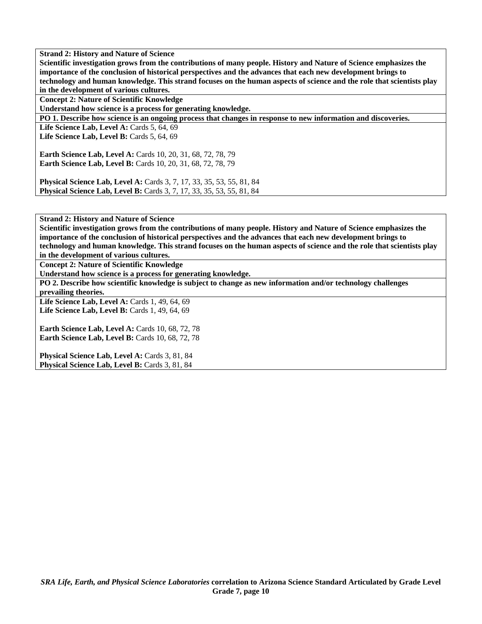**Scientific investigation grows from the contributions of many people. History and Nature of Science emphasizes the importance of the conclusion of historical perspectives and the advances that each new development brings to technology and human knowledge. This strand focuses on the human aspects of science and the role that scientists play in the development of various cultures.** 

**Concept 2: Nature of Scientific Knowledge** 

**Understand how science is a process for generating knowledge.** 

**PO 1. Describe how science is an ongoing process that changes in response to new information and discoveries.** 

**Life Science Lab, Level A: Cards 5, 64, 69 Life Science Lab, Level B: Cards 5, 64, 69** 

**Earth Science Lab, Level A:** Cards 10, 20, 31, 68, 72, 78, 79 **Earth Science Lab, Level B:** Cards 10, 20, 31, 68, 72, 78, 79

**Physical Science Lab, Level A:** Cards 3, 7, 17, 33, 35, 53, 55, 81, 84 **Physical Science Lab, Level B:** Cards 3, 7, 17, 33, 35, 53, 55, 81, 84

**Strand 2: History and Nature of Science** 

**Scientific investigation grows from the contributions of many people. History and Nature of Science emphasizes the importance of the conclusion of historical perspectives and the advances that each new development brings to technology and human knowledge. This strand focuses on the human aspects of science and the role that scientists play in the development of various cultures.** 

**Concept 2: Nature of Scientific Knowledge** 

**Understand how science is a process for generating knowledge.** 

**PO 2. Describe how scientific knowledge is subject to change as new information and/or technology challenges prevailing theories.** 

**Life Science Lab, Level A: Cards 1, 49, 64, 69** Life Science Lab, Level B: Cards 1, 49, 64, 69

**Earth Science Lab, Level A: Cards 10, 68, 72, 78 Earth Science Lab, Level B: Cards 10, 68, 72, 78** 

Physical Science Lab, Level A: Cards 3, 81, 84 Physical Science Lab, Level B: Cards 3, 81, 84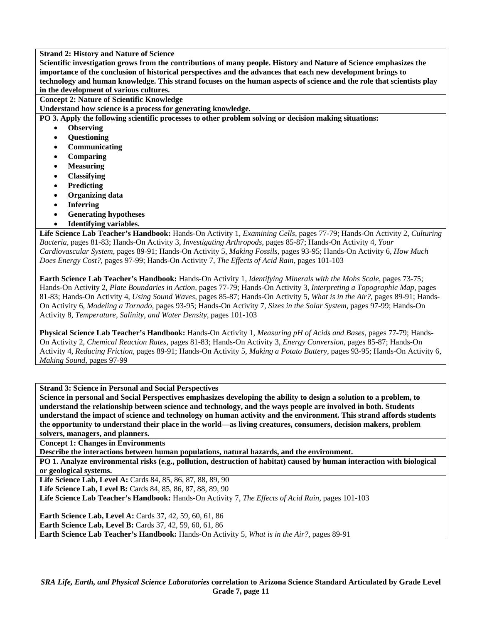**Scientific investigation grows from the contributions of many people. History and Nature of Science emphasizes the importance of the conclusion of historical perspectives and the advances that each new development brings to technology and human knowledge. This strand focuses on the human aspects of science and the role that scientists play in the development of various cultures.** 

**Concept 2: Nature of Scientific Knowledge** 

**Understand how science is a process for generating knowledge.** 

**PO 3. Apply the following scientific processes to other problem solving or decision making situations:** 

- **Observing**
- **Questioning**
- **Communicating**
- **Comparing**
- **Measuring**
- **Classifying**
- **Predicting**
- **Organizing data**
- **Inferring**
- **Generating hypotheses**
- **Identifying variables.**

**Life Science Lab Teacher's Handbook:** Hands-On Activity 1, *Examining Cells,* pages 77-79; Hands-On Activity 2, *Culturing Bacteria,* pages 81-83; Hands-On Activity 3, *Investigating Arthropods,* pages 85-87; Hands-On Activity 4, *Your Cardiovascular System,* pages 89-91; Hands-On Activity 5, *Making Fossils,* pages 93-95; Hands-On Activity 6, *How Much Does Energy Cost?,* pages 97-99; Hands-On Activity 7, *The Effects of Acid Rain,* pages 101-103

**Earth Science Lab Teacher's Handbook:** Hands-On Activity 1, *Identifying Minerals with the Mohs Scale,* pages 73-75; Hands-On Activity 2, *Plate Boundaries in Action,* pages 77-79; Hands-On Activity 3, *Interpreting a Topographic Map,* pages 81-83; Hands-On Activity 4, *Using Sound Waves,* pages 85-87; Hands-On Activity 5, *What is in the Air?,* pages 89-91; Hands-On Activity 6, *Modeling a Tornado,* pages 93-95; Hands-On Activity 7, *Sizes in the Solar System,* pages 97-99; Hands-On Activity 8, *Temperature, Salinity, and Water Density,* pages 101-103

**Physical Science Lab Teacher's Handbook:** Hands-On Activity 1, *Measuring pH of Acids and Bases,* pages 77-79; Hands-On Activity 2, *Chemical Reaction Rates,* pages 81-83; Hands-On Activity 3, *Energy Conversion,* pages 85-87; Hands-On Activity 4, *Reducing Friction,* pages 89-91; Hands-On Activity 5, *Making a Potato Battery,* pages 93-95; Hands-On Activity 6, *Making Sound,* pages 97-99

**Strand 3: Science in Personal and Social Perspectives** 

**Science in personal and Social Perspectives emphasizes developing the ability to design a solution to a problem, to understand the relationship between science and technology, and the ways people are involved in both. Students understand the impact of science and technology on human activity and the environment. This strand affords students the opportunity to understand their place in the world—as living creatures, consumers, decision makers, problem solvers, managers, and planners.** 

**Concept 1: Changes in Environments** 

**Describe the interactions between human populations, natural hazards, and the environment.** 

**PO 1. Analyze environmental risks (e.g., pollution, destruction of habitat) caused by human interaction with biological or geological systems.** 

Life Science Lab, Level A: Cards 84, 85, 86, 87, 88, 89, 90 **Life Science Lab, Level B:** Cards 84, 85, 86, 87, 88, 89, 90

**Life Science Lab Teacher's Handbook:** Hands-On Activity 7, *The Effects of Acid Rain,* pages 101-103

**Earth Science Lab, Level A:** Cards 37, 42, 59, 60, 61, 86 **Earth Science Lab, Level B:** Cards 37, 42, 59, 60, 61, 86 **Earth Science Lab Teacher's Handbook:** Hands-On Activity 5, *What is in the Air?,* pages 89-91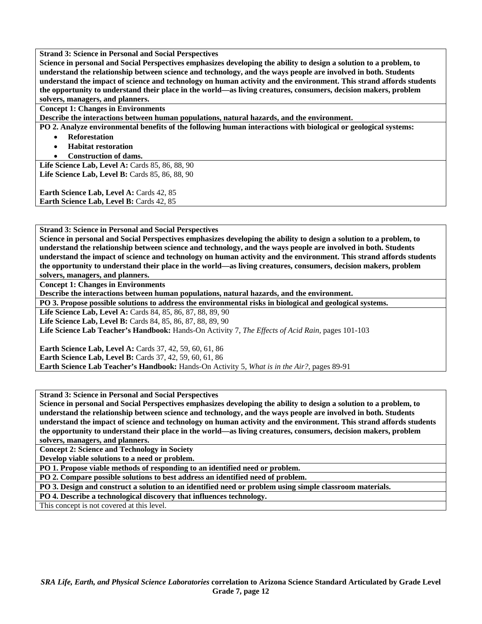**Strand 3: Science in Personal and Social Perspectives** 

**Science in personal and Social Perspectives emphasizes developing the ability to design a solution to a problem, to understand the relationship between science and technology, and the ways people are involved in both. Students understand the impact of science and technology on human activity and the environment. This strand affords students the opportunity to understand their place in the world—as living creatures, consumers, decision makers, problem solvers, managers, and planners.** 

**Concept 1: Changes in Environments** 

**Describe the interactions between human populations, natural hazards, and the environment.** 

**PO 2. Analyze environmental benefits of the following human interactions with biological or geological systems:** 

- **Reforestation**
- **Habitat restoration**
- **Construction of dams.**

Life Science Lab, Level A: Cards 85, 86, 88, 90 **Life Science Lab, Level B: Cards 85, 86, 88, 90** 

Earth Science Lab, Level A: Cards 42, 85

**Earth Science Lab, Level B: Cards 42, 85** 

**Strand 3: Science in Personal and Social Perspectives** 

**Science in personal and Social Perspectives emphasizes developing the ability to design a solution to a problem, to understand the relationship between science and technology, and the ways people are involved in both. Students understand the impact of science and technology on human activity and the environment. This strand affords students the opportunity to understand their place in the world—as living creatures, consumers, decision makers, problem solvers, managers, and planners.** 

**Concept 1: Changes in Environments** 

**Describe the interactions between human populations, natural hazards, and the environment.** 

**PO 3. Propose possible solutions to address the environmental risks in biological and geological systems.** 

**Life Science Lab, Level A:** Cards 84, 85, 86, 87, 88, 89, 90

**Life Science Lab, Level B:** Cards 84, 85, 86, 87, 88, 89, 90

**Life Science Lab Teacher's Handbook:** Hands-On Activity 7, *The Effects of Acid Rain,* pages 101-103

**Earth Science Lab, Level A: Cards 37, 42, 59, 60, 61, 86 Earth Science Lab, Level B:** Cards 37, 42, 59, 60, 61, 86 **Earth Science Lab Teacher's Handbook:** Hands-On Activity 5, *What is in the Air?,* pages 89-91

**Strand 3: Science in Personal and Social Perspectives** 

**Science in personal and Social Perspectives emphasizes developing the ability to design a solution to a problem, to understand the relationship between science and technology, and the ways people are involved in both. Students understand the impact of science and technology on human activity and the environment. This strand affords students the opportunity to understand their place in the world—as living creatures, consumers, decision makers, problem solvers, managers, and planners.** 

**Concept 2: Science and Technology in Society** 

**Develop viable solutions to a need or problem.** 

**PO 1. Propose viable methods of responding to an identified need or problem.** 

**PO 2. Compare possible solutions to best address an identified need of problem.** 

**PO 3. Design and construct a solution to an identified need or problem using simple classroom materials.** 

**PO 4. Describe a technological discovery that influences technology.** 

This concept is not covered at this level.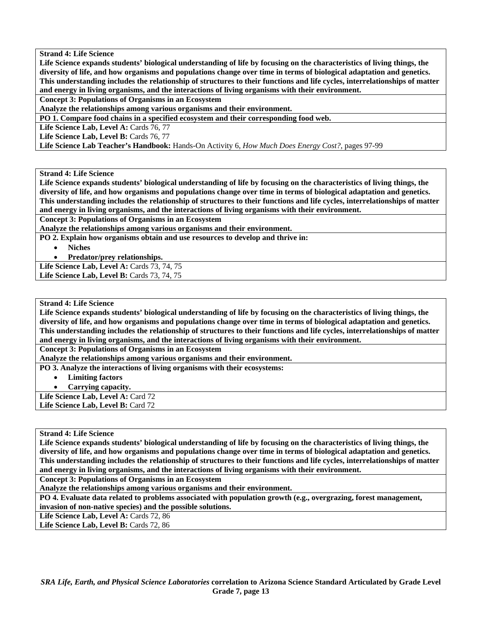**Life Science expands students' biological understanding of life by focusing on the characteristics of living things, the diversity of life, and how organisms and populations change over time in terms of biological adaptation and genetics. This understanding includes the relationship of structures to their functions and life cycles, interrelationships of matter and energy in living organisms, and the interactions of living organisms with their environment.** 

**Concept 3: Populations of Organisms in an Ecosystem** 

**Analyze the relationships among various organisms and their environment.** 

**PO 1. Compare food chains in a specified ecosystem and their corresponding food web.** 

Life Science Lab, Level A: Cards 76, 77

Life Science Lab, Level B: Cards 76, 77

**Life Science Lab Teacher's Handbook:** Hands-On Activity 6, *How Much Does Energy Cost?,* pages 97-99

**Strand 4: Life Science** 

**Life Science expands students' biological understanding of life by focusing on the characteristics of living things, the diversity of life, and how organisms and populations change over time in terms of biological adaptation and genetics. This understanding includes the relationship of structures to their functions and life cycles, interrelationships of matter and energy in living organisms, and the interactions of living organisms with their environment.** 

**Concept 3: Populations of Organisms in an Ecosystem** 

**Analyze the relationships among various organisms and their environment.** 

**PO 2. Explain how organisms obtain and use resources to develop and thrive in:** 

- **Niches**
- **Predator/prey relationships.**

**Life Science Lab, Level A:** Cards 73, 74, 75 Life Science Lab, Level B: Cards 73, 74, 75

**Strand 4: Life Science** 

**Life Science expands students' biological understanding of life by focusing on the characteristics of living things, the diversity of life, and how organisms and populations change over time in terms of biological adaptation and genetics. This understanding includes the relationship of structures to their functions and life cycles, interrelationships of matter and energy in living organisms, and the interactions of living organisms with their environment.** 

**Concept 3: Populations of Organisms in an Ecosystem** 

**Analyze the relationships among various organisms and their environment.** 

**PO 3. Analyze the interactions of living organisms with their ecosystems:** 

- **Limiting factors**
- **Carrying capacity.**

Life Science Lab, Level A: Card 72 Life Science Lab, Level B: Card 72

**Strand 4: Life Science** 

**Life Science expands students' biological understanding of life by focusing on the characteristics of living things, the diversity of life, and how organisms and populations change over time in terms of biological adaptation and genetics. This understanding includes the relationship of structures to their functions and life cycles, interrelationships of matter and energy in living organisms, and the interactions of living organisms with their environment.** 

**Concept 3: Populations of Organisms in an Ecosystem** 

**Analyze the relationships among various organisms and their environment.** 

**PO 4. Evaluate data related to problems associated with population growth (e.g., overgrazing, forest management, invasion of non-native species) and the possible solutions.** 

Life Science Lab, Level A: Cards 72, 86

Life Science Lab, Level B: Cards 72, 86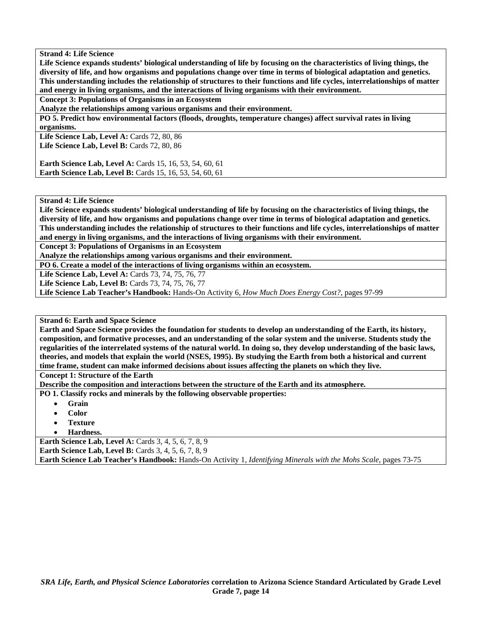**Life Science expands students' biological understanding of life by focusing on the characteristics of living things, the diversity of life, and how organisms and populations change over time in terms of biological adaptation and genetics. This understanding includes the relationship of structures to their functions and life cycles, interrelationships of matter and energy in living organisms, and the interactions of living organisms with their environment.** 

**Concept 3: Populations of Organisms in an Ecosystem** 

**Analyze the relationships among various organisms and their environment.** 

**PO 5. Predict how environmental factors (floods, droughts, temperature changes) affect survival rates in living organisms.** 

Life Science Lab, Level A: Cards 72, 80, 86 **Life Science Lab, Level B: Cards 72, 80, 86** 

**Earth Science Lab, Level A: Cards 15, 16, 53, 54, 60, 61 Earth Science Lab, Level B:** Cards 15, 16, 53, 54, 60, 61

**Strand 4: Life Science** 

**Life Science expands students' biological understanding of life by focusing on the characteristics of living things, the diversity of life, and how organisms and populations change over time in terms of biological adaptation and genetics. This understanding includes the relationship of structures to their functions and life cycles, interrelationships of matter and energy in living organisms, and the interactions of living organisms with their environment.** 

**Concept 3: Populations of Organisms in an Ecosystem** 

**Analyze the relationships among various organisms and their environment.** 

**PO 6. Create a model of the interactions of living organisms within an ecosystem.** 

**Life Science Lab, Level A:** Cards 73, 74, 75, 76, 77

**Life Science Lab, Level B:** Cards 73, 74, 75, 76, 77

**Life Science Lab Teacher's Handbook:** Hands-On Activity 6, *How Much Does Energy Cost?,* pages 97-99

**Strand 6: Earth and Space Science** 

**Earth and Space Science provides the foundation for students to develop an understanding of the Earth, its history, composition, and formative processes, and an understanding of the solar system and the universe. Students study the regularities of the interrelated systems of the natural world. In doing so, they develop understanding of the basic laws, theories, and models that explain the world (NSES, 1995). By studying the Earth from both a historical and current time frame, student can make informed decisions about issues affecting the planets on which they live.** 

**Concept 1: Structure of the Earth** 

**Describe the composition and interactions between the structure of the Earth and its atmosphere.** 

**PO 1. Classify rocks and minerals by the following observable properties:** 

- **Grain**
- **Color**
- **Texture**
- **Hardness.**

**Earth Science Lab, Level A:** Cards 3, 4, 5, 6, 7, 8, 9 **Earth Science Lab, Level B:** Cards 3, 4, 5, 6, 7, 8, 9 **Earth Science Lab Teacher's Handbook:** Hands-On Activity 1, *Identifying Minerals with the Mohs Scale,* pages 73-75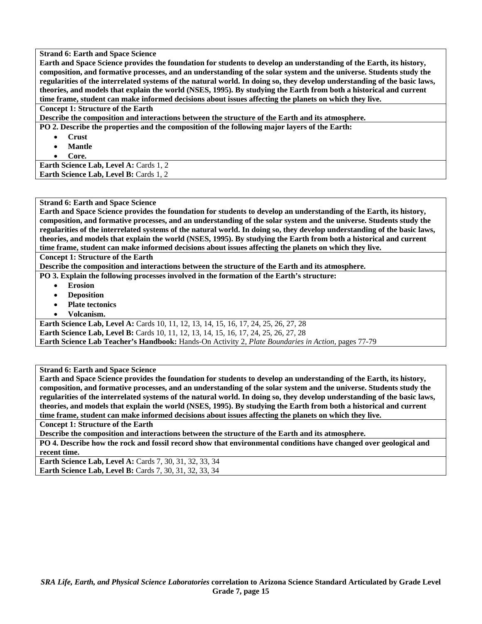**Strand 6: Earth and Space Science Earth and Space Science provides the foundation for students to develop an understanding of the Earth, its history, composition, and formative processes, and an understanding of the solar system and the universe. Students study the regularities of the interrelated systems of the natural world. In doing so, they develop understanding of the basic laws, theories, and models that explain the world (NSES, 1995). By studying the Earth from both a historical and current time frame, student can make informed decisions about issues affecting the planets on which they live. Concept 1: Structure of the Earth Describe the composition and interactions between the structure of the Earth and its atmosphere.** 

**PO 2. Describe the properties and the composition of the following major layers of the Earth:** 

- **Crust**
- **Mantle**
- **Core.**

Earth Science Lab, Level A: Cards 1, 2 **Earth Science Lab, Level B: Cards 1, 2** 

#### **Strand 6: Earth and Space Science**

**Earth and Space Science provides the foundation for students to develop an understanding of the Earth, its history, composition, and formative processes, and an understanding of the solar system and the universe. Students study the regularities of the interrelated systems of the natural world. In doing so, they develop understanding of the basic laws, theories, and models that explain the world (NSES, 1995). By studying the Earth from both a historical and current time frame, student can make informed decisions about issues affecting the planets on which they live.** 

**Concept 1: Structure of the Earth** 

**Describe the composition and interactions between the structure of the Earth and its atmosphere.** 

**PO 3. Explain the following processes involved in the formation of the Earth's structure:** 

- **Erosion**
- **Deposition**
- **Plate tectonics**
- **Volcanism.**

**Earth Science Lab, Level A:** Cards 10, 11, 12, 13, 14, 15, 16, 17, 24, 25, 26, 27, 28 **Earth Science Lab, Level B:** Cards 10, 11, 12, 13, 14, 15, 16, 17, 24, 25, 26, 27, 28 **Earth Science Lab Teacher's Handbook:** Hands-On Activity 2, *Plate Boundaries in Action,* pages 77-79

**Strand 6: Earth and Space Science** 

**Earth and Space Science provides the foundation for students to develop an understanding of the Earth, its history, composition, and formative processes, and an understanding of the solar system and the universe. Students study the regularities of the interrelated systems of the natural world. In doing so, they develop understanding of the basic laws, theories, and models that explain the world (NSES, 1995). By studying the Earth from both a historical and current time frame, student can make informed decisions about issues affecting the planets on which they live.** 

**Concept 1: Structure of the Earth** 

**Describe the composition and interactions between the structure of the Earth and its atmosphere.** 

**PO 4. Describe how the rock and fossil record show that environmental conditions have changed over geological and recent time.** 

**Earth Science Lab, Level A: Cards 7, 30, 31, 32, 33, 34 Earth Science Lab, Level B:** Cards 7, 30, 31, 32, 33, 34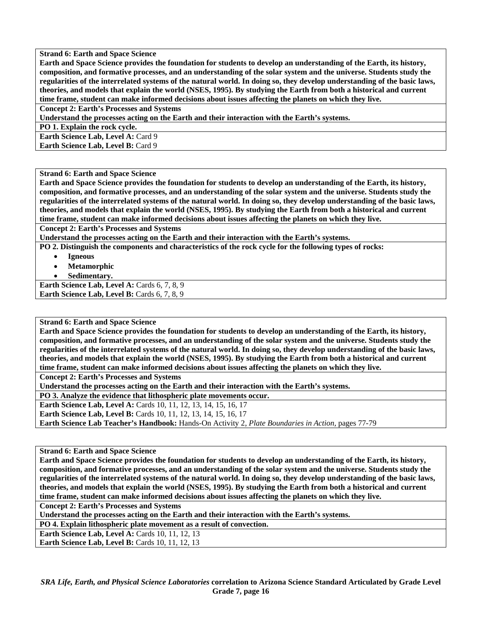**Earth and Space Science provides the foundation for students to develop an understanding of the Earth, its history, composition, and formative processes, and an understanding of the solar system and the universe. Students study the regularities of the interrelated systems of the natural world. In doing so, they develop understanding of the basic laws, theories, and models that explain the world (NSES, 1995). By studying the Earth from both a historical and current time frame, student can make informed decisions about issues affecting the planets on which they live.** 

**Concept 2: Earth's Processes and Systems** 

**Understand the processes acting on the Earth and their interaction with the Earth's systems.** 

**PO 1. Explain the rock cycle.** 

Earth Science Lab, Level A: Card 9

**Earth Science Lab, Level B: Card 9** 

**Strand 6: Earth and Space Science** 

**Earth and Space Science provides the foundation for students to develop an understanding of the Earth, its history, composition, and formative processes, and an understanding of the solar system and the universe. Students study the regularities of the interrelated systems of the natural world. In doing so, they develop understanding of the basic laws, theories, and models that explain the world (NSES, 1995). By studying the Earth from both a historical and current time frame, student can make informed decisions about issues affecting the planets on which they live.** 

**Concept 2: Earth's Processes and Systems** 

**Understand the processes acting on the Earth and their interaction with the Earth's systems.** 

**PO 2. Distinguish the components and characteristics of the rock cycle for the following types of rocks:** 

- **Igneous** 
	- **Metamorphic**
- **Sedimentary.**

**Earth Science Lab, Level A: Cards 6, 7, 8, 9** Earth Science Lab, Level B: Cards 6, 7, 8, 9

**Strand 6: Earth and Space Science** 

**Earth and Space Science provides the foundation for students to develop an understanding of the Earth, its history, composition, and formative processes, and an understanding of the solar system and the universe. Students study the regularities of the interrelated systems of the natural world. In doing so, they develop understanding of the basic laws, theories, and models that explain the world (NSES, 1995). By studying the Earth from both a historical and current time frame, student can make informed decisions about issues affecting the planets on which they live.** 

**Concept 2: Earth's Processes and Systems** 

**Understand the processes acting on the Earth and their interaction with the Earth's systems.** 

**PO 3. Analyze the evidence that lithospheric plate movements occur.** 

**Earth Science Lab, Level A:** Cards 10, 11, 12, 13, 14, 15, 16, 17

**Earth Science Lab, Level B:** Cards 10, 11, 12, 13, 14, 15, 16, 17

**Earth Science Lab Teacher's Handbook:** Hands-On Activity 2, *Plate Boundaries in Action,* pages 77-79

**Strand 6: Earth and Space Science** 

**Earth and Space Science provides the foundation for students to develop an understanding of the Earth, its history, composition, and formative processes, and an understanding of the solar system and the universe. Students study the regularities of the interrelated systems of the natural world. In doing so, they develop understanding of the basic laws, theories, and models that explain the world (NSES, 1995). By studying the Earth from both a historical and current time frame, student can make informed decisions about issues affecting the planets on which they live.** 

**Concept 2: Earth's Processes and Systems** 

**Understand the processes acting on the Earth and their interaction with the Earth's systems.** 

**PO 4. Explain lithospheric plate movement as a result of convection.** 

**Earth Science Lab, Level A: Cards 10, 11, 12, 13** 

**Earth Science Lab, Level B: Cards 10, 11, 12, 13**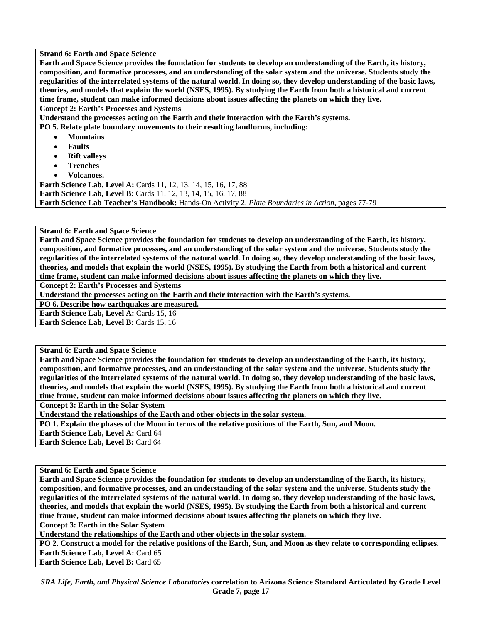**Earth and Space Science provides the foundation for students to develop an understanding of the Earth, its history, composition, and formative processes, and an understanding of the solar system and the universe. Students study the regularities of the interrelated systems of the natural world. In doing so, they develop understanding of the basic laws, theories, and models that explain the world (NSES, 1995). By studying the Earth from both a historical and current time frame, student can make informed decisions about issues affecting the planets on which they live.** 

**Concept 2: Earth's Processes and Systems** 

**Understand the processes acting on the Earth and their interaction with the Earth's systems.** 

**PO 5. Relate plate boundary movements to their resulting landforms, including:** 

- **Mountains**
- **Faults**
- **Rift valleys**
- **Trenches**
- **Volcanoes.**

**Earth Science Lab, Level A: Cards 11, 12, 13, 14, 15, 16, 17, 88 Earth Science Lab, Level B:** Cards 11, 12, 13, 14, 15, 16, 17, 88 **Earth Science Lab Teacher's Handbook:** Hands-On Activity 2, *Plate Boundaries in Action,* pages 77-79

**Strand 6: Earth and Space Science** 

**Earth and Space Science provides the foundation for students to develop an understanding of the Earth, its history, composition, and formative processes, and an understanding of the solar system and the universe. Students study the regularities of the interrelated systems of the natural world. In doing so, they develop understanding of the basic laws, theories, and models that explain the world (NSES, 1995). By studying the Earth from both a historical and current time frame, student can make informed decisions about issues affecting the planets on which they live.** 

**Concept 2: Earth's Processes and Systems** 

**Understand the processes acting on the Earth and their interaction with the Earth's systems.** 

**PO 6. Describe how earthquakes are measured.** 

**Earth Science Lab, Level A: Cards 15, 16** 

**Earth Science Lab, Level B: Cards 15, 16** 

**Strand 6: Earth and Space Science** 

**Earth and Space Science provides the foundation for students to develop an understanding of the Earth, its history, composition, and formative processes, and an understanding of the solar system and the universe. Students study the regularities of the interrelated systems of the natural world. In doing so, they develop understanding of the basic laws, theories, and models that explain the world (NSES, 1995). By studying the Earth from both a historical and current time frame, student can make informed decisions about issues affecting the planets on which they live.** 

**Concept 3: Earth in the Solar System** 

**Understand the relationships of the Earth and other objects in the solar system.** 

**PO 1. Explain the phases of the Moon in terms of the relative positions of the Earth, Sun, and Moon.** 

**Earth Science Lab, Level A: Card 64** 

**Earth Science Lab, Level B:** Card 64

**Strand 6: Earth and Space Science** 

**Earth and Space Science provides the foundation for students to develop an understanding of the Earth, its history, composition, and formative processes, and an understanding of the solar system and the universe. Students study the regularities of the interrelated systems of the natural world. In doing so, they develop understanding of the basic laws, theories, and models that explain the world (NSES, 1995). By studying the Earth from both a historical and current time frame, student can make informed decisions about issues affecting the planets on which they live.** 

**Concept 3: Earth in the Solar System** 

**Understand the relationships of the Earth and other objects in the solar system.** 

**PO 2. Construct a model for the relative positions of the Earth, Sun, and Moon as they relate to corresponding eclipses. Earth Science Lab, Level A: Card 65** 

**Earth Science Lab, Level B: Card 65** 

*SRA Life, Earth, and Physical Science Laboratories* **correlation to Arizona Science Standard Articulated by Grade Level Grade 7, page 17**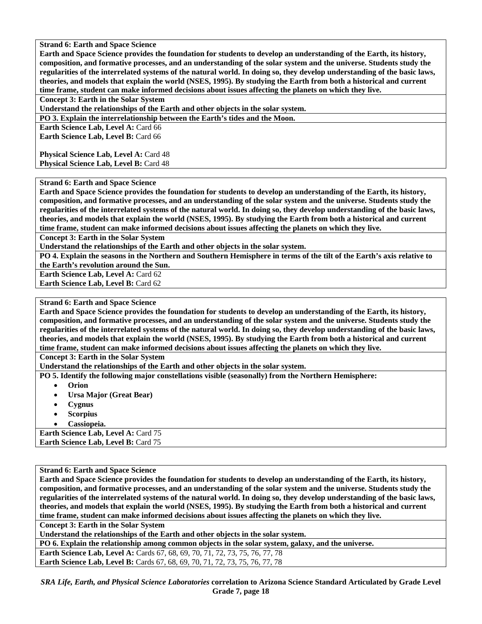**Earth and Space Science provides the foundation for students to develop an understanding of the Earth, its history, composition, and formative processes, and an understanding of the solar system and the universe. Students study the regularities of the interrelated systems of the natural world. In doing so, they develop understanding of the basic laws, theories, and models that explain the world (NSES, 1995). By studying the Earth from both a historical and current time frame, student can make informed decisions about issues affecting the planets on which they live.** 

**Concept 3: Earth in the Solar System** 

**Understand the relationships of the Earth and other objects in the solar system.** 

**PO 3. Explain the interrelationship between the Earth's tides and the Moon.** 

**Earth Science Lab, Level A: Card 66 Earth Science Lab, Level B: Card 66** 

**Physical Science Lab, Level A: Card 48 Physical Science Lab, Level B: Card 48** 

## **Strand 6: Earth and Space Science**

**Earth and Space Science provides the foundation for students to develop an understanding of the Earth, its history, composition, and formative processes, and an understanding of the solar system and the universe. Students study the regularities of the interrelated systems of the natural world. In doing so, they develop understanding of the basic laws, theories, and models that explain the world (NSES, 1995). By studying the Earth from both a historical and current time frame, student can make informed decisions about issues affecting the planets on which they live.** 

**Concept 3: Earth in the Solar System** 

**Understand the relationships of the Earth and other objects in the solar system.** 

**PO 4. Explain the seasons in the Northern and Southern Hemisphere in terms of the tilt of the Earth's axis relative to the Earth's revolution around the Sun.** 

**Earth Science Lab, Level A: Card 62** 

**Earth Science Lab, Level B:** Card 62

# **Strand 6: Earth and Space Science**

**Earth and Space Science provides the foundation for students to develop an understanding of the Earth, its history, composition, and formative processes, and an understanding of the solar system and the universe. Students study the regularities of the interrelated systems of the natural world. In doing so, they develop understanding of the basic laws, theories, and models that explain the world (NSES, 1995). By studying the Earth from both a historical and current time frame, student can make informed decisions about issues affecting the planets on which they live.** 

**Concept 3: Earth in the Solar System** 

**Understand the relationships of the Earth and other objects in the solar system.** 

**PO 5. Identify the following major constellations visible (seasonally) from the Northern Hemisphere:** 

- **Orion**
- **Ursa Major (Great Bear)**
- **Cygnus**
- **Scorpius**
- **Cassiopeia.**

**Earth Science Lab, Level A: Card 75 Earth Science Lab, Level B: Card 75** 

**Strand 6: Earth and Space Science** 

**Earth and Space Science provides the foundation for students to develop an understanding of the Earth, its history, composition, and formative processes, and an understanding of the solar system and the universe. Students study the regularities of the interrelated systems of the natural world. In doing so, they develop understanding of the basic laws, theories, and models that explain the world (NSES, 1995). By studying the Earth from both a historical and current time frame, student can make informed decisions about issues affecting the planets on which they live.** 

**Concept 3: Earth in the Solar System** 

**Understand the relationships of the Earth and other objects in the solar system.** 

**PO 6. Explain the relationship among common objects in the solar system, galaxy, and the universe.** 

**Earth Science Lab, Level A: Cards 67, 68, 69, 70, 71, 72, 73, 75, 76, 77, 78 Earth Science Lab, Level B:** Cards 67, 68, 69, 70, 71, 72, 73, 75, 76, 77, 78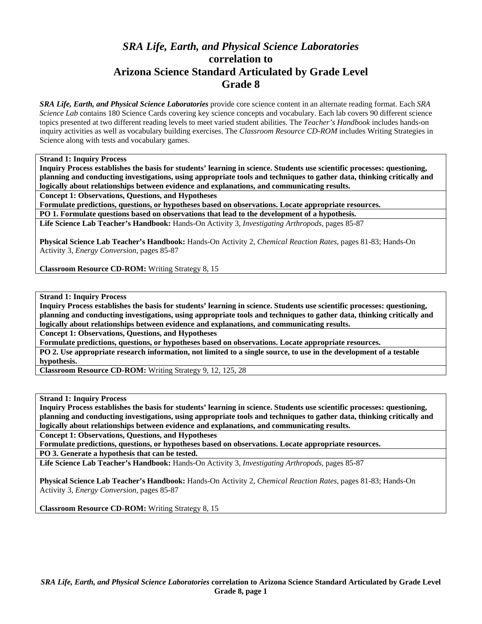# *SRA Life, Earth, and Physical Science Laboratories*  **correlation to Arizona Science Standard Articulated by Grade Level Grade 8**

*SRA Life, Earth, and Physical Science Laboratories* provide core science content in an alternate reading format. Each *SRA Science Lab* contains 180 Science Cards covering key science concepts and vocabulary. Each lab covers 90 different science topics presented at two different reading levels to meet varied student abilities. The *Teacher's Handbook* includes hands-on inquiry activities as well as vocabulary building exercises. The *Classroom Resource CD-ROM* includes Writing Strategies in Science along with tests and vocabulary games.

**Strand 1: Inquiry Process** 

**Inquiry Process establishes the basis for students' learning in science. Students use scientific processes: questioning, planning and conducting investigations, using appropriate tools and techniques to gather data, thinking critically and logically about relationships between evidence and explanations, and communicating results.** 

**Concept 1: Observations, Questions, and Hypotheses** 

**Formulate predictions, questions, or hypotheses based on observations. Locate appropriate resources.** 

**PO 1. Formulate questions based on observations that lead to the development of a hypothesis.** 

**Life Science Lab Teacher's Handbook:** Hands-On Activity 3, *Investigating Arthropods,* pages 85-87

**Physical Science Lab Teacher's Handbook:** Hands-On Activity 2, *Chemical Reaction Rates,* pages 81-83; Hands-On Activity 3, *Energy Conversion,* pages 85-87

**Classroom Resource CD-ROM:** Writing Strategy 8, 15

**Strand 1: Inquiry Process** 

**Inquiry Process establishes the basis for students' learning in science. Students use scientific processes: questioning, planning and conducting investigations, using appropriate tools and techniques to gather data, thinking critically and logically about relationships between evidence and explanations, and communicating results.** 

**Concept 1: Observations, Questions, and Hypotheses** 

**Formulate predictions, questions, or hypotheses based on observations. Locate appropriate resources.** 

**PO 2. Use appropriate research information, not limited to a single source, to use in the development of a testable hypothesis.** 

**Classroom Resource CD-ROM:** Writing Strategy 9, 12, 125, 28

**Strand 1: Inquiry Process** 

**Inquiry Process establishes the basis for students' learning in science. Students use scientific processes: questioning, planning and conducting investigations, using appropriate tools and techniques to gather data, thinking critically and logically about relationships between evidence and explanations, and communicating results.** 

**Concept 1: Observations, Questions, and Hypotheses** 

**Formulate predictions, questions, or hypotheses based on observations. Locate appropriate resources. PO 3. Generate a hypothesis that can be tested.** 

**Life Science Lab Teacher's Handbook:** Hands-On Activity 3, *Investigating Arthropods,* pages 85-87

**Physical Science Lab Teacher's Handbook:** Hands-On Activity 2, *Chemical Reaction Rates,* pages 81-83; Hands-On Activity 3, *Energy Conversion,* pages 85-87

**Classroom Resource CD-ROM:** Writing Strategy 8, 15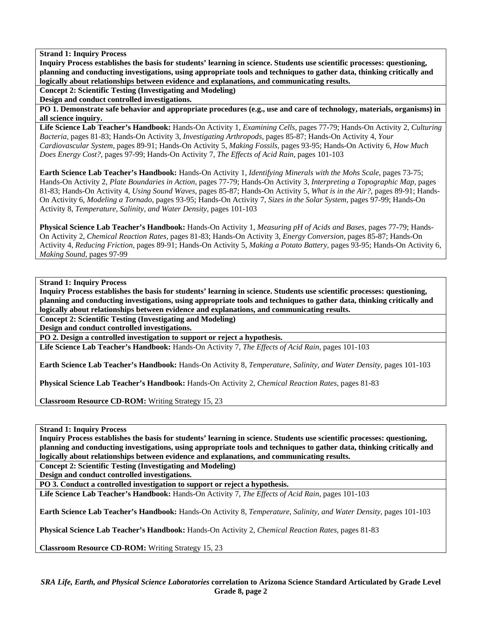**Inquiry Process establishes the basis for students' learning in science. Students use scientific processes: questioning, planning and conducting investigations, using appropriate tools and techniques to gather data, thinking critically and logically about relationships between evidence and explanations, and communicating results.** 

**Concept 2: Scientific Testing (Investigating and Modeling)** 

**Design and conduct controlled investigations.** 

**PO 1. Demonstrate safe behavior and appropriate procedures (e.g., use and care of technology, materials, organisms) in all science inquiry.** 

**Life Science Lab Teacher's Handbook:** Hands-On Activity 1, *Examining Cells,* pages 77-79; Hands-On Activity 2, *Culturing Bacteria,* pages 81-83; Hands-On Activity 3, *Investigating Arthropods,* pages 85-87; Hands-On Activity 4, *Your Cardiovascular System,* pages 89-91; Hands-On Activity 5, *Making Fossils,* pages 93-95; Hands-On Activity 6, *How Much Does Energy Cost?,* pages 97-99; Hands-On Activity 7, *The Effects of Acid Rain,* pages 101-103

**Earth Science Lab Teacher's Handbook:** Hands-On Activity 1, *Identifying Minerals with the Mohs Scale,* pages 73-75; Hands-On Activity 2, *Plate Boundaries in Action,* pages 77-79; Hands-On Activity 3, *Interpreting a Topographic Map,* pages 81-83; Hands-On Activity 4, *Using Sound Waves,* pages 85-87; Hands-On Activity 5, *What is in the Air?,* pages 89-91; Hands-On Activity 6, *Modeling a Tornado,* pages 93-95; Hands-On Activity 7, *Sizes in the Solar System,* pages 97-99; Hands-On Activity 8, *Temperature, Salinity, and Water Density,* pages 101-103

**Physical Science Lab Teacher's Handbook:** Hands-On Activity 1, *Measuring pH of Acids and Bases,* pages 77-79; Hands-On Activity 2, *Chemical Reaction Rates,* pages 81-83; Hands-On Activity 3, *Energy Conversion,* pages 85-87; Hands-On Activity 4, *Reducing Friction,* pages 89-91; Hands-On Activity 5, *Making a Potato Battery,* pages 93-95; Hands-On Activity 6, *Making Sound,* pages 97-99

**Strand 1: Inquiry Process** 

**Inquiry Process establishes the basis for students' learning in science. Students use scientific processes: questioning, planning and conducting investigations, using appropriate tools and techniques to gather data, thinking critically and logically about relationships between evidence and explanations, and communicating results.** 

**Concept 2: Scientific Testing (Investigating and Modeling)** 

**Design and conduct controlled investigations.** 

**PO 2. Design a controlled investigation to support or reject a hypothesis.** 

**Life Science Lab Teacher's Handbook:** Hands-On Activity 7, *The Effects of Acid Rain,* pages 101-103

**Earth Science Lab Teacher's Handbook:** Hands-On Activity 8, *Temperature, Salinity, and Water Density,* pages 101-103

**Physical Science Lab Teacher's Handbook:** Hands-On Activity 2, *Chemical Reaction Rates,* pages 81-83

**Classroom Resource CD-ROM:** Writing Strategy 15, 23

**Strand 1: Inquiry Process** 

**Inquiry Process establishes the basis for students' learning in science. Students use scientific processes: questioning, planning and conducting investigations, using appropriate tools and techniques to gather data, thinking critically and logically about relationships between evidence and explanations, and communicating results.** 

**Concept 2: Scientific Testing (Investigating and Modeling)** 

**Design and conduct controlled investigations.** 

**PO 3. Conduct a controlled investigation to support or reject a hypothesis.** 

**Life Science Lab Teacher's Handbook:** Hands-On Activity 7, *The Effects of Acid Rain,* pages 101-103

**Earth Science Lab Teacher's Handbook:** Hands-On Activity 8, *Temperature, Salinity, and Water Density,* pages 101-103

**Physical Science Lab Teacher's Handbook:** Hands-On Activity 2, *Chemical Reaction Rates,* pages 81-83

**Classroom Resource CD-ROM:** Writing Strategy 15, 23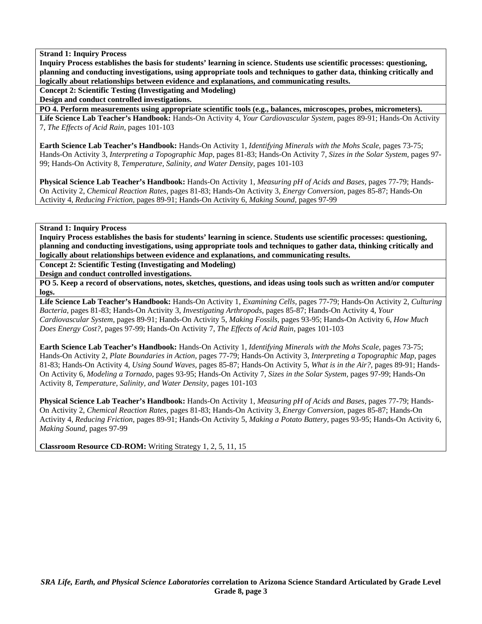**Inquiry Process establishes the basis for students' learning in science. Students use scientific processes: questioning, planning and conducting investigations, using appropriate tools and techniques to gather data, thinking critically and logically about relationships between evidence and explanations, and communicating results.** 

**Concept 2: Scientific Testing (Investigating and Modeling)** 

**Design and conduct controlled investigations.** 

**PO 4. Perform measurements using appropriate scientific tools (e.g., balances, microscopes, probes, micrometers). Life Science Lab Teacher's Handbook:** Hands-On Activity 4, *Your Cardiovascular System,* pages 89-91; Hands-On Activity 7, *The Effects of Acid Rain,* pages 101-103

**Earth Science Lab Teacher's Handbook:** Hands-On Activity 1, *Identifying Minerals with the Mohs Scale,* pages 73-75; Hands-On Activity 3, *Interpreting a Topographic Map,* pages 81-83; Hands-On Activity 7, *Sizes in the Solar System,* pages 97- 99; Hands-On Activity 8, *Temperature, Salinity, and Water Density,* pages 101-103

**Physical Science Lab Teacher's Handbook:** Hands-On Activity 1, *Measuring pH of Acids and Bases,* pages 77-79; Hands-On Activity 2, *Chemical Reaction Rates,* pages 81-83; Hands-On Activity 3, *Energy Conversion,* pages 85-87; Hands-On Activity 4, *Reducing Friction,* pages 89-91; Hands-On Activity 6, *Making Sound,* pages 97-99

# **Strand 1: Inquiry Process**

**Inquiry Process establishes the basis for students' learning in science. Students use scientific processes: questioning, planning and conducting investigations, using appropriate tools and techniques to gather data, thinking critically and logically about relationships between evidence and explanations, and communicating results.** 

**Concept 2: Scientific Testing (Investigating and Modeling)** 

**Design and conduct controlled investigations.** 

**PO 5. Keep a record of observations, notes, sketches, questions, and ideas using tools such as written and/or computer logs.** 

**Life Science Lab Teacher's Handbook:** Hands-On Activity 1, *Examining Cells,* pages 77-79; Hands-On Activity 2, *Culturing Bacteria,* pages 81-83; Hands-On Activity 3, *Investigating Arthropods,* pages 85-87; Hands-On Activity 4, *Your Cardiovascular System,* pages 89-91; Hands-On Activity 5, *Making Fossils,* pages 93-95; Hands-On Activity 6, *How Much Does Energy Cost?,* pages 97-99; Hands-On Activity 7, *The Effects of Acid Rain,* pages 101-103

**Earth Science Lab Teacher's Handbook:** Hands-On Activity 1, *Identifying Minerals with the Mohs Scale,* pages 73-75; Hands-On Activity 2, *Plate Boundaries in Action,* pages 77-79; Hands-On Activity 3, *Interpreting a Topographic Map,* pages 81-83; Hands-On Activity 4, *Using Sound Waves,* pages 85-87; Hands-On Activity 5, *What is in the Air?,* pages 89-91; Hands-On Activity 6, *Modeling a Tornado,* pages 93-95; Hands-On Activity 7, *Sizes in the Solar System,* pages 97-99; Hands-On Activity 8, *Temperature, Salinity, and Water Density,* pages 101-103

**Physical Science Lab Teacher's Handbook:** Hands-On Activity 1, *Measuring pH of Acids and Bases,* pages 77-79; Hands-On Activity 2, *Chemical Reaction Rates,* pages 81-83; Hands-On Activity 3, *Energy Conversion,* pages 85-87; Hands-On Activity 4, *Reducing Friction,* pages 89-91; Hands-On Activity 5, *Making a Potato Battery,* pages 93-95; Hands-On Activity 6, *Making Sound,* pages 97-99

**Classroom Resource CD-ROM:** Writing Strategy 1, 2, 5, 11, 15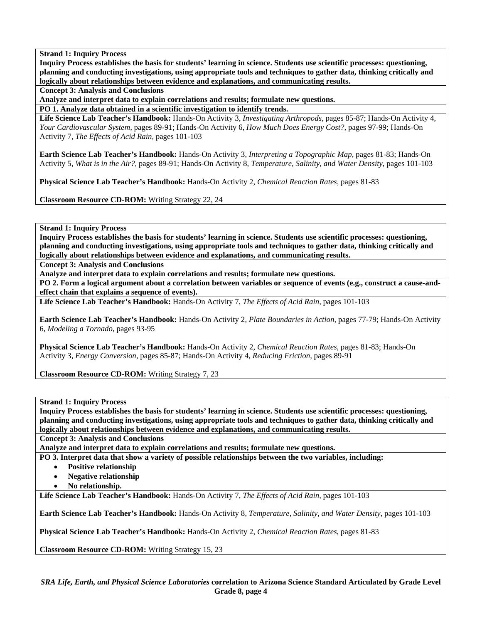**Inquiry Process establishes the basis for students' learning in science. Students use scientific processes: questioning, planning and conducting investigations, using appropriate tools and techniques to gather data, thinking critically and logically about relationships between evidence and explanations, and communicating results.** 

**Concept 3: Analysis and Conclusions** 

**Analyze and interpret data to explain correlations and results; formulate new questions.** 

**PO 1. Analyze data obtained in a scientific investigation to identify trends.** 

**Life Science Lab Teacher's Handbook:** Hands-On Activity 3, *Investigating Arthropods,* pages 85-87; Hands-On Activity 4, *Your Cardiovascular System,* pages 89-91; Hands-On Activity 6, *How Much Does Energy Cost?,* pages 97-99; Hands-On Activity 7, *The Effects of Acid Rain,* pages 101-103

**Earth Science Lab Teacher's Handbook:** Hands-On Activity 3, *Interpreting a Topographic Map,* pages 81-83; Hands-On Activity 5, *What is in the Air?,* pages 89-91; Hands-On Activity 8, *Temperature, Salinity, and Water Density,* pages 101-103

**Physical Science Lab Teacher's Handbook:** Hands-On Activity 2, *Chemical Reaction Rates,* pages 81-83

**Classroom Resource CD-ROM:** Writing Strategy 22, 24

# **Strand 1: Inquiry Process**

**Inquiry Process establishes the basis for students' learning in science. Students use scientific processes: questioning, planning and conducting investigations, using appropriate tools and techniques to gather data, thinking critically and logically about relationships between evidence and explanations, and communicating results.** 

**Concept 3: Analysis and Conclusions** 

**Analyze and interpret data to explain correlations and results; formulate new questions.** 

**PO 2. Form a logical argument about a correlation between variables or sequence of events (e.g., construct a cause-andeffect chain that explains a sequence of events).** 

**Life Science Lab Teacher's Handbook:** Hands-On Activity 7, *The Effects of Acid Rain,* pages 101-103

**Earth Science Lab Teacher's Handbook:** Hands-On Activity 2, *Plate Boundaries in Action,* pages 77-79; Hands-On Activity 6, *Modeling a Tornado,* pages 93-95

**Physical Science Lab Teacher's Handbook:** Hands-On Activity 2, *Chemical Reaction Rates,* pages 81-83; Hands-On Activity 3, *Energy Conversion,* pages 85-87; Hands-On Activity 4, *Reducing Friction,* pages 89-91

**Classroom Resource CD-ROM:** Writing Strategy 7, 23

**Strand 1: Inquiry Process** 

**Inquiry Process establishes the basis for students' learning in science. Students use scientific processes: questioning, planning and conducting investigations, using appropriate tools and techniques to gather data, thinking critically and logically about relationships between evidence and explanations, and communicating results.** 

**Concept 3: Analysis and Conclusions** 

**Analyze and interpret data to explain correlations and results; formulate new questions.** 

**PO 3. Interpret data that show a variety of possible relationships between the two variables, including:** 

- **Positive relationship**
- **Negative relationship**
- **No relationship.**

**Life Science Lab Teacher's Handbook:** Hands-On Activity 7, *The Effects of Acid Rain,* pages 101-103

**Earth Science Lab Teacher's Handbook:** Hands-On Activity 8, *Temperature, Salinity, and Water Density,* pages 101-103

**Physical Science Lab Teacher's Handbook:** Hands-On Activity 2, *Chemical Reaction Rates,* pages 81-83

**Classroom Resource CD-ROM:** Writing Strategy 15, 23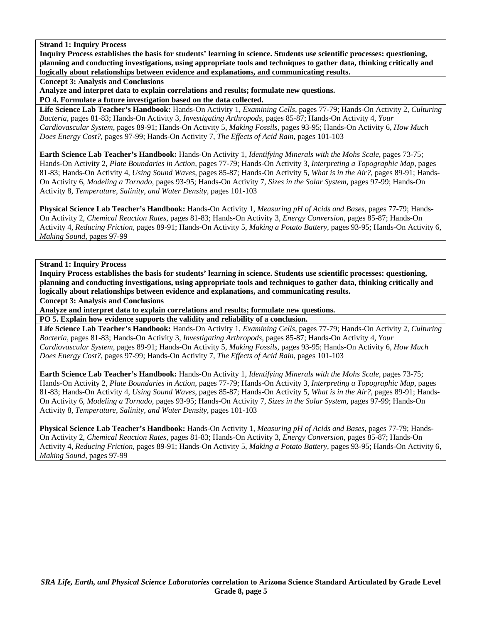**Inquiry Process establishes the basis for students' learning in science. Students use scientific processes: questioning, planning and conducting investigations, using appropriate tools and techniques to gather data, thinking critically and logically about relationships between evidence and explanations, and communicating results.** 

**Concept 3: Analysis and Conclusions** 

**Analyze and interpret data to explain correlations and results; formulate new questions.** 

**PO 4. Formulate a future investigation based on the data collected.** 

**Life Science Lab Teacher's Handbook:** Hands-On Activity 1, *Examining Cells,* pages 77-79; Hands-On Activity 2, *Culturing Bacteria,* pages 81-83; Hands-On Activity 3, *Investigating Arthropods,* pages 85-87; Hands-On Activity 4, *Your Cardiovascular System,* pages 89-91; Hands-On Activity 5, *Making Fossils,* pages 93-95; Hands-On Activity 6, *How Much Does Energy Cost?,* pages 97-99; Hands-On Activity 7, *The Effects of Acid Rain,* pages 101-103

**Earth Science Lab Teacher's Handbook:** Hands-On Activity 1, *Identifying Minerals with the Mohs Scale,* pages 73-75; Hands-On Activity 2, *Plate Boundaries in Action,* pages 77-79; Hands-On Activity 3, *Interpreting a Topographic Map,* pages 81-83; Hands-On Activity 4, *Using Sound Waves,* pages 85-87; Hands-On Activity 5, *What is in the Air?,* pages 89-91; Hands-On Activity 6, *Modeling a Tornado,* pages 93-95; Hands-On Activity 7, *Sizes in the Solar System,* pages 97-99; Hands-On Activity 8, *Temperature, Salinity, and Water Density,* pages 101-103

**Physical Science Lab Teacher's Handbook:** Hands-On Activity 1, *Measuring pH of Acids and Bases,* pages 77-79; Hands-On Activity 2, *Chemical Reaction Rates,* pages 81-83; Hands-On Activity 3, *Energy Conversion,* pages 85-87; Hands-On Activity 4, *Reducing Friction,* pages 89-91; Hands-On Activity 5, *Making a Potato Battery,* pages 93-95; Hands-On Activity 6, *Making Sound,* pages 97-99

**Strand 1: Inquiry Process** 

**Inquiry Process establishes the basis for students' learning in science. Students use scientific processes: questioning, planning and conducting investigations, using appropriate tools and techniques to gather data, thinking critically and logically about relationships between evidence and explanations, and communicating results.** 

**Concept 3: Analysis and Conclusions** 

**Analyze and interpret data to explain correlations and results; formulate new questions.** 

**PO 5. Explain how evidence supports the validity and reliability of a conclusion.** 

**Life Science Lab Teacher's Handbook:** Hands-On Activity 1, *Examining Cells,* pages 77-79; Hands-On Activity 2, *Culturing Bacteria,* pages 81-83; Hands-On Activity 3, *Investigating Arthropods,* pages 85-87; Hands-On Activity 4, *Your Cardiovascular System,* pages 89-91; Hands-On Activity 5, *Making Fossils,* pages 93-95; Hands-On Activity 6, *How Much Does Energy Cost?,* pages 97-99; Hands-On Activity 7, *The Effects of Acid Rain,* pages 101-103

**Earth Science Lab Teacher's Handbook:** Hands-On Activity 1, *Identifying Minerals with the Mohs Scale,* pages 73-75; Hands-On Activity 2, *Plate Boundaries in Action,* pages 77-79; Hands-On Activity 3, *Interpreting a Topographic Map,* pages 81-83; Hands-On Activity 4, *Using Sound Waves,* pages 85-87; Hands-On Activity 5, *What is in the Air?,* pages 89-91; Hands-On Activity 6, *Modeling a Tornado,* pages 93-95; Hands-On Activity 7, *Sizes in the Solar System,* pages 97-99; Hands-On Activity 8, *Temperature, Salinity, and Water Density,* pages 101-103

**Physical Science Lab Teacher's Handbook:** Hands-On Activity 1, *Measuring pH of Acids and Bases,* pages 77-79; Hands-On Activity 2, *Chemical Reaction Rates,* pages 81-83; Hands-On Activity 3, *Energy Conversion,* pages 85-87; Hands-On Activity 4, *Reducing Friction,* pages 89-91; Hands-On Activity 5, *Making a Potato Battery,* pages 93-95; Hands-On Activity 6, *Making Sound,* pages 97-99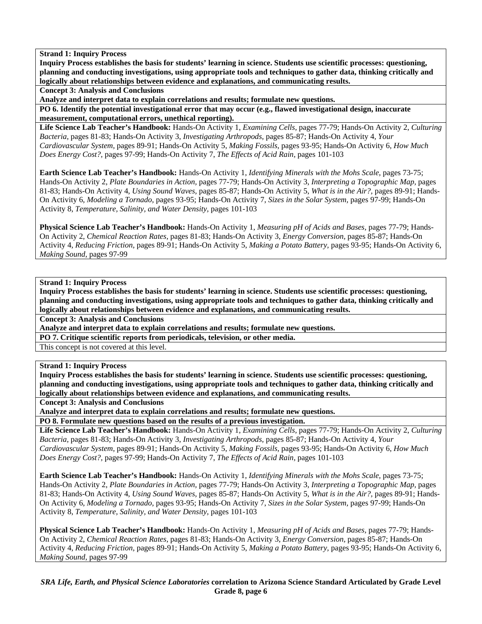**Inquiry Process establishes the basis for students' learning in science. Students use scientific processes: questioning, planning and conducting investigations, using appropriate tools and techniques to gather data, thinking critically and logically about relationships between evidence and explanations, and communicating results.** 

**Concept 3: Analysis and Conclusions** 

**Analyze and interpret data to explain correlations and results; formulate new questions.** 

**PO 6. Identify the potential investigational error that may occur (e.g., flawed investigational design, inaccurate measurement, computational errors, unethical reporting).** 

**Life Science Lab Teacher's Handbook:** Hands-On Activity 1, *Examining Cells,* pages 77-79; Hands-On Activity 2, *Culturing Bacteria,* pages 81-83; Hands-On Activity 3, *Investigating Arthropods,* pages 85-87; Hands-On Activity 4, *Your Cardiovascular System,* pages 89-91; Hands-On Activity 5, *Making Fossils,* pages 93-95; Hands-On Activity 6, *How Much Does Energy Cost?,* pages 97-99; Hands-On Activity 7, *The Effects of Acid Rain,* pages 101-103

**Earth Science Lab Teacher's Handbook:** Hands-On Activity 1, *Identifying Minerals with the Mohs Scale,* pages 73-75; Hands-On Activity 2, *Plate Boundaries in Action,* pages 77-79; Hands-On Activity 3, *Interpreting a Topographic Map,* pages 81-83; Hands-On Activity 4, *Using Sound Waves,* pages 85-87; Hands-On Activity 5, *What is in the Air?,* pages 89-91; Hands-On Activity 6, *Modeling a Tornado,* pages 93-95; Hands-On Activity 7, *Sizes in the Solar System,* pages 97-99; Hands-On Activity 8, *Temperature, Salinity, and Water Density,* pages 101-103

**Physical Science Lab Teacher's Handbook:** Hands-On Activity 1, *Measuring pH of Acids and Bases,* pages 77-79; Hands-On Activity 2, *Chemical Reaction Rates,* pages 81-83; Hands-On Activity 3, *Energy Conversion,* pages 85-87; Hands-On Activity 4, *Reducing Friction,* pages 89-91; Hands-On Activity 5, *Making a Potato Battery,* pages 93-95; Hands-On Activity 6, *Making Sound,* pages 97-99

# **Strand 1: Inquiry Process**

**Inquiry Process establishes the basis for students' learning in science. Students use scientific processes: questioning, planning and conducting investigations, using appropriate tools and techniques to gather data, thinking critically and logically about relationships between evidence and explanations, and communicating results.** 

**Concept 3: Analysis and Conclusions** 

**Analyze and interpret data to explain correlations and results; formulate new questions.** 

**PO 7. Critique scientific reports from periodicals, television, or other media.** 

This concept is not covered at this level.

# **Strand 1: Inquiry Process**

**Inquiry Process establishes the basis for students' learning in science. Students use scientific processes: questioning, planning and conducting investigations, using appropriate tools and techniques to gather data, thinking critically and logically about relationships between evidence and explanations, and communicating results.** 

**Concept 3: Analysis and Conclusions** 

**Analyze and interpret data to explain correlations and results; formulate new questions.** 

**PO 8. Formulate new questions based on the results of a previous investigation.** 

**Life Science Lab Teacher's Handbook:** Hands-On Activity 1, *Examining Cells,* pages 77-79; Hands-On Activity 2, *Culturing Bacteria,* pages 81-83; Hands-On Activity 3, *Investigating Arthropods,* pages 85-87; Hands-On Activity 4, *Your Cardiovascular System,* pages 89-91; Hands-On Activity 5, *Making Fossils,* pages 93-95; Hands-On Activity 6, *How Much Does Energy Cost?,* pages 97-99; Hands-On Activity 7, *The Effects of Acid Rain,* pages 101-103

**Earth Science Lab Teacher's Handbook:** Hands-On Activity 1, *Identifying Minerals with the Mohs Scale,* pages 73-75; Hands-On Activity 2, *Plate Boundaries in Action,* pages 77-79; Hands-On Activity 3, *Interpreting a Topographic Map,* pages 81-83; Hands-On Activity 4, *Using Sound Waves,* pages 85-87; Hands-On Activity 5, *What is in the Air?,* pages 89-91; Hands-On Activity 6, *Modeling a Tornado,* pages 93-95; Hands-On Activity 7, *Sizes in the Solar System,* pages 97-99; Hands-On Activity 8, *Temperature, Salinity, and Water Density,* pages 101-103

**Physical Science Lab Teacher's Handbook:** Hands-On Activity 1, *Measuring pH of Acids and Bases,* pages 77-79; Hands-On Activity 2, *Chemical Reaction Rates,* pages 81-83; Hands-On Activity 3, *Energy Conversion,* pages 85-87; Hands-On Activity 4, *Reducing Friction,* pages 89-91; Hands-On Activity 5, *Making a Potato Battery,* pages 93-95; Hands-On Activity 6, *Making Sound,* pages 97-99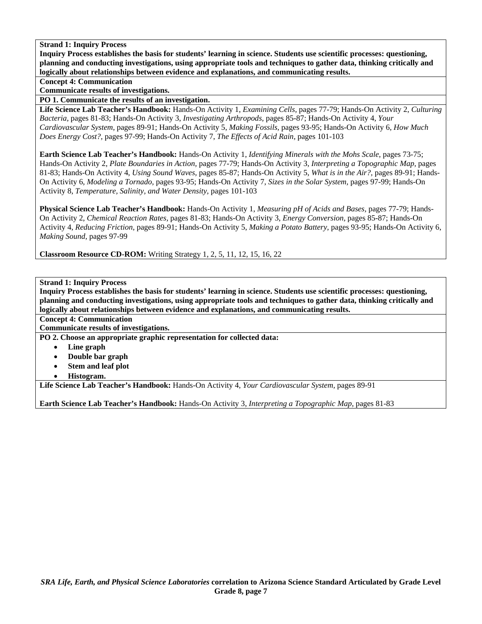**Inquiry Process establishes the basis for students' learning in science. Students use scientific processes: questioning, planning and conducting investigations, using appropriate tools and techniques to gather data, thinking critically and logically about relationships between evidence and explanations, and communicating results.** 

**Concept 4: Communication** 

**Communicate results of investigations.** 

**PO 1. Communicate the results of an investigation.** 

**Life Science Lab Teacher's Handbook:** Hands-On Activity 1, *Examining Cells,* pages 77-79; Hands-On Activity 2, *Culturing Bacteria,* pages 81-83; Hands-On Activity 3, *Investigating Arthropods,* pages 85-87; Hands-On Activity 4, *Your Cardiovascular System,* pages 89-91; Hands-On Activity 5, *Making Fossils,* pages 93-95; Hands-On Activity 6, *How Much Does Energy Cost?,* pages 97-99; Hands-On Activity 7, *The Effects of Acid Rain,* pages 101-103

**Earth Science Lab Teacher's Handbook:** Hands-On Activity 1, *Identifying Minerals with the Mohs Scale,* pages 73-75; Hands-On Activity 2, *Plate Boundaries in Action,* pages 77-79; Hands-On Activity 3, *Interpreting a Topographic Map,* pages 81-83; Hands-On Activity 4, *Using Sound Waves,* pages 85-87; Hands-On Activity 5, *What is in the Air?,* pages 89-91; Hands-On Activity 6, *Modeling a Tornado,* pages 93-95; Hands-On Activity 7, *Sizes in the Solar System,* pages 97-99; Hands-On Activity 8, *Temperature, Salinity, and Water Density,* pages 101-103

**Physical Science Lab Teacher's Handbook:** Hands-On Activity 1, *Measuring pH of Acids and Bases,* pages 77-79; Hands-On Activity 2, *Chemical Reaction Rates,* pages 81-83; Hands-On Activity 3, *Energy Conversion,* pages 85-87; Hands-On Activity 4, *Reducing Friction,* pages 89-91; Hands-On Activity 5, *Making a Potato Battery,* pages 93-95; Hands-On Activity 6, *Making Sound,* pages 97-99

**Classroom Resource CD-ROM:** Writing Strategy 1, 2, 5, 11, 12, 15, 16, 22

# **Strand 1: Inquiry Process**

**Inquiry Process establishes the basis for students' learning in science. Students use scientific processes: questioning, planning and conducting investigations, using appropriate tools and techniques to gather data, thinking critically and logically about relationships between evidence and explanations, and communicating results.** 

**Concept 4: Communication** 

**Communicate results of investigations.** 

**PO 2. Choose an appropriate graphic representation for collected data:** 

- **Line graph**
- **Double bar graph**
- **Stem and leaf plot**
- **Histogram.**

**Life Science Lab Teacher's Handbook:** Hands-On Activity 4, *Your Cardiovascular System,* pages 89-91

**Earth Science Lab Teacher's Handbook:** Hands-On Activity 3, *Interpreting a Topographic Map,* pages 81-83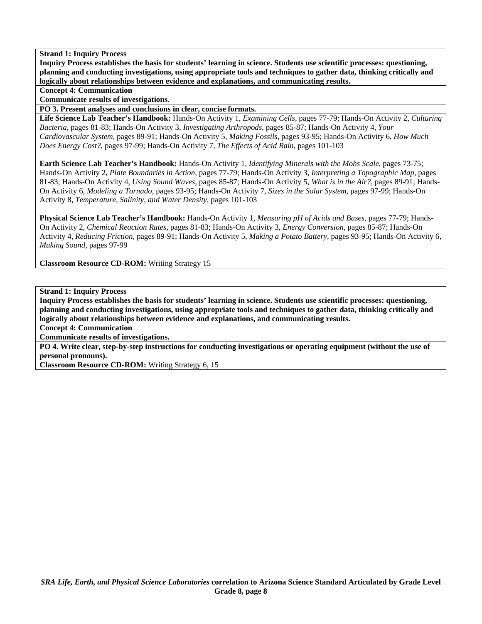**Inquiry Process establishes the basis for students' learning in science. Students use scientific processes: questioning, planning and conducting investigations, using appropriate tools and techniques to gather data, thinking critically and logically about relationships between evidence and explanations, and communicating results.** 

**Concept 4: Communication** 

**Communicate results of investigations.** 

**PO 3. Present analyses and conclusions in clear, concise formats.** 

**Life Science Lab Teacher's Handbook:** Hands-On Activity 1, *Examining Cells,* pages 77-79; Hands-On Activity 2, *Culturing Bacteria,* pages 81-83; Hands-On Activity 3, *Investigating Arthropods,* pages 85-87; Hands-On Activity 4, *Your Cardiovascular System,* pages 89-91; Hands-On Activity 5, *Making Fossils,* pages 93-95; Hands-On Activity 6, *How Much Does Energy Cost?,* pages 97-99; Hands-On Activity 7, *The Effects of Acid Rain,* pages 101-103

**Earth Science Lab Teacher's Handbook:** Hands-On Activity 1, *Identifying Minerals with the Mohs Scale,* pages 73-75; Hands-On Activity 2, *Plate Boundaries in Action,* pages 77-79; Hands-On Activity 3, *Interpreting a Topographic Map,* pages 81-83; Hands-On Activity 4, *Using Sound Waves,* pages 85-87; Hands-On Activity 5, *What is in the Air?,* pages 89-91; Hands-On Activity 6, *Modeling a Tornado,* pages 93-95; Hands-On Activity 7, *Sizes in the Solar System,* pages 97-99; Hands-On Activity 8, *Temperature, Salinity, and Water Density,* pages 101-103

**Physical Science Lab Teacher's Handbook:** Hands-On Activity 1, *Measuring pH of Acids and Bases,* pages 77-79; Hands-On Activity 2, *Chemical Reaction Rates,* pages 81-83; Hands-On Activity 3, *Energy Conversion,* pages 85-87; Hands-On Activity 4, *Reducing Friction,* pages 89-91; Hands-On Activity 5, *Making a Potato Battery,* pages 93-95; Hands-On Activity 6, *Making Sound,* pages 97-99

**Classroom Resource CD-ROM:** Writing Strategy 15

**Strand 1: Inquiry Process** 

**Inquiry Process establishes the basis for students' learning in science. Students use scientific processes: questioning, planning and conducting investigations, using appropriate tools and techniques to gather data, thinking critically and logically about relationships between evidence and explanations, and communicating results.** 

**Concept 4: Communication** 

**Communicate results of investigations.** 

**PO 4. Write clear, step-by-step instructions for conducting investigations or operating equipment (without the use of personal pronouns).** 

**Classroom Resource CD-ROM:** Writing Strategy 6, 15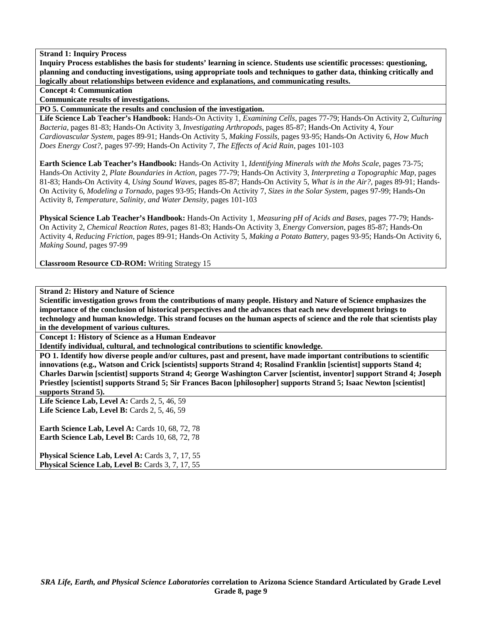**Inquiry Process establishes the basis for students' learning in science. Students use scientific processes: questioning, planning and conducting investigations, using appropriate tools and techniques to gather data, thinking critically and logically about relationships between evidence and explanations, and communicating results.** 

**Concept 4: Communication** 

**Communicate results of investigations.** 

**PO 5. Communicate the results and conclusion of the investigation.** 

**Life Science Lab Teacher's Handbook:** Hands-On Activity 1, *Examining Cells,* pages 77-79; Hands-On Activity 2, *Culturing Bacteria,* pages 81-83; Hands-On Activity 3, *Investigating Arthropods,* pages 85-87; Hands-On Activity 4, *Your Cardiovascular System,* pages 89-91; Hands-On Activity 5, *Making Fossils,* pages 93-95; Hands-On Activity 6, *How Much Does Energy Cost?,* pages 97-99; Hands-On Activity 7, *The Effects of Acid Rain,* pages 101-103

**Earth Science Lab Teacher's Handbook:** Hands-On Activity 1, *Identifying Minerals with the Mohs Scale,* pages 73-75; Hands-On Activity 2, *Plate Boundaries in Action,* pages 77-79; Hands-On Activity 3, *Interpreting a Topographic Map,* pages 81-83; Hands-On Activity 4, *Using Sound Waves,* pages 85-87; Hands-On Activity 5, *What is in the Air?,* pages 89-91; Hands-On Activity 6, *Modeling a Tornado,* pages 93-95; Hands-On Activity 7, *Sizes in the Solar System,* pages 97-99; Hands-On Activity 8, *Temperature, Salinity, and Water Density,* pages 101-103

**Physical Science Lab Teacher's Handbook:** Hands-On Activity 1, *Measuring pH of Acids and Bases,* pages 77-79; Hands-On Activity 2, *Chemical Reaction Rates,* pages 81-83; Hands-On Activity 3, *Energy Conversion,* pages 85-87; Hands-On Activity 4, *Reducing Friction,* pages 89-91; Hands-On Activity 5, *Making a Potato Battery,* pages 93-95; Hands-On Activity 6, *Making Sound,* pages 97-99

**Classroom Resource CD-ROM:** Writing Strategy 15

**Strand 2: History and Nature of Science** 

**Scientific investigation grows from the contributions of many people. History and Nature of Science emphasizes the importance of the conclusion of historical perspectives and the advances that each new development brings to technology and human knowledge. This strand focuses on the human aspects of science and the role that scientists play in the development of various cultures.** 

**Concept 1: History of Science as a Human Endeavor** 

**Identify individual, cultural, and technological contributions to scientific knowledge.** 

**PO 1. Identify how diverse people and/or cultures, past and present, have made important contributions to scientific innovations (e.g., Watson and Crick [scientists] supports Strand 4; Rosalind Franklin [scientist] supports Stand 4; Charles Darwin [scientist] supports Strand 4; George Washington Carver [scientist, inventor] support Strand 4; Joseph Priestley [scientist] supports Strand 5; Sir Frances Bacon [philosopher] supports Strand 5; Isaac Newton [scientist] supports Strand 5).** 

**Life Science Lab, Level A:** Cards 2, 5, 46, 59 **Life Science Lab, Level B:** Cards 2, 5, 46, 59

**Earth Science Lab, Level A: Cards 10, 68, 72, 78 Earth Science Lab, Level B: Cards 10, 68, 72, 78** 

Physical Science Lab, Level A: Cards 3, 7, 17, 55 Physical Science Lab, Level B: Cards 3, 7, 17, 55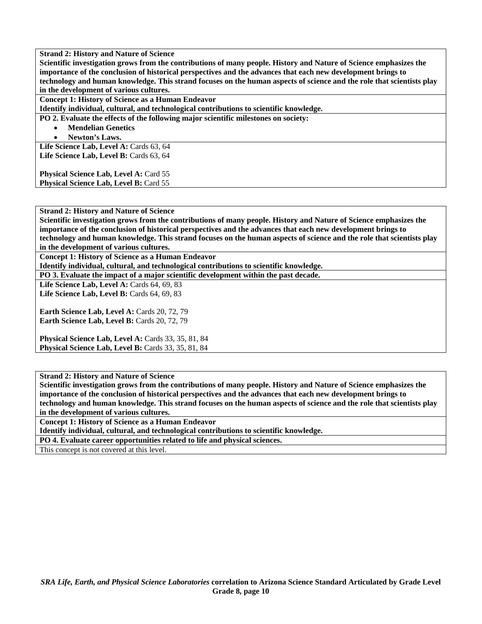**Scientific investigation grows from the contributions of many people. History and Nature of Science emphasizes the importance of the conclusion of historical perspectives and the advances that each new development brings to technology and human knowledge. This strand focuses on the human aspects of science and the role that scientists play in the development of various cultures.** 

**Concept 1: History of Science as a Human Endeavor** 

**Identify individual, cultural, and technological contributions to scientific knowledge.** 

**PO 2. Evaluate the effects of the following major scientific milestones on society:** 

• **Mendelian Genetics** 

• **Newton's Laws.** 

Life Science Lab, Level A: Cards 63, 64 Life Science Lab, Level B: Cards 63, 64

**Physical Science Lab, Level A: Card 55 Physical Science Lab, Level B: Card 55** 

**Strand 2: History and Nature of Science** 

**Scientific investigation grows from the contributions of many people. History and Nature of Science emphasizes the importance of the conclusion of historical perspectives and the advances that each new development brings to technology and human knowledge. This strand focuses on the human aspects of science and the role that scientists play in the development of various cultures.** 

**Concept 1: History of Science as a Human Endeavor** 

**Identify individual, cultural, and technological contributions to scientific knowledge.** 

**PO 3. Evaluate the impact of a major scientific development within the past decade.** 

**Life Science Lab, Level A: Cards 64, 69, 83 Life Science Lab, Level B: Cards 64, 69, 83** 

**Earth Science Lab, Level A: Cards 20, 72, 79 Earth Science Lab, Level B: Cards 20, 72, 79** 

**Physical Science Lab, Level A: Cards 33, 35, 81, 84 Physical Science Lab, Level B:** Cards 33, 35, 81, 84

**Strand 2: History and Nature of Science** 

**Scientific investigation grows from the contributions of many people. History and Nature of Science emphasizes the importance of the conclusion of historical perspectives and the advances that each new development brings to technology and human knowledge. This strand focuses on the human aspects of science and the role that scientists play in the development of various cultures.** 

**Concept 1: History of Science as a Human Endeavor** 

**Identify individual, cultural, and technological contributions to scientific knowledge.** 

**PO 4. Evaluate career opportunities related to life and physical sciences.** 

This concept is not covered at this level.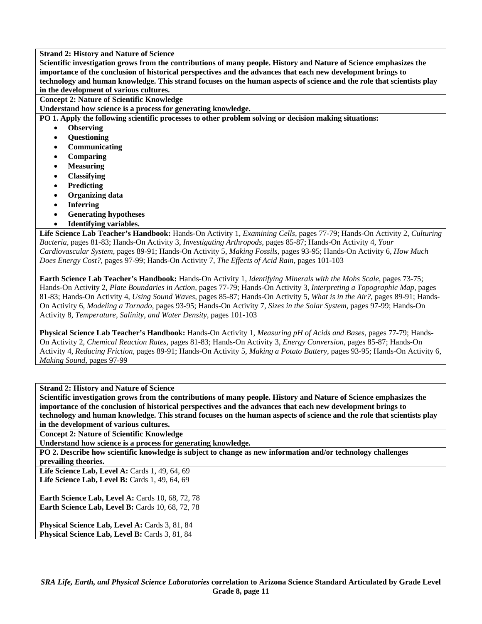**Scientific investigation grows from the contributions of many people. History and Nature of Science emphasizes the importance of the conclusion of historical perspectives and the advances that each new development brings to technology and human knowledge. This strand focuses on the human aspects of science and the role that scientists play in the development of various cultures.** 

**Concept 2: Nature of Scientific Knowledge** 

**Understand how science is a process for generating knowledge.** 

**PO 1. Apply the following scientific processes to other problem solving or decision making situations:** 

- **Observing**
- **Questioning**
- **Communicating**
- **Comparing**
- **Measuring**
- **Classifying**
- **Predicting**
- **Organizing data**
- **Inferring**
- **Generating hypotheses**
- **Identifying variables.**

**Life Science Lab Teacher's Handbook:** Hands-On Activity 1, *Examining Cells,* pages 77-79; Hands-On Activity 2, *Culturing Bacteria,* pages 81-83; Hands-On Activity 3, *Investigating Arthropods,* pages 85-87; Hands-On Activity 4, *Your Cardiovascular System,* pages 89-91; Hands-On Activity 5, *Making Fossils,* pages 93-95; Hands-On Activity 6, *How Much Does Energy Cost?,* pages 97-99; Hands-On Activity 7, *The Effects of Acid Rain,* pages 101-103

**Earth Science Lab Teacher's Handbook:** Hands-On Activity 1, *Identifying Minerals with the Mohs Scale,* pages 73-75; Hands-On Activity 2, *Plate Boundaries in Action,* pages 77-79; Hands-On Activity 3, *Interpreting a Topographic Map,* pages 81-83; Hands-On Activity 4, *Using Sound Waves,* pages 85-87; Hands-On Activity 5, *What is in the Air?,* pages 89-91; Hands-On Activity 6, *Modeling a Tornado,* pages 93-95; Hands-On Activity 7, *Sizes in the Solar System,* pages 97-99; Hands-On Activity 8, *Temperature, Salinity, and Water Density,* pages 101-103

**Physical Science Lab Teacher's Handbook:** Hands-On Activity 1, *Measuring pH of Acids and Bases,* pages 77-79; Hands-On Activity 2, *Chemical Reaction Rates,* pages 81-83; Hands-On Activity 3, *Energy Conversion,* pages 85-87; Hands-On Activity 4, *Reducing Friction,* pages 89-91; Hands-On Activity 5, *Making a Potato Battery,* pages 93-95; Hands-On Activity 6, *Making Sound,* pages 97-99

**Strand 2: History and Nature of Science** 

**Scientific investigation grows from the contributions of many people. History and Nature of Science emphasizes the importance of the conclusion of historical perspectives and the advances that each new development brings to technology and human knowledge. This strand focuses on the human aspects of science and the role that scientists play in the development of various cultures.** 

**Concept 2: Nature of Scientific Knowledge** 

**Understand how science is a process for generating knowledge.** 

**PO 2. Describe how scientific knowledge is subject to change as new information and/or technology challenges prevailing theories.** 

**Life Science Lab, Level A:** Cards 1, 49, 64, 69 Life Science Lab, Level B: Cards 1, 49, 64, 69

**Earth Science Lab, Level A: Cards 10, 68, 72, 78 Earth Science Lab, Level B: Cards 10, 68, 72, 78** 

**Physical Science Lab, Level A: Cards 3, 81, 84 Physical Science Lab, Level B: Cards 3, 81, 84**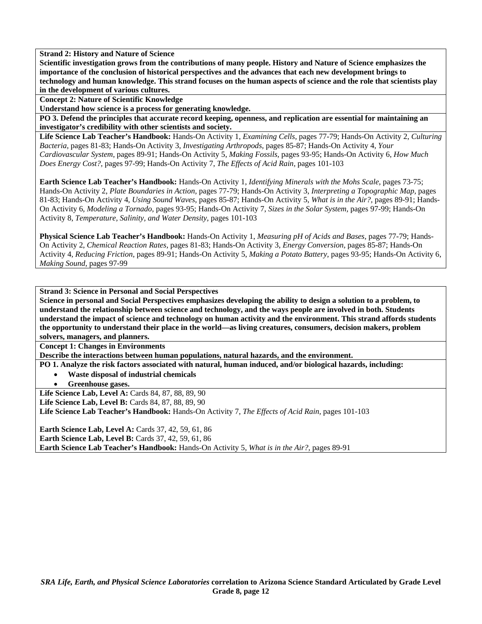**Scientific investigation grows from the contributions of many people. History and Nature of Science emphasizes the importance of the conclusion of historical perspectives and the advances that each new development brings to technology and human knowledge. This strand focuses on the human aspects of science and the role that scientists play in the development of various cultures.** 

**Concept 2: Nature of Scientific Knowledge** 

**Understand how science is a process for generating knowledge.** 

**PO 3. Defend the principles that accurate record keeping, openness, and replication are essential for maintaining an investigator's credibility with other scientists and society.** 

**Life Science Lab Teacher's Handbook:** Hands-On Activity 1, *Examining Cells,* pages 77-79; Hands-On Activity 2, *Culturing Bacteria,* pages 81-83; Hands-On Activity 3, *Investigating Arthropods,* pages 85-87; Hands-On Activity 4, *Your Cardiovascular System,* pages 89-91; Hands-On Activity 5, *Making Fossils,* pages 93-95; Hands-On Activity 6, *How Much Does Energy Cost?,* pages 97-99; Hands-On Activity 7, *The Effects of Acid Rain,* pages 101-103

**Earth Science Lab Teacher's Handbook:** Hands-On Activity 1, *Identifying Minerals with the Mohs Scale,* pages 73-75; Hands-On Activity 2, *Plate Boundaries in Action,* pages 77-79; Hands-On Activity 3, *Interpreting a Topographic Map,* pages 81-83; Hands-On Activity 4, *Using Sound Waves,* pages 85-87; Hands-On Activity 5, *What is in the Air?,* pages 89-91; Hands-On Activity 6, *Modeling a Tornado,* pages 93-95; Hands-On Activity 7, *Sizes in the Solar System,* pages 97-99; Hands-On Activity 8, *Temperature, Salinity, and Water Density,* pages 101-103

**Physical Science Lab Teacher's Handbook:** Hands-On Activity 1, *Measuring pH of Acids and Bases,* pages 77-79; Hands-On Activity 2, *Chemical Reaction Rates,* pages 81-83; Hands-On Activity 3, *Energy Conversion,* pages 85-87; Hands-On Activity 4, *Reducing Friction,* pages 89-91; Hands-On Activity 5, *Making a Potato Battery,* pages 93-95; Hands-On Activity 6, *Making Sound,* pages 97-99

**Strand 3: Science in Personal and Social Perspectives** 

**Science in personal and Social Perspectives emphasizes developing the ability to design a solution to a problem, to understand the relationship between science and technology, and the ways people are involved in both. Students understand the impact of science and technology on human activity and the environment. This strand affords students the opportunity to understand their place in the world—as living creatures, consumers, decision makers, problem solvers, managers, and planners.** 

**Concept 1: Changes in Environments** 

**Describe the interactions between human populations, natural hazards, and the environment.** 

**PO 1. Analyze the risk factors associated with natural, human induced, and/or biological hazards, including:** 

- **Waste disposal of industrial chemicals** 
	- **Greenhouse gases.**

**Life Science Lab, Level A: Cards 84, 87, 88, 89, 90** 

**Life Science Lab, Level B: Cards 84, 87, 88, 89, 90** 

**Life Science Lab Teacher's Handbook:** Hands-On Activity 7, *The Effects of Acid Rain,* pages 101-103

**Earth Science Lab, Level A: Cards 37, 42, 59, 61, 86 Earth Science Lab, Level B: Cards 37, 42, 59, 61, 86 Earth Science Lab Teacher's Handbook:** Hands-On Activity 5, *What is in the Air?,* pages 89-91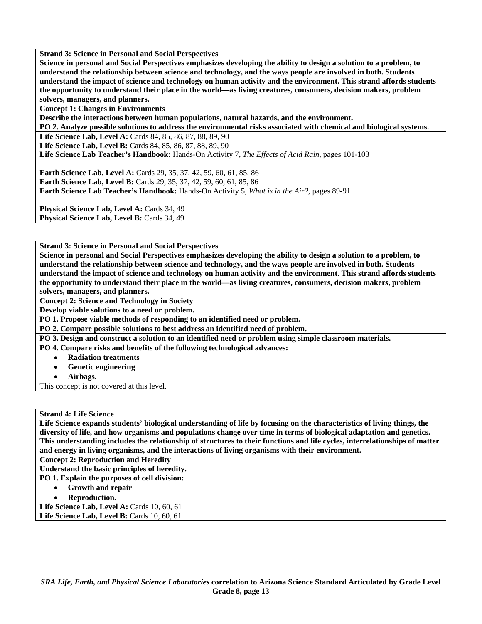**Strand 3: Science in Personal and Social Perspectives** 

**Science in personal and Social Perspectives emphasizes developing the ability to design a solution to a problem, to understand the relationship between science and technology, and the ways people are involved in both. Students understand the impact of science and technology on human activity and the environment. This strand affords students the opportunity to understand their place in the world—as living creatures, consumers, decision makers, problem solvers, managers, and planners.** 

**Concept 1: Changes in Environments** 

**Describe the interactions between human populations, natural hazards, and the environment.** 

**PO 2. Analyze possible solutions to address the environmental risks associated with chemical and biological systems.** 

**Life Science Lab, Level A:** Cards 84, 85, 86, 87, 88, 89, 90

**Life Science Lab, Level B:** Cards 84, 85, 86, 87, 88, 89, 90

**Life Science Lab Teacher's Handbook:** Hands-On Activity 7, *The Effects of Acid Rain,* pages 101-103

**Earth Science Lab, Level A: Cards 29, 35, 37, 42, 59, 60, 61, 85, 86 Earth Science Lab, Level B:** Cards 29, 35, 37, 42, 59, 60, 61, 85, 86 **Earth Science Lab Teacher's Handbook:** Hands-On Activity 5, *What is in the Air?,* pages 89-91

Physical Science Lab, Level A: Cards 34, 49 **Physical Science Lab, Level B: Cards 34, 49** 

**Strand 3: Science in Personal and Social Perspectives** 

**Science in personal and Social Perspectives emphasizes developing the ability to design a solution to a problem, to understand the relationship between science and technology, and the ways people are involved in both. Students understand the impact of science and technology on human activity and the environment. This strand affords students the opportunity to understand their place in the world—as living creatures, consumers, decision makers, problem solvers, managers, and planners.** 

**Concept 2: Science and Technology in Society** 

**Develop viable solutions to a need or problem.** 

**PO 1. Propose viable methods of responding to an identified need or problem.** 

**PO 2. Compare possible solutions to best address an identified need of problem.** 

**PO 3. Design and construct a solution to an identified need or problem using simple classroom materials.** 

**PO 4. Compare risks and benefits of the following technological advances:** 

- **Radiation treatments**
- **Genetic engineering**

• **Airbags.** 

This concept is not covered at this level.

**Strand 4: Life Science** 

**Life Science expands students' biological understanding of life by focusing on the characteristics of living things, the diversity of life, and how organisms and populations change over time in terms of biological adaptation and genetics. This understanding includes the relationship of structures to their functions and life cycles, interrelationships of matter and energy in living organisms, and the interactions of living organisms with their environment.** 

**Concept 2: Reproduction and Heredity** 

**Understand the basic principles of heredity.** 

**PO 1. Explain the purposes of cell division:** 

- **Growth and repair**
- **Reproduction.**

Life Science Lab, Level A: Cards 10, 60, 61 **Life Science Lab, Level B: Cards 10, 60, 61**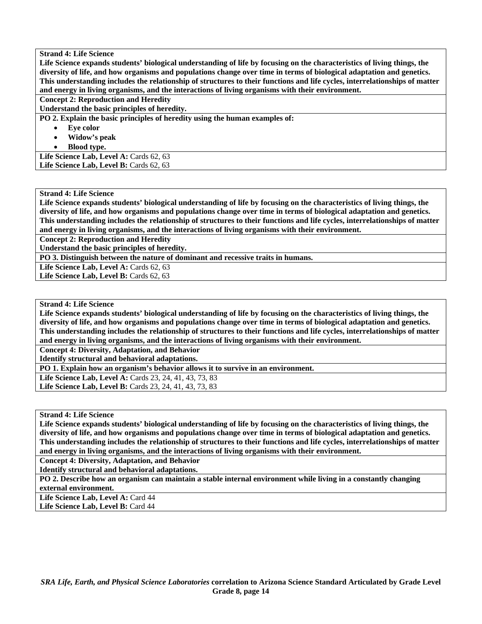**Life Science expands students' biological understanding of life by focusing on the characteristics of living things, the diversity of life, and how organisms and populations change over time in terms of biological adaptation and genetics. This understanding includes the relationship of structures to their functions and life cycles, interrelationships of matter and energy in living organisms, and the interactions of living organisms with their environment.** 

**Concept 2: Reproduction and Heredity** 

**Understand the basic principles of heredity.** 

**PO 2. Explain the basic principles of heredity using the human examples of:** 

- Eve color
- **Widow's peak**
- **Blood type.**

Life Science Lab, Level A: Cards 62, 63 Life Science Lab, Level B: Cards 62, 63

#### **Strand 4: Life Science**

**Life Science expands students' biological understanding of life by focusing on the characteristics of living things, the diversity of life, and how organisms and populations change over time in terms of biological adaptation and genetics. This understanding includes the relationship of structures to their functions and life cycles, interrelationships of matter and energy in living organisms, and the interactions of living organisms with their environment.** 

**Concept 2: Reproduction and Heredity** 

**Understand the basic principles of heredity.** 

**PO 3. Distinguish between the nature of dominant and recessive traits in humans.** 

Life Science Lab, Level A: Cards 62, 63

Life Science Lab, Level B: Cards 62, 63

# **Strand 4: Life Science**

**Life Science expands students' biological understanding of life by focusing on the characteristics of living things, the diversity of life, and how organisms and populations change over time in terms of biological adaptation and genetics. This understanding includes the relationship of structures to their functions and life cycles, interrelationships of matter and energy in living organisms, and the interactions of living organisms with their environment.** 

**Concept 4: Diversity, Adaptation, and Behavior** 

**Identify structural and behavioral adaptations.** 

**PO 1. Explain how an organism's behavior allows it to survive in an environment.** 

Life Science Lab, Level A: Cards 23, 24, 41, 43, 73, 83 **Life Science Lab, Level B:** Cards 23, 24, 41, 43, 73, 83

**Strand 4: Life Science** 

**Life Science expands students' biological understanding of life by focusing on the characteristics of living things, the diversity of life, and how organisms and populations change over time in terms of biological adaptation and genetics. This understanding includes the relationship of structures to their functions and life cycles, interrelationships of matter and energy in living organisms, and the interactions of living organisms with their environment.** 

**Concept 4: Diversity, Adaptation, and Behavior** 

**Identify structural and behavioral adaptations.** 

**PO 2. Describe how an organism can maintain a stable internal environment while living in a constantly changing external environment.** 

Life Science Lab, Level A: Card 44

Life Science Lab, Level B: Card 44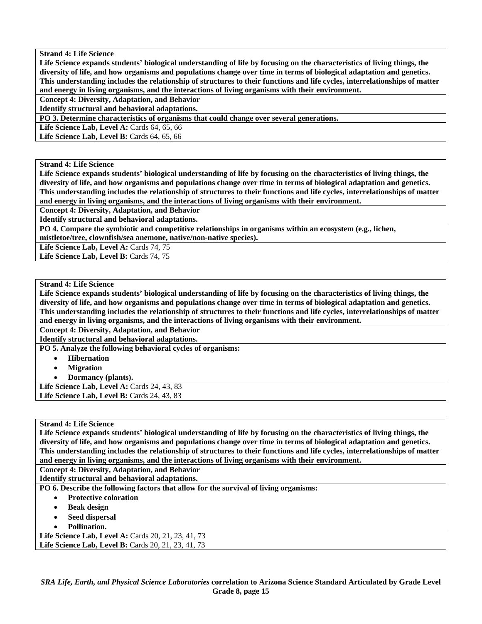**Life Science expands students' biological understanding of life by focusing on the characteristics of living things, the diversity of life, and how organisms and populations change over time in terms of biological adaptation and genetics. This understanding includes the relationship of structures to their functions and life cycles, interrelationships of matter and energy in living organisms, and the interactions of living organisms with their environment.** 

**Concept 4: Diversity, Adaptation, and Behavior** 

**Identify structural and behavioral adaptations.** 

**PO 3. Determine characteristics of organisms that could change over several generations.** 

**Life Science Lab, Level A: Cards 64, 65, 66** 

Life Science Lab, Level B: Cards 64, 65, 66

#### **Strand 4: Life Science**

**Life Science expands students' biological understanding of life by focusing on the characteristics of living things, the diversity of life, and how organisms and populations change over time in terms of biological adaptation and genetics. This understanding includes the relationship of structures to their functions and life cycles, interrelationships of matter and energy in living organisms, and the interactions of living organisms with their environment.** 

**Concept 4: Diversity, Adaptation, and Behavior** 

**Identify structural and behavioral adaptations.** 

**PO 4. Compare the symbiotic and competitive relationships in organisms within an ecosystem (e.g., lichen, mistletoe/tree, clownfish/sea anemone, native/non-native species).** 

Life Science Lab, Level A: Cards 74, 75 Life Science Lab, Level B: Cards 74, 75

**Strand 4: Life Science** 

**Life Science expands students' biological understanding of life by focusing on the characteristics of living things, the diversity of life, and how organisms and populations change over time in terms of biological adaptation and genetics. This understanding includes the relationship of structures to their functions and life cycles, interrelationships of matter and energy in living organisms, and the interactions of living organisms with their environment.** 

**Concept 4: Diversity, Adaptation, and Behavior** 

**Identify structural and behavioral adaptations.** 

**PO 5. Analyze the following behavioral cycles of organisms:** 

- **Hibernation**
- **Migration**

• **Dormancy (plants).** 

Life Science Lab, Level A: Cards 24, 43, 83 Life Science Lab, Level B: Cards 24, 43, 83

#### **Strand 4: Life Science**

**Life Science expands students' biological understanding of life by focusing on the characteristics of living things, the diversity of life, and how organisms and populations change over time in terms of biological adaptation and genetics. This understanding includes the relationship of structures to their functions and life cycles, interrelationships of matter and energy in living organisms, and the interactions of living organisms with their environment.** 

**Concept 4: Diversity, Adaptation, and Behavior** 

**Identify structural and behavioral adaptations.** 

**PO 6. Describe the following factors that allow for the survival of living organisms:** 

- **Protective coloration**
- **Beak design**
- **Seed dispersal**
- **Pollination.**

**Life Science Lab, Level A: Cards 20, 21, 23, 41, 73** Life Science Lab, Level B: Cards 20, 21, 23, 41, 73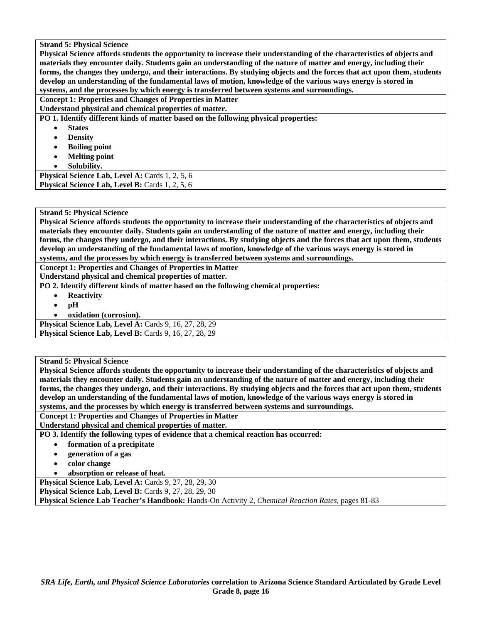**Physical Science affords students the opportunity to increase their understanding of the characteristics of objects and materials they encounter daily. Students gain an understanding of the nature of matter and energy, including their forms, the changes they undergo, and their interactions. By studying objects and the forces that act upon them, students develop an understanding of the fundamental laws of motion, knowledge of the various ways energy is stored in systems, and the processes by which energy is transferred between systems and surroundings.** 

**Concept 1: Properties and Changes of Properties in Matter** 

**Understand physical and chemical properties of matter.** 

**PO 1. Identify different kinds of matter based on the following physical properties:** 

- **States**
- **Density**
- **Boiling point**
- **Melting point**
- **Solubility.**

Physical Science Lab, Level A: Cards 1, 2, 5, 6 **Physical Science Lab, Level B: Cards 1, 2, 5, 6** 

# **Strand 5: Physical Science**

**Physical Science affords students the opportunity to increase their understanding of the characteristics of objects and materials they encounter daily. Students gain an understanding of the nature of matter and energy, including their forms, the changes they undergo, and their interactions. By studying objects and the forces that act upon them, students develop an understanding of the fundamental laws of motion, knowledge of the various ways energy is stored in systems, and the processes by which energy is transferred between systems and surroundings.** 

**Concept 1: Properties and Changes of Properties in Matter** 

**Understand physical and chemical properties of matter.** 

- **PO 2. Identify different kinds of matter based on the following chemical properties:** 
	- **Reactivity**
	- **pH**
	- **oxidation (corrosion).**

**Physical Science Lab, Level A: Cards 9, 16, 27, 28, 29 Physical Science Lab, Level B:** Cards 9, 16, 27, 28, 29

**Strand 5: Physical Science** 

**Physical Science affords students the opportunity to increase their understanding of the characteristics of objects and materials they encounter daily. Students gain an understanding of the nature of matter and energy, including their forms, the changes they undergo, and their interactions. By studying objects and the forces that act upon them, students develop an understanding of the fundamental laws of motion, knowledge of the various ways energy is stored in systems, and the processes by which energy is transferred between systems and surroundings.** 

**Concept 1: Properties and Changes of Properties in Matter** 

**Understand physical and chemical properties of matter.** 

**PO 3. Identify the following types of evidence that a chemical reaction has occurred:** 

- **formation of a precipitate**
- **generation of a gas**
- **color change**
- **absorption or release of heat.**

**Physical Science Lab, Level A: Cards 9, 27, 28, 29, 30** 

**Physical Science Lab, Level B: Cards 9, 27, 28, 29, 30** 

**Physical Science Lab Teacher's Handbook:** Hands-On Activity 2, *Chemical Reaction Rates,* pages 81-83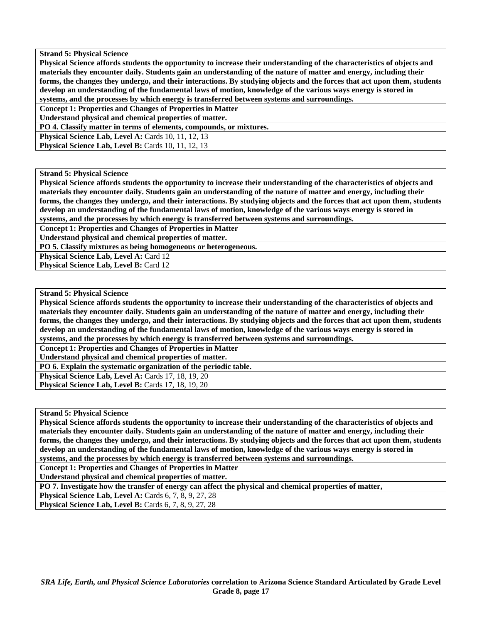**Physical Science affords students the opportunity to increase their understanding of the characteristics of objects and materials they encounter daily. Students gain an understanding of the nature of matter and energy, including their forms, the changes they undergo, and their interactions. By studying objects and the forces that act upon them, students develop an understanding of the fundamental laws of motion, knowledge of the various ways energy is stored in systems, and the processes by which energy is transferred between systems and surroundings.** 

**Concept 1: Properties and Changes of Properties in Matter** 

**Understand physical and chemical properties of matter.** 

**PO 4. Classify matter in terms of elements, compounds, or mixtures.** 

**Physical Science Lab, Level A: Cards 10, 11, 12, 13** 

**Physical Science Lab, Level B:** Cards 10, 11, 12, 13

#### **Strand 5: Physical Science**

**Physical Science affords students the opportunity to increase their understanding of the characteristics of objects and materials they encounter daily. Students gain an understanding of the nature of matter and energy, including their forms, the changes they undergo, and their interactions. By studying objects and the forces that act upon them, students develop an understanding of the fundamental laws of motion, knowledge of the various ways energy is stored in systems, and the processes by which energy is transferred between systems and surroundings.** 

**Concept 1: Properties and Changes of Properties in Matter** 

**Understand physical and chemical properties of matter.** 

**PO 5. Classify mixtures as being homogeneous or heterogeneous.** 

**Physical Science Lab, Level A: Card 12** 

**Physical Science Lab, Level B: Card 12** 

#### **Strand 5: Physical Science**

**Physical Science affords students the opportunity to increase their understanding of the characteristics of objects and materials they encounter daily. Students gain an understanding of the nature of matter and energy, including their forms, the changes they undergo, and their interactions. By studying objects and the forces that act upon them, students develop an understanding of the fundamental laws of motion, knowledge of the various ways energy is stored in** 

**systems, and the processes by which energy is transferred between systems and surroundings.** 

**Concept 1: Properties and Changes of Properties in Matter** 

**Understand physical and chemical properties of matter.** 

**PO 6. Explain the systematic organization of the periodic table.** 

**Physical Science Lab, Level A:** Cards 17, 18, 19, 20

**Physical Science Lab, Level B: Cards 17, 18, 19, 20** 

**Strand 5: Physical Science** 

**Physical Science affords students the opportunity to increase their understanding of the characteristics of objects and materials they encounter daily. Students gain an understanding of the nature of matter and energy, including their forms, the changes they undergo, and their interactions. By studying objects and the forces that act upon them, students develop an understanding of the fundamental laws of motion, knowledge of the various ways energy is stored in systems, and the processes by which energy is transferred between systems and surroundings.** 

**Concept 1: Properties and Changes of Properties in Matter** 

**Understand physical and chemical properties of matter.** 

**PO 7. Investigate how the transfer of energy can affect the physical and chemical properties of matter,** 

**Physical Science Lab, Level A: Cards 6, 7, 8, 9, 27, 28** 

**Physical Science Lab, Level B:** Cards 6, 7, 8, 9, 27, 28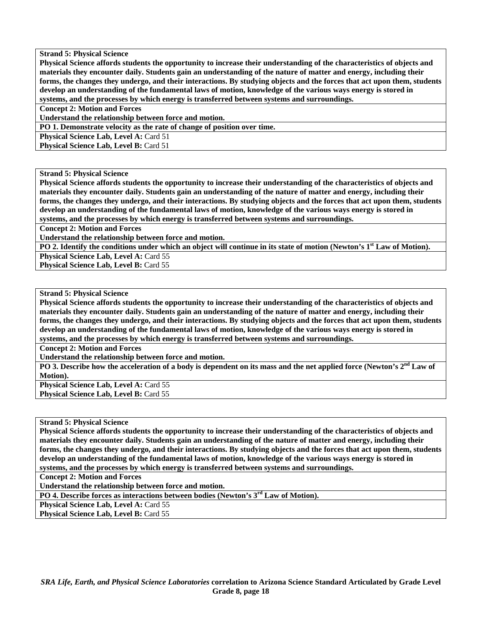**Physical Science affords students the opportunity to increase their understanding of the characteristics of objects and materials they encounter daily. Students gain an understanding of the nature of matter and energy, including their forms, the changes they undergo, and their interactions. By studying objects and the forces that act upon them, students develop an understanding of the fundamental laws of motion, knowledge of the various ways energy is stored in systems, and the processes by which energy is transferred between systems and surroundings.** 

**Concept 2: Motion and Forces** 

**Understand the relationship between force and motion.** 

**PO 1. Demonstrate velocity as the rate of change of position over time.** 

**Physical Science Lab, Level A: Card 51** 

**Physical Science Lab, Level B: Card 51** 

**Strand 5: Physical Science** 

**Physical Science affords students the opportunity to increase their understanding of the characteristics of objects and materials they encounter daily. Students gain an understanding of the nature of matter and energy, including their forms, the changes they undergo, and their interactions. By studying objects and the forces that act upon them, students develop an understanding of the fundamental laws of motion, knowledge of the various ways energy is stored in systems, and the processes by which energy is transferred between systems and surroundings.** 

**Concept 2: Motion and Forces** 

**Understand the relationship between force and motion.** 

**PO 2. Identify the conditions under which an object will continue in its state of motion (Newton's 1st Law of Motion).** 

**Physical Science Lab, Level A: Card 55** 

**Physical Science Lab, Level B: Card 55** 

#### **Strand 5: Physical Science**

**Physical Science affords students the opportunity to increase their understanding of the characteristics of objects and materials they encounter daily. Students gain an understanding of the nature of matter and energy, including their forms, the changes they undergo, and their interactions. By studying objects and the forces that act upon them, students develop an understanding of the fundamental laws of motion, knowledge of the various ways energy is stored in systems, and the processes by which energy is transferred between systems and surroundings.** 

**Concept 2: Motion and Forces** 

**Understand the relationship between force and motion.** 

**PO 3. Describe how the acceleration of a body is dependent on its mass and the net applied force (Newton's 2nd Law of Motion).** 

**Physical Science Lab, Level A: Card 55 Physical Science Lab, Level B: Card 55** 

**Strand 5: Physical Science** 

**Physical Science affords students the opportunity to increase their understanding of the characteristics of objects and materials they encounter daily. Students gain an understanding of the nature of matter and energy, including their forms, the changes they undergo, and their interactions. By studying objects and the forces that act upon them, students develop an understanding of the fundamental laws of motion, knowledge of the various ways energy is stored in systems, and the processes by which energy is transferred between systems and surroundings.** 

**Concept 2: Motion and Forces** 

**Understand the relationship between force and motion.** 

**PO 4. Describe forces as interactions between bodies (Newton's 3rd Law of Motion).** 

Physical Science Lab, Level A: Card 55

**Physical Science Lab, Level B: Card 55**